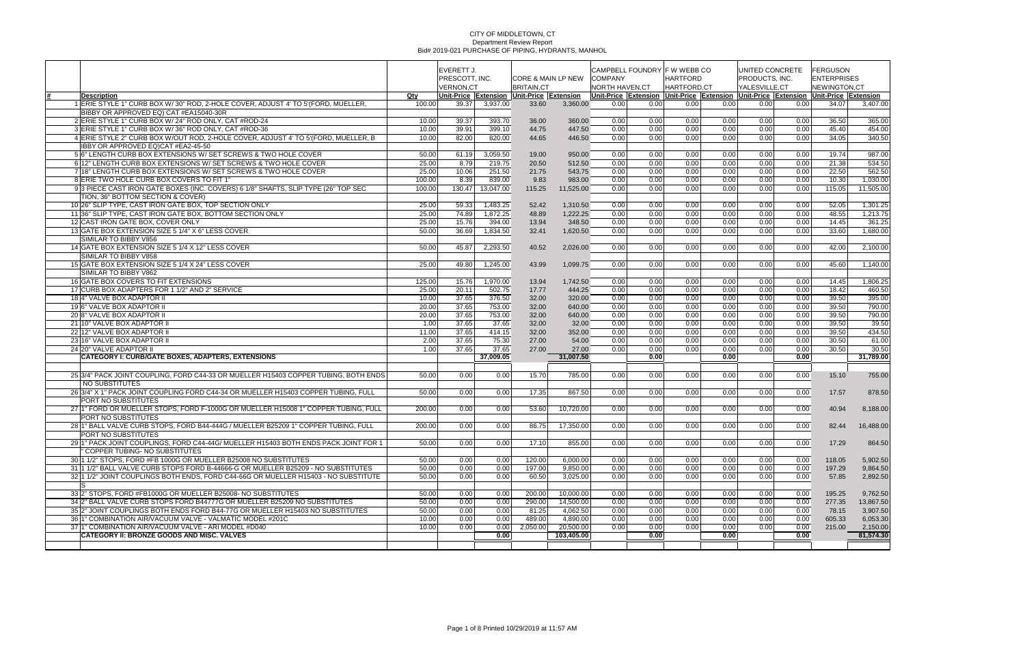|                                                                                                    | EVERETT J.<br>PRESCOTT. INC. |                  | <b>CORE &amp; MAIN LP NEW</b> |                                           | CAMPBELL FOUNDRY F W WEBB CO<br><b>COMPANY</b> |                 | <b>HARTFORD</b> |             | UNITED CONCRETE<br>PRODUCTS, INC. |               | FERGUSON<br><b>ENTERPRISES</b> |                                                                                     |                       |
|----------------------------------------------------------------------------------------------------|------------------------------|------------------|-------------------------------|-------------------------------------------|------------------------------------------------|-----------------|-----------------|-------------|-----------------------------------|---------------|--------------------------------|-------------------------------------------------------------------------------------|-----------------------|
|                                                                                                    |                              | <b>VERNON.CT</b> |                               | <b>BRITAIN.CT</b>                         |                                                | NORTH HAVEN, CT |                 | HARTFORD.CT |                                   | YALESVILLE.CT |                                | <b>NEWINGTON.CT</b>                                                                 |                       |
| <b>Description</b>                                                                                 | Qty                          |                  |                               | Unit-Price Extension Unit-Price Extension |                                                |                 |                 |             |                                   |               |                                | Unit-Price Extension Unit-Price Extension Unit-Price Extension Unit-Price Extension |                       |
| 1 ERIE STYLE 1" CURB BOX W/30" ROD, 2-HOLE COVER, ADJUST 4' TO 5' (FORD, MUELLER,                  | 100.00                       | 39.37            | 3,937.00                      | 33.60                                     | 3,360.00                                       | 0.00            | 0.00            | 0.00        | 0.00                              | 0.00          | 0.00                           | 34.07                                                                               | 3,407.00              |
| BIBBY OR APPROVED EQ) CAT #EA15040-30R                                                             |                              |                  |                               |                                           |                                                |                 |                 |             |                                   |               |                                |                                                                                     |                       |
| 2 ERIE STYLE 1" CURB BOX W/24" ROD ONLY, CAT #ROD-24                                               | 10.00                        | 39.37            | 393.70                        | 36.00                                     | 360.00                                         | 0.00            | 0.00            | 0.00        | 0.00                              | 0.00          | 0.00                           | 36.50                                                                               | 365.00                |
| 3 ERIE STYLE 1" CURB BOX W/36" ROD ONLY, CAT #ROD-36                                               | 10.00                        | 39.91            | 399.10                        | 44.75                                     | 447.50                                         | 0.00            | 0.00            | 0.00        | 0.00                              | 0.00          | 0.00                           | 45.40                                                                               | 454.00                |
| 4 ERIE STYLE 2" CURB BOX W/OUT ROD, 2-HOLE COVER, ADJUST 4' TO 5' (FORD, MUELLER, B                | 10.00                        | 82.00            | 820.00                        | 44.65                                     | 446.50                                         | 0.00            | 0.00            | 0.00        | 0.00                              | 0.00          | 0.00                           | 34.05                                                                               | 340.50                |
| IBBY OR APPROVED EQ)CAT #EA2-45-50                                                                 |                              |                  |                               |                                           |                                                |                 |                 |             |                                   |               |                                |                                                                                     |                       |
| 5 6" LENGTH CURB BOX EXTENSIONS W/SET SCREWS & TWO HOLE COVER                                      | 50.00                        | 61.19            | 3,059.50                      | 19.00                                     | 950.00                                         | 0.00            | 0.00            | 0.00        | 0.00                              | 0.00          | 0.00                           | 19.74                                                                               | 987.00                |
| 6 12" LENGTH CURB BOX EXTENSIONS W/ SET SCREWS & TWO HOLE COVER                                    | 25.00                        | 8.79             | 219.75                        | 20.50                                     | 512.50                                         | 0.00            | 0.00            | 0.00        | 0.00                              | 0.00          | 0.00                           | 21.38                                                                               | 534.50                |
| 7 18" LENGTH CURB BOX EXTENSIONS W/SET SCREWS & TWO HOLE COVER                                     | 25.00                        | 10.06            | 251.50                        | 21.75                                     | 543.75                                         | 0.00            | 0.00            | 0.00        | 0.00                              | 0.00          | 0.00                           | 22.50                                                                               | 562.50                |
| 8 ERIE TWO HOLE CURB BOX COVERS TO FIT 1"                                                          | 100.00                       | 8.39             | 839.00                        | 9.83                                      | 983.00                                         | 0.00            | 0.00            | 0.00        | 0.00                              | 0.00          | 0.00                           | 10.30                                                                               | 1,030.00              |
| 9 3 PIECE CAST IRON GATE BOXES (INC. COVERS) 6 1/8" SHAFTS, SLIP TYPE (26" TOP SEC                 | 100.00                       | 130.47           | 13,047.00                     | 115.25                                    | 11,525.00                                      | 0.00            | 0.00            | 0.00        | 0.00                              | 0.00          | 0.00                           | 115.05                                                                              | 11,505.00             |
| TION, 36" BOTTOM SECTION & COVER)                                                                  |                              |                  |                               |                                           |                                                |                 |                 |             |                                   |               |                                |                                                                                     |                       |
| 10 26" SLIP TYPE, CAST IRON GATE BOX, TOP SECTION ONLY                                             | 25.00                        | 59.33            | 1,483.25                      | 52.42                                     | 1,310.50                                       | 0.00            | 0.00            | 0.00        | 0.00                              | 0.00          | 0.00                           | 52.05                                                                               | 1,301.25              |
| 11 36" SLIP TYPE, CAST IRON GATE BOX, BOTTOM SECTION ONLY                                          | 25.00                        | 74.89            | 1,872.25                      | 48.89                                     | 1,222.25                                       | 0.00            | 0.00            | 0.00        | 0.00                              | 0.00          | 0.00                           | 48.55                                                                               | 1,213.75              |
| 12 CAST IRON GATE BOX, COVER ONLY                                                                  | 25.00                        | 15.76<br>36.69   | 394.00                        | 13.94                                     | 348.50                                         | 0.00            | 0.00            | 0.00        | 0.00                              | 0.00          | 0.00                           | 14.45                                                                               | 361.25                |
| 13 GATE BOX EXTENSION SIZE 5 1/4" X 6" LESS COVER<br>SIMILAR TO BIBBY V856                         | 50.00                        |                  | 1,834.50                      | 32.41                                     | 1,620.50                                       | 0.00            | 0.00            | 0.00        | 0.00                              | 0.00          | 0.00                           | 33.60                                                                               | 1,680.00              |
|                                                                                                    |                              | 45.87            |                               |                                           |                                                | 0.00            | 0.00            | 0.00        |                                   |               |                                |                                                                                     | 2,100.00              |
| 14 GATE BOX EXTENSION SIZE 5 1/4 X 12" LESS COVER<br>SIMILAR TO BIBBY V858                         | 50.00                        |                  | 2,293.50                      | 40.52                                     | 2,026.00                                       |                 |                 |             | 0.00                              | 0.00          | 0.00                           | 42.00                                                                               |                       |
| 15 GATE BOX EXTENSION SIZE 5 1/4 X 24" LESS COVER                                                  | 25.00                        | 49.80            | 1,245.00                      | 43.99                                     | 1,099.75                                       | 0.00            | 0.00            | 0.00        | 0.00                              | 0.00          | 0.00                           | 45.60                                                                               | 1,140.00              |
| SIMILAR TO BIBBY V862                                                                              |                              |                  |                               |                                           |                                                |                 |                 |             |                                   |               |                                |                                                                                     |                       |
| 16 GATE BOX COVERS TO FIT EXTENSIONS                                                               | 125.00                       | 15.76            | 1,970.00                      | 13.94                                     | 1,742.50                                       | 0.00            | 0.00            | 0.00        | 0.00                              | 0.00          | 0.00                           | 14.45                                                                               | 1,806.25              |
| 17 CURB BOX ADAPTERS FOR 1 1/2" AND 2" SERVICE                                                     | 25.00                        | 20.11            | 502.75                        | 17.77                                     | 444.25                                         | 0.00            | 0.00            | 0.00        | 0.00                              | 0.00          | 0.00                           | 18.42                                                                               | 460.50                |
| 18 4" VALVE BOX ADAPTOR II                                                                         | 10.00                        | 37.65            | 376.50                        | 32.00                                     | 320.00                                         | 0.00            | 0.00            | 0.00        | 0.00                              | 0.00          | 0.00                           | 39.50                                                                               | 395.00                |
| 196" VALVE BOX ADAPTOR II                                                                          | 20.00                        | 37.65            | 753.00                        | 32.00                                     | 640.00                                         | 0.00            | 0.00            | 0.00        | 0.00                              | 0.00          | 0.00                           | 39.50                                                                               | 790.00                |
| 208" VALVE BOX ADAPTOR II                                                                          | 20.00                        | 37.65            | 753.00                        | 32.00                                     | 640.00                                         | 0.00            | 0.00            | 0.00        | 0.00                              | 0.00          | 0.00                           | 39.50                                                                               | 790.00                |
| 21 10" VALVE BOX ADAPTOR II                                                                        | 1.00                         | 37.65            | 37.65                         | 32.00                                     | 32.00                                          | 0.00            | 0.00            | 0.00        | 0.00                              | 0.00          | 0.00                           | 39.50                                                                               | 39.50                 |
| 22 12" VALVE BOX ADAPTOR II                                                                        | 11.00                        | 37.65            | 414.15                        | 32.00                                     | 352.00                                         | 0.00            | 0.00            | 0.00        | 0.00                              | 0.00          | 0.00                           | 39.50                                                                               | 434.50                |
| 23 16" VALVE BOX ADAPTOR II                                                                        | 2.00                         | 37.65            | 75.30                         | 27.00                                     | 54.00                                          | 0.00            | 0.00            | 0.00        | 0.00                              | 0.00          | 0.00                           | 30.50                                                                               | 61.00                 |
| 24 20" VALVE ADAPTOR II                                                                            | 1.00                         | 37.65            | 37.65                         | 27.00                                     | 27.00                                          | 0.00            | 0.00            | 0.00        | 0.00                              | 0.00          | 0.00                           | 30.50                                                                               | 30.50                 |
| <b>CATEGORY I: CURB/GATE BOXES, ADAPTERS, EXTENSIONS</b>                                           |                              |                  | 37.009.05                     |                                           | 31,007.50                                      |                 | 0.00            |             | 0.00                              |               | 0.00                           |                                                                                     | 31,789.00             |
|                                                                                                    |                              |                  |                               |                                           |                                                |                 |                 |             |                                   |               |                                |                                                                                     |                       |
| 25 3/4" PACK JOINT COUPLING, FORD C44-33 OR MUELLER H15403 COPPER TUBING, BOTH ENDS                | 50.00                        | 0.00             | 0.00                          | 15.70                                     | 785.00                                         | 0.00            | 0.00            | 0.00        | 0.00                              | 0.00          | 0.00                           | 15.10                                                                               | 755.00                |
| NO SUBSTITUTES                                                                                     |                              |                  |                               |                                           |                                                |                 |                 |             |                                   |               |                                |                                                                                     |                       |
| 26 3/4" X 1" PACK JOINT COUPLING FORD C44-34 OR MUELLER H15403 COPPER TUBING, FULL                 | 50.00                        | 0.00             | 0.00                          | 17.35                                     | 867.50                                         | 0.00            | 0.00            | 0.00        | 0.00                              | 0.00          | 0.00                           | 17.57                                                                               | 878.50                |
| PORT NO SUBSTITUTES                                                                                |                              |                  |                               |                                           |                                                |                 |                 |             |                                   |               |                                |                                                                                     |                       |
| 27 1" FORD OR MUELLER STOPS, FORD F-1000G OR MUELLER H15008 1" COPPER TUBING, FULL                 | 200.00                       | 0.00             | 0.00                          | 53.60                                     | 10,720.00                                      | 0.00            | 0.00            | 0.00        | 0.00                              | 0.00          | 0.00                           | 40.94                                                                               | 8,188.00              |
| PORT NO SUBSTITUTES                                                                                |                              |                  |                               |                                           |                                                |                 |                 |             |                                   |               |                                |                                                                                     |                       |
| 28 1" BALL VALVE CURB STOPS, FORD B44-444G / MUELLER B25209 1" COPPER TUBING, FULL                 | 200.00                       | 0.00             | 0.00                          | 86.75                                     | 17,350.00                                      | 0.00            | 0.00            | 0.00        | 0.00                              | 0.00          | 0.00                           | 82.44                                                                               | 16,488.00             |
| PORT NO SUBSTITUTES                                                                                |                              |                  |                               |                                           |                                                |                 |                 |             |                                   |               |                                |                                                                                     |                       |
| 29 1" PACK JOINT COUPLINGS, FORD C44-44G/ MUELLER H15403 BOTH ENDS PACK JOINT FOR 1                | 50.00                        | 0.00             | 0.00                          | 17.10                                     | 855.00                                         | 0.00            | 0.00            | 0.00        | 0.00                              | 0.00          | 0.00                           | 17.29                                                                               | 864.50                |
| COPPER TUBING- NO SUBSTITUTES                                                                      |                              |                  |                               |                                           |                                                |                 |                 |             |                                   |               |                                |                                                                                     |                       |
| 30 1 1/2" STOPS, FORD #FB 1000G OR MUELLER B25008 NO SUBSTITUTES                                   | 50.00                        | 0.00             | 0.00                          | 120.00                                    | 6,000.00                                       | 0.00            | 0.00            | 0.00        | 0.00                              | 0.00          | 0.00                           | 118.05                                                                              | 5,902.50              |
| 31 1 1/2" BALL VALVE CURB STOPS FORD B-44666-G OR MUELLER B25209 - NO SUBSTITUTES                  | 50.00                        | 0.00             | 0.00                          | 197.00                                    | 9,850.00                                       | 0.00            | 0.00            | 0.00        | 0.00                              | 0.00          | 0.00                           | 197.29                                                                              | 9,864.50              |
| 32 1 1/2" JOINT COUPLINGS BOTH ENDS, FORD C44-66G OR MUELLER H15403 - NO SUBSTITUTE                | 50.00                        | 0.00             | 0.00                          | 60.50                                     | 3,025.00                                       | 0.00            | 0.00            | 0.00        | 0.00                              | 0.00          | 0.00                           | 57.85                                                                               | 2,892.50              |
|                                                                                                    |                              |                  |                               |                                           |                                                |                 |                 |             |                                   |               |                                |                                                                                     |                       |
| 33 2" STOPS, FORD #FB1000G OR MUELLER B25008- NO SUBSTITUTES                                       | 50.00                        | 0.00             | 0.00                          | 200.00                                    | 10,000.00                                      | 0.00            | 0.00            | 0.00        | 0.00                              | 0.00          | 0.00                           | 195.25                                                                              | 9,762.50              |
| 34 2" BALL VALVE CURB STOPS FORD B44777G OR MUELLER B25209 NO SUBSTITUTES                          | 50.00                        | 0.00             | 0.00                          | 290.00                                    | 14,500.00                                      | 0.00            | 0.00            | 0.00        | 0.00                              | 0.00          | 0.00                           | 277.35                                                                              | 13,867.50             |
| 35 2" JOINT COUPLINGS BOTH ENDS FORD B44-77G OR MUELLER H15403 NO SUBSTITUTES                      | 50.00                        | 0.00             | 0.00                          | 81.25                                     | 4,062.50                                       | 0.00            | 0.00            | 0.00        | 0.00                              | 0.00          | 0.00                           | 78.15                                                                               | 3,907.50              |
| 36 1" COMBINATION AIR/VACUUM VALVE - VALMATIC MODEL #201C                                          | 10.00                        | 0.00             | 0.00                          | 489.00                                    | 4,890.00                                       | 0.00            | 0.00            | 0.00        | 0.00                              | 0.00<br>0.00  | 0.00                           | 605.33                                                                              | 6,053.30              |
| 37 1" COMBINATION AIR/VACUUM VALVE - ARI MODEL #D040<br>CATEGORY II: BRONZE GOODS AND MISC. VALVES | 10.00                        | 0.00             | 0.00<br>0.00                  | 2,050.00                                  | 20,500.00<br>103,405.00                        | 0.00            | 0.00<br>0.00    | 0.00        | 0.00<br>0.00                      |               | 0.00<br>0.00                   | 215.00                                                                              | 2,150.00<br>81,574.30 |
|                                                                                                    |                              |                  |                               |                                           |                                                |                 |                 |             |                                   |               |                                |                                                                                     |                       |
|                                                                                                    |                              |                  |                               |                                           |                                                |                 |                 |             |                                   |               |                                |                                                                                     |                       |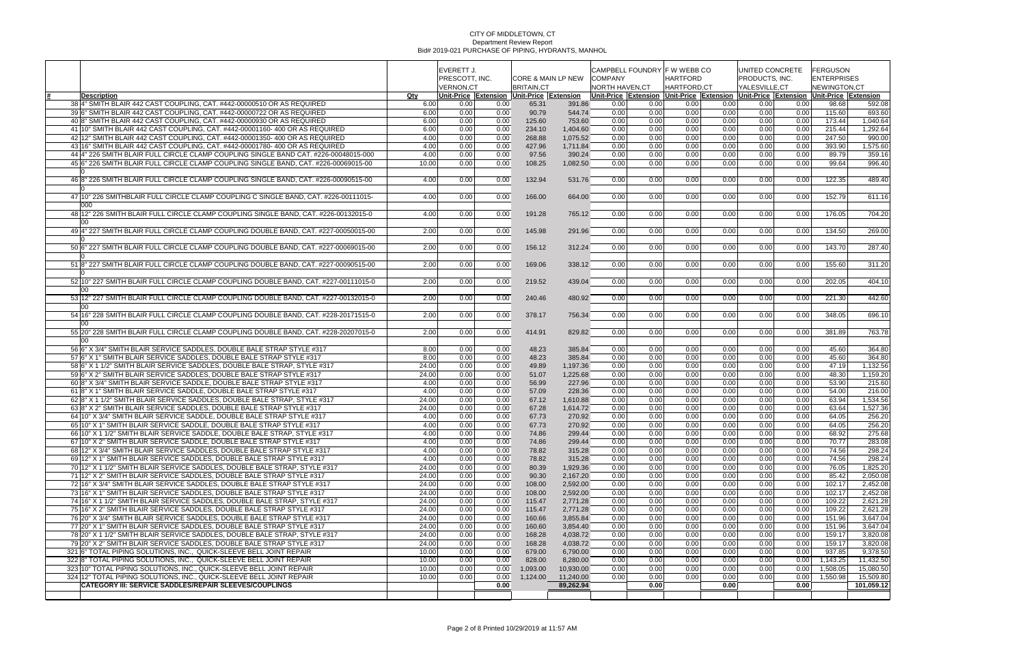|                                                                                                                                                                            |                | <b>EVERETT J.</b><br>PRESCOTT, INC.<br><b>VERNON,CT</b> |              | <b>CORE &amp; MAIN LP NEW</b><br><b>BRITAIN,CT</b> |                       | CAMPBELL FOUNDRY F W WEBB CO<br><b>COMPANY</b><br><b>NORTH HAVEN,CT</b> |              | <b>HARTFORD</b><br>HARTFORD,CT |              | UNITED CONCRETE<br>PRODUCTS, INC.<br>YALESVILLE, CT            |              | <b>FERGUSON</b><br><b>ENTERPRISES</b><br>NEWINGTON.CT |                        |
|----------------------------------------------------------------------------------------------------------------------------------------------------------------------------|----------------|---------------------------------------------------------|--------------|----------------------------------------------------|-----------------------|-------------------------------------------------------------------------|--------------|--------------------------------|--------------|----------------------------------------------------------------|--------------|-------------------------------------------------------|------------------------|
| Description                                                                                                                                                                | Qty            |                                                         |              | Unit-Price Extension Unit-Price Extension          |                       |                                                                         |              |                                |              | Unit-Price Extension Unit-Price Extension Unit-Price Extension |              | Unit-Price Extension                                  |                        |
| 38 4" SMITH BLAIR 442 CAST COUPLING, CAT. #442-00000510 OR AS REQUIRED                                                                                                     | 6.00           | 0.00                                                    | 0.00         | 65.31                                              | 391.86                | 0.00                                                                    | 0.00         | 0.00                           | 0.00         | 0.00                                                           | 0.00         | 98.68                                                 | 592.08                 |
| 39 6" SMITH BLAIR 442 CAST COUPLING, CAT. #442-00000722 OR AS REQUIRED                                                                                                     | 6.00           | 0.00                                                    | 0.00         | 90.79                                              | 544.74                | 0.00                                                                    | 0.00         | 0.00                           | 0.00         | 0.00                                                           | 0.00         | 115.60                                                | 693.60                 |
| 40 8" SMITH BLAIR 442 CAST COUPLING, CAT. #442-00000930 OR AS REQUIRED                                                                                                     | 6.00           | 0.00                                                    | 0.00         | 125.60                                             | 753.60                | 0.00                                                                    | 0.00         | 0.00                           | 0.00         | 0.00                                                           | 0.00         | 173.44                                                | 1,040.64               |
| 41 10" SMITH BLAIR 442 CAST COUPLING, CAT. #442-00001160-400 OR AS REQUIRED                                                                                                | 6.00           | 0.00                                                    | 0.00         | 234.10                                             | 1,404.60              | 0.00                                                                    | 0.00         | 0.00                           | 0.00         | 0.00                                                           | 0.00         | 215.44                                                | 1,292.64               |
| 42 12" SMITH BLAIR 442 CAST COUPLING, CAT. #442-00001350- 400 OR AS REQUIRED                                                                                               | 4.00           | 0.00                                                    | 0.00         | 268.88                                             | 1,075.52              | 0.00                                                                    | 0.00         | 0.00                           | 0.00         | 0.00                                                           | 0.00         | 247.50                                                | 990.00                 |
| 43 16" SMITH BLAIR 442 CAST COUPLING, CAT. #442-00001780- 400 OR AS REQUIRED                                                                                               | 4.00           | 0.00                                                    | 0.00         | 427.96                                             | 1,711.84              | 0.00                                                                    | 0.00         | 0.00                           | 0.00         | 0.00                                                           | 0.00         | 393.90                                                | 1,575.60               |
| 44 4" 226 SMITH BLAIR FULL CIRCLE CLAMP COUPLING SINGLE BAND CAT. #226-00048015-000<br>45 6" 226 SMITH BLAIR FULL CIRCLE CLAMP COUPLING SINGLE BAND, CAT. #226-00069015-00 | 4.00           | 0.00<br>0.00                                            | 0.00<br>0.00 | 97.56                                              | 390.24                | 0.00<br>0.00                                                            | 0.00<br>0.00 | 0.00                           | 0.00<br>0.00 | 0.00<br>0.00                                                   | 0.00<br>0.00 | 89.79<br>99.64                                        | 359.16                 |
|                                                                                                                                                                            | 10.00          |                                                         |              | 108.25                                             | 1,082.50              |                                                                         |              | 0.00                           |              |                                                                |              |                                                       | 996.40                 |
| 46 8" 226 SMITH BLAIR FULL CIRCLE CLAMP COUPLING SINGLE BAND, CAT. #226-00090515-00                                                                                        | 4.00           | 0.00                                                    | 0.00         | 132.94                                             | 531.76                | 0.00                                                                    | 0.00         | 0.00                           | 0.00         | 0.00                                                           | 0.00         | 122.35                                                | 489.40                 |
| 47 10" 226 SMITHBLAIR FULL CIRCLE CLAMP COUPLING C SINGLE BAND, CAT. #226-00111015-<br>000                                                                                 | 4.00           | 0.00                                                    | 0.00         | 166.00                                             | 664.00                | 0.00                                                                    | 0.00         | 0.00                           | 0.00         | 0.00                                                           | 0.00         | 152.79                                                | 611.16                 |
| 48 12" 226 SMITH BLAIR FULL CIRCLE CLAMP COUPLING SINGLE BAND, CAT. #226-00132015-0<br>00                                                                                  | 4.00           | 0.00                                                    | 0.00         | 191.28                                             | 765.12                | 0.00                                                                    | 0.00         | 0.00                           | 0.00         | 0.00                                                           | 0.00         | 176.05                                                | 704.20                 |
| 49 4" 227 SMITH BLAIR FULL CIRCLE CLAMP COUPLING DOUBLE BAND, CAT, #227-00050015-00                                                                                        | 2.00           | 0.00                                                    | 0.00         | 145.98                                             | 291.96                | 0.00                                                                    | 0.00         | 0.00                           | 0.00         | 0.00                                                           | 0.00         | 134.50                                                | 269.00                 |
| 50 6" 227 SMITH BLAIR FULL CIRCLE CLAMP COUPLING DOUBLE BAND, CAT. #227-00069015-00                                                                                        | 2.00           | 0.00                                                    | 0.00         | 156.12                                             | 312.24                | 0.00                                                                    | 0.00         | 0.00                           | 0.00         | 0.00                                                           | 0.00         | 143.70                                                | 287.40                 |
| 51 8" 227 SMITH BLAIR FULL CIRCLE CLAMP COUPLING DOUBLE BAND, CAT. #227-00090515-00                                                                                        | 2.00           | 0.00                                                    | 0.00         | 169.06                                             | 338.12                | 0.00                                                                    | 0.00         | 0.00                           | 0.00         | 0.00                                                           | 0.00         | 155.60                                                | 311.20                 |
| 52 10" 227 SMITH BLAIR FULL CIRCLE CLAMP COUPLING DOUBLE BAND, CAT. #227-00111015-0<br>$00 \,$                                                                             | 2.00           | 0.00                                                    | 0.00         | 219.52                                             | 439.04                | 0.00                                                                    | 0.00         | 0.00                           | 0.00         | 0.00                                                           | 0.00         | 202.05                                                | 404.10                 |
| 53 12" 227 SMITH BLAIR FULL CIRCLE CLAMP COUPLING DOUBLE BAND, CAT. #227-00132015-0                                                                                        | 2.00           | 0.00                                                    | 0.00         | 240.46                                             | 480.92                | 0.00                                                                    | 0.00         | 0.00                           | 0.00         | 0.00                                                           | 0.00         | 221.30                                                | 442.60                 |
| 00<br>54 16" 228 SMITH BLAIR FULL CIRCLE CLAMP COUPLING DOUBLE BAND, CAT. #228-20171515-0                                                                                  | 2.00           | 0.00                                                    | 0.00         | 378.17                                             | 756.34                | 0.00                                                                    | 0.00         | 0.00                           | 0.00         | 0.00                                                           | 0.00         | 348.05                                                | 696.10                 |
| 00<br>55 20" 228 SMITH BLAIR FULL CIRCLE CLAMP COUPLING DOUBLE BAND, CAT. #228-20207015-0                                                                                  | 2.00           | 0.00                                                    | 0.00         | 414.91                                             | 829.82                | 0.00                                                                    | 0.00         | 0.00                           | 0.00         | 0.00                                                           | 0.00         | 381.89                                                | 763.78                 |
| 00<br>56 6" X 3/4" SMITH BLAIR SERVICE SADDLES, DOUBLE BALE STRAP STYLE #317                                                                                               | 8.00           | 0.00                                                    | 0.00         | 48.23                                              | 385.84                | 0.00                                                                    | 0.00         | 0.00                           | 0.00         | 0.00                                                           | 0.00         | 45.60                                                 | 364.80                 |
| 57 6" X 1" SMITH BLAIR SERVICE SADDLES, DOUBLE BALE STRAP STYLE #317                                                                                                       | 8.00           | 0.00                                                    | 0.00         | 48.23                                              | 385.84                | 0.00                                                                    | 0.00         | 0.00                           | 0.00         | 0.00                                                           | 0.00         | 45.60                                                 | 364.80                 |
| 58 6" X 1 1/2" SMITH BLAIR SERVICE SADDLES, DOUBLE BALE STRAP, STYLE #317                                                                                                  | 24.00          | 0.00                                                    | 0.00         | 49.89                                              | 1,197.36              | 0.00                                                                    | 0.00         | 0.00                           | 0.00         | 0.00                                                           | 0.00         | 47.19                                                 | 1,132.56               |
| 59 6" X 2" SMITH BLAIR SERVICE SADDLES, DOUBLE BALE STRAP STYLE #317                                                                                                       | 24.00          | 0.00                                                    | 0.00         | 51.07                                              | 1,225.68              | 0.00                                                                    | 0.00         | 0.00                           | 0.00         | 0.00                                                           | 0.00         | 48.30                                                 | 1,159.20               |
| 60 8" X 3/4" SMITH BLAIR SERVICE SADDLE, DOUBLE BALE STRAP STYLE #317                                                                                                      | 4.00           | 0.00                                                    | 0.00         | 56.99                                              | 227.96                | 0.00                                                                    | 0.00         | 0.00                           | 0.00         | 0.00                                                           | 0.00         | 53.90                                                 | 215.60                 |
| 61 8" X 1" SMITH BLAIR SERVICE SADDLE, DOUBLE BALE STRAP STYLE #317                                                                                                        | 4.00           | 0.00                                                    | 0.00         | 57.09                                              | 228.36                | 0.00                                                                    | 0.00         | 0.00                           | 0.00         | 0.00                                                           | 0.00         | 54.00                                                 | 216.00                 |
| 62 8" X 1 1/2" SMITH BLAIR SERVICE SADDLES. DOUBLE BALE STRAP. STYLE #317                                                                                                  | 24.00          | 0.00                                                    | 0.00         | 67.12                                              | 1,610.88              | 0.00                                                                    | 0.00         | 0.00                           | 0.00         | 0.00                                                           | 0.00         | 63.94                                                 | 1,534.56               |
| 63 8" X 2" SMITH BLAIR SERVICE SADDLES, DOUBLE BALE STRAP STYLE #317                                                                                                       | 24.00          | 0.00                                                    | 0.00         | 67.28                                              | 1,614.72              | 0.00                                                                    | 0.00         | 0.00                           | 0.00         | 0.00                                                           | 0.00         | 63.64                                                 | 1,527.36               |
| 64 10" X 3/4" SMITH BLAIR SERVICE SADDLE, DOUBLE BALE STRAP STYLE #317                                                                                                     | 4.00           | 0.00                                                    | 0.00         | 67.73                                              | 270.92                | 0.00                                                                    | 0.00         | 0.00                           | 0.00         | 0.00                                                           | 0.00         | 64.05                                                 | 256.20                 |
| 65 10" X 1" SMITH BLAIR SERVICE SADDLE, DOUBLE BALE STRAP STYLE #317                                                                                                       | 4.00           | 0.00                                                    | 0.00         | 67.73                                              | 270.92                | 0.00                                                                    | 0.00         | 0.00                           | 0.00         | 0.00                                                           | 0.00         | 64.05                                                 | 256.20                 |
| 66 10" X 1 1/2" SMITH BLAIR SERVICE SADDLE, DOUBLE BALE STRAP, STYLE #317                                                                                                  | 4.00           | 0.00                                                    | 0.00         | 74.86                                              | 299.44                | 0.00                                                                    | 0.00         | 0.00                           | 0.00         | 0.00                                                           | 0.00         | 68.92                                                 | 275.68                 |
| 67 10" X 2" SMITH BLAIR SERVICE SADDLE, DOUBLE BALE STRAP STYLE #317<br>68 12" X 3/4" SMITH BLAIR SERVICE SADDLES, DOUBLE BALE STRAP STYLE #317                            | 4.00<br>4.00   | 0.00<br>0.00                                            | 0.00<br>0.00 | 74.86<br>78.82                                     | 299.44<br>315.28      | 0.00<br>0.00                                                            | 0.00<br>0.00 | 0.00<br>0.00                   | 0.00<br>0.00 | 0.00<br>0.00                                                   | 0.00<br>0.00 | 70.77<br>74.56                                        | 283.08<br>298.24       |
| 69 12" X 1" SMITH BLAIR SERVICE SADDLES, DOUBLE BALE STRAP STYLE #317                                                                                                      | 4.00           | 0.00                                                    | 0.00         | 78.82                                              | 315.28                | 0.00                                                                    | 0.00         | 0.00                           | 0.00         | 0.00                                                           | 0.00         | 74.56                                                 | 298.24                 |
| 70 12" X 1 1/2" SMITH BLAIR SERVICE SADDLES, DOUBLE BALE STRAP, STYLE #317                                                                                                 | 24.00          | 0.00                                                    | 0.00         | 80.39                                              | 1,929.36              | 0.00                                                                    | 0.00         | 0.00                           | 0.00         | 0.00                                                           | 0.00         | 76.05                                                 | 1,825.20               |
| 71 12" X 2" SMITH BLAIR SERVICE SADDLES. DOUBLE BALE STRAP STYLE #317                                                                                                      | 24.00          | 0.00                                                    | 0.00         | 90.30                                              | 2,167.20              | 0.00                                                                    | 0.00         | 0.00                           | 0.00         | 0.00                                                           | 0.00         | 85.42                                                 | 2,050.08               |
| 72 16" X 3/4" SMITH BLAIR SERVICE SADDLES, DOUBLE BALE STRAP STYLE #317                                                                                                    | 24.00          | 0.00                                                    | 0.00         | 108.00                                             | 2,592.00              | 0.00                                                                    | 0.00         | 0.00                           | 0.00         | 0.00                                                           | 0.00         | 102.17                                                | 2,452.08               |
| 73 16" X 1" SMITH BLAIR SERVICE SADDLES, DOUBLE BALE STRAP STYLE #317                                                                                                      | 24.00          | 0.00                                                    | 0.00         | 108.00                                             | 2,592.00              | 0.00                                                                    | 0.00         | 0.00                           | 0.00         | 0.00                                                           | 0.00         | 102.17                                                | 2,452.08               |
| 74 16" X 1 1/2" SMITH BLAIR SERVICE SADDLES, DOUBLE BALE STRAP, STYLE #317                                                                                                 | 24.00          | 0.00                                                    | 0.00         | 115.47                                             | 2,771.28              | 0.00                                                                    | 0.00         | 0.00                           | 0.00         | 0.00                                                           | 0.00         | 109.22                                                | 2,621.28               |
| 75 16" X 2" SMITH BLAIR SERVICE SADDLES, DOUBLE BALE STRAP STYLE #317                                                                                                      | 24.00          | 0.00                                                    | 0.00         | 115.47                                             | 2,771.28              | 0.00                                                                    | 0.00         | 0.00                           | 0.00         | 0.00                                                           | 0.00         | 109.22                                                | 2,621.28               |
| 76 20" X 3/4" SMITH BLAIR SERVICE SADDLES, DOUBLE BALE STRAP STYLE #317                                                                                                    | 24.00          | 0.00                                                    | 0.00         | 160.66                                             | 3,855.84              | 0.00                                                                    | 0.00         | 0.00                           | 0.00         | 0.00                                                           | 0.00         | 151.96                                                | 3,647.04               |
| 77 20" X 1" SMITH BLAIR SERVICE SADDLES, DOUBLE BALE STRAP STYLE #317                                                                                                      | 24.00          | 0.00                                                    | 0.00         | 160.60                                             | 3,854.40              | 0.00                                                                    | 0.00         | 0.00                           | 0.00         | 0.00                                                           | 0.00         | 151.96                                                | 3,647.04               |
| 78 20" X 1 1/2" SMITH BLAIR SERVICE SADDLES, DOUBLE BALE STRAP, STYLE #317                                                                                                 | 24.00          | 0.00                                                    | 0.00         | 168.28                                             | 4,038.72              | 0.00                                                                    | 0.00         | 0.00                           | 0.00         | 0.00                                                           | 0.00         | 159.17                                                | 3,820.08               |
| 79 20" X 2" SMITH BLAIR SERVICE SADDLES, DOUBLE BALE STRAP STYLE #317                                                                                                      | 24.00          | 0.00                                                    | 0.00         | 168.28                                             | 4,038.72              | 0.00                                                                    | 0.00         | 0.00                           | 0.00         | 0.00                                                           | 0.00         | 159.17                                                | 3,820.08               |
| 321 6" TOTAL PIPING SOLUTIONS, INC., QUICK-SLEEVE BELL JOINT REPAIR                                                                                                        | 10.00          | 0.00                                                    | 0.00         | 679.00                                             | 6,790.00              | 0.00                                                                    | 0.00         | 0.00                           | 0.00         | 0.00                                                           | 0.00         | 937.85                                                | 9,378.50               |
| 322 8" TOTAL PIPING SOLUTIONS, INC., QUICK-SLEEVE BELL JOINT REPAIR<br>323 10" TOTAL PIPING SOLUTIONS, INC., QUICK-SLEEVE BELL JOINT REPAIR                                | 10.00          | 0.00                                                    | 0.00         | 828.00<br>1,093.00                                 | 8,280.00<br>10,930.00 | 0.00                                                                    | 0.00<br>0.00 | 0.00<br>0.00                   | 0.00<br>0.00 | 0.00<br>0.00                                                   | 0.00<br>0.00 | 1,143.25<br>1,508.05                                  | 11,432.50<br>15,080.50 |
| 324 12" TOTAL PIPING SOLUTIONS, INC., QUICK-SLEEVE BELL JOINT REPAIR                                                                                                       | 10.00<br>10.00 | 0.00<br>0.00                                            | 0.00<br>0.00 | 1,124.00                                           | 11,240.00             | 0.00<br>0.00                                                            | 0.00         | 0.00                           | 0.00         | 0.00                                                           | 0.00         | 1,550.98                                              | 15,509.80              |
| <b>CATEGORY III: SERVICE SADDLES/REPAIR SLEEVES/COUPLINGS</b>                                                                                                              |                |                                                         | 0.00         |                                                    | 89,262.94             |                                                                         | 0.00         |                                | 0.00         |                                                                | 0.00         |                                                       | 101,059.12             |
|                                                                                                                                                                            |                |                                                         |              |                                                    |                       |                                                                         |              |                                |              |                                                                |              |                                                       |                        |
|                                                                                                                                                                            |                |                                                         |              |                                                    |                       |                                                                         |              |                                |              |                                                                |              |                                                       |                        |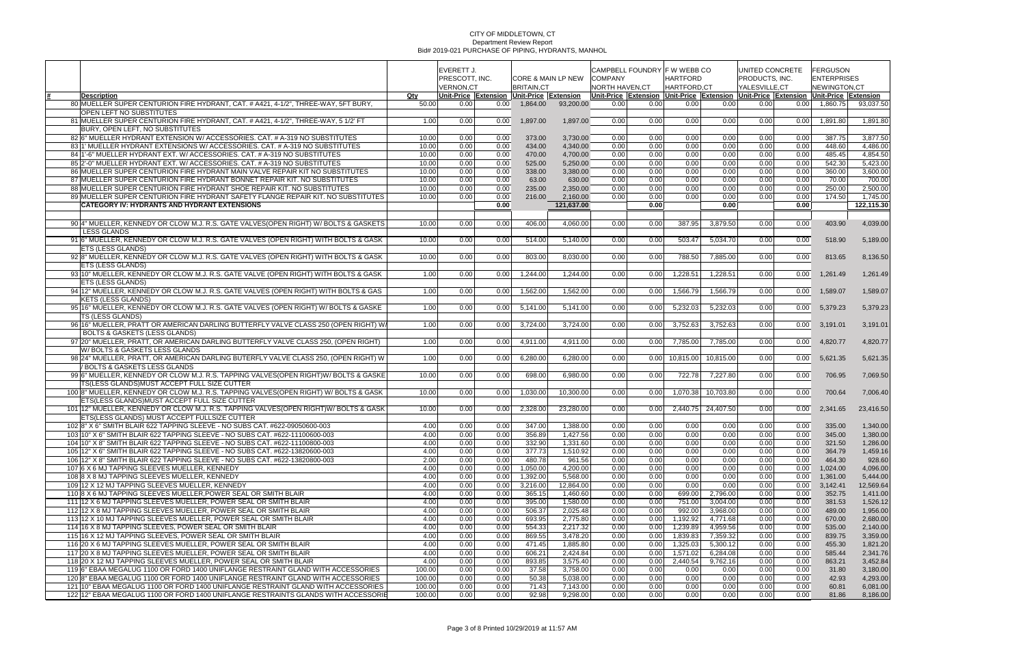|                                                                                                                                                        |                |                  | EVERETT J.   |                                           |                      |                      | CAMPBELL FOUNDRY F W WEBB CO |                  |                    | UNITED CONCRETE |                   | FERGUSON                                                       |                      |
|--------------------------------------------------------------------------------------------------------------------------------------------------------|----------------|------------------|--------------|-------------------------------------------|----------------------|----------------------|------------------------------|------------------|--------------------|-----------------|-------------------|----------------------------------------------------------------|----------------------|
|                                                                                                                                                        |                | PRESCOTT, INC.   |              |                                           | CORE & MAIN LP NEW   | <b>COMPANY</b>       |                              | <b>HARTFORD</b>  |                    | PRODUCTS, INC.  |                   | <b>ENTERPRISES</b>                                             |                      |
|                                                                                                                                                        |                | <b>VERNON,CT</b> |              | <b>BRITAIN.CT</b>                         |                      | NORTH HAVEN, CT      |                              | HARTFORD,CT      |                    | YALESVILLE,CT   |                   | NEWINGTON,CT                                                   |                      |
| <b>Description</b>                                                                                                                                     | Qty            |                  |              | Unit-Price Extension Unit-Price Extension |                      | Unit-Price Extension |                              |                  |                    |                 |                   | Unit-Price Extension Unit-Price Extension Unit-Price Extension |                      |
| 80 MUELLER SUPER CENTURION FIRE HYDRANT, CAT, # A421, 4-1/2", THREE-WAY, 5FT BURY,                                                                     | 50.00          | 0.00             | 0.00         | 1,864.00                                  | 93,200.00            | 0.00                 | 0.00                         | 0.00             | 0.00               | 0.00            | 0.00 <sub>1</sub> | 1,860.75                                                       | 93.037.50            |
| OPEN LEFT NO SUBSTITUTES                                                                                                                               |                |                  |              |                                           |                      |                      |                              |                  |                    |                 |                   |                                                                |                      |
| 81 MUELLER SUPER CENTURION FIRE HYDRANT, CAT. # A421, 4-1/2", THREE-WAY, 5 1/2' FT                                                                     | 1.00           | 0.00             | 0.00         | 1,897.00                                  | 1,897.00             | 0.00                 | 0.00                         | 0.00             | 0.00               | 0.00            | 0.00              | 1,891.80                                                       | 1,891.80             |
| BURY, OPEN LEFT, NO SUBSTITUTES                                                                                                                        |                |                  |              |                                           |                      |                      |                              |                  |                    |                 |                   |                                                                |                      |
| 82 6" MUELLER HYDRANT EXTENSION W/ ACCESSORIES. CAT. # A-319 NO SUBSTITUTES                                                                            | 10.00          | 0.00             | 0.00         | 373.00                                    | 3,730.00             | 0.00                 | 0.00                         | 0.00             | 0.00               | 0.00            | 0.00              | 387.75                                                         | 3,877.50             |
| 83 1' MUELLER HYDRANT EXTENSIONS W/ ACCESSORIES. CAT. # A-319 NO SUBSTITUTES                                                                           | 10.00          | 0.00             | 0.00         | 434.00                                    | 4,340.00             | 0.00                 | 0.00                         | 0.00             | 0.00               | 0.00            | 0.00              | 448.60                                                         | 4,486.00             |
| 84 1'-6" MUELLER HYDRANT EXT. W/ ACCESSORIES. CAT. # A-319 NO SUBSTITUTES<br>85 2'-0" MUELLER HYDRANT EXT. W/ ACCESSORIES, CAT. # A-319 NO SUBSTITUTES | 10.00          | 0.00             | 0.00         | 470.00                                    | 4,700.00             | 0.00                 | 0.00                         | 0.00             | 0.00               | 0.00            | 0.00              | 485.45                                                         | 4,854.50             |
| 86 MUELLER SUPER CENTURION FIRE HYDRANT MAIN VALVE REPAIR KIT NO SUBSTITUTES                                                                           | 10.00          | 0.00             | 0.00<br>0.00 | 525.00<br>338.00                          | 5,250.00             | 0.00<br>0.00         | 0.00<br>0.00                 | 0.00<br>0.00     | 0.00<br>0.00       | 0.00            | 0.00<br>0.00      | 542.30<br>360.00                                               | 5,423.00<br>3,600.00 |
| 87 MUELLER SUPER CENTURION FIRE HYDRANT BONNET REPAIR KIT. NO SUBSTITUTES                                                                              | 10.00<br>10.00 | 0.00<br>0.00     | 0.00         | 63.00                                     | 3,380.00<br>630.00   | 0.00                 | 0.00                         | 0.00             | 0.00               | 0.00<br>0.00    | 0.00              | 70.00                                                          | 700.00               |
| 88 MUELLER SUPER CENTURION FIRE HYDRANT SHOE REPAIR KIT. NO SUBSTITUTES                                                                                | 10.00          | 0.00             | 0.00         | 235.00                                    | 2,350.00             | 0.00                 | 0.00                         | 0.00             | 0.00               | 0.00            | 0.00              | 250.00                                                         | 2,500.00             |
| 89 MUELLER SUPER CENTURION FIRE HYDRANT SAFETY FLANGE REPAIR KIT. NO SUBSTITUTES                                                                       | 10.00          | 0.00             | 0.00         | 216.00                                    | 2,160.00             | 0.00                 | 0.00                         | 0.00             | 0.00               | 0.00            | 0.00              | 174.50                                                         | 1,745.00             |
| <b>CATEGORY IV: HYDRANTS AND HYDRANT EXTENSIONS</b>                                                                                                    |                |                  | 0.00         |                                           | 121,637.00           |                      | 0.00                         |                  | 0.00               |                 | 0.00              |                                                                | 122,115.30           |
|                                                                                                                                                        |                |                  |              |                                           |                      |                      |                              |                  |                    |                 |                   |                                                                |                      |
| 90 4" MUELLER, KENNEDY OR CLOW M.J. R.S. GATE VALVES (OPEN RIGHT) W/ BOLTS & GASKETS                                                                   | 10.00          | 0.00             | 0.00         | 406.00                                    | 4.060.00             | 0.00                 | 0.00                         | 387.95           | 3,879.50           | 0.00            | 0.00              | 403.90                                                         | 4,039.00             |
| <b>LESS GLANDS</b>                                                                                                                                     |                |                  |              |                                           |                      |                      |                              |                  |                    |                 |                   |                                                                |                      |
| 91 6" MUELLER, KENNEDY OR CLOW M.J. R.S. GATE VALVES (OPEN RIGHT) WITH BOLTS & GASK                                                                    | 10.00          | 0.00             | 0.00         | 514.00                                    | 5,140.00             | 0.00                 | 0.00                         | 503.47           | 5,034.70           | 0.00            | 0.00              | 518.90                                                         | 5,189.00             |
| ETS (LESS GLANDS)                                                                                                                                      |                |                  |              |                                           |                      |                      |                              |                  |                    |                 |                   |                                                                |                      |
| 92 8" MUELLER, KENNEDY OR CLOW M.J. R.S. GATE VALVES (OPEN RIGHT) WITH BOLTS & GASK                                                                    | 10.00          | 0.00             | 0.00         | 803.00                                    | 8,030.00             | 0.00                 | 0.00                         | 788.50           | 7,885.00           | 0.00            | 0.00              | 813.65                                                         | 8,136.50             |
| <b>ETS (LESS GLANDS)</b>                                                                                                                               |                |                  |              |                                           |                      |                      |                              |                  |                    |                 |                   |                                                                |                      |
| 93 10" MUELLER, KENNEDY OR CLOW M.J. R.S. GATE VALVE (OPEN RIGHT) WITH BOLTS & GASK                                                                    | 1.00           | 0.00             | 0.00         | 1,244.00                                  | 1.244.00             | 0.00                 | 0.00                         | 1,228.51         | 1.228.51           | 0.00            | 0.00              | 1,261.49                                                       | 1,261.49             |
| ETS (LESS GLANDS)                                                                                                                                      |                |                  |              |                                           |                      |                      |                              |                  |                    |                 |                   |                                                                |                      |
| 94 12" MUELLER, KENNEDY OR CLOW M.J. R.S. GATE VALVES (OPEN RIGHT) WITH BOLTS & GAS                                                                    | 1.00           | 0.00             | 0.00         | 1,562.00                                  | 1,562.00             | 0.00                 | 0.00                         | 1,566.79         | 1,566.79           | 0.00            | 0.00              | 1,589.07                                                       | 1,589.07             |
| KETS (LESS GLANDS)                                                                                                                                     |                |                  |              |                                           |                      |                      |                              |                  |                    |                 |                   |                                                                |                      |
| 95 16" MUELLER, KENNEDY OR CLOW M.J. R.S. GATE VALVES (OPEN RIGHT) W/BOLTS & GASKE                                                                     | 1.00           | 0.00             | 0.00         | 5,141.00                                  | 5,141.00             | 0.00                 | 0.00                         | 5,232.03         | 5,232.03           | 0.00            | 0.00              | 5,379.23                                                       | 5,379.23             |
| TS (LESS GLANDS)                                                                                                                                       |                |                  |              |                                           |                      |                      |                              |                  |                    |                 |                   |                                                                |                      |
| 96 16" MUELLER, PRATT OR AMERICAN DARLING BUTTERFLY VALVE CLASS 250 (OPEN RIGHT) W                                                                     | 1.00           | 0.00             | 0.00         | 3,724.00                                  | 3,724.00             | 0.00                 | 0.00                         | 3,752.63         | 3,752.63           | 0.00            | 0.00              | 3,191.01                                                       | 3,191.01             |
| <b>BOLTS &amp; GASKETS (LESS GLANDS)</b>                                                                                                               |                |                  |              |                                           |                      |                      |                              |                  |                    |                 |                   |                                                                |                      |
| 97 20" MUELLER, PRATT, OR AMERICAN DARLING BUTTERFLY VALVE CLASS 250, (OPEN RIGHT)                                                                     | 1.00           | 0.00             | 0.00         | 4,911.00                                  | 4.911.00             | 0.00                 | 0.00                         | 7,785.00         | 7,785.00           | 0.00            | 0.00              | 4,820.77                                                       | 4,820.77             |
| W/BOLTS & GASKETS LESS GLANDS                                                                                                                          |                |                  |              |                                           |                      |                      |                              |                  |                    |                 |                   |                                                                |                      |
| 98 24" MUELLER, PRATT, OR AMERICAN DARLING BUTERFLY VALVE CLASS 250, (OPEN RIGHT) W                                                                    | 1.00           | 0.00             | 0.00         | 6,280.00                                  | 6,280.00             | 0.00                 |                              | $0.00$ 10,815.00 | 10,815.00          | 0.00            | 0.00              | 5,621.35                                                       | 5,621.35             |
| / BOLTS & GASKETS LESS GLANDS                                                                                                                          |                |                  |              |                                           |                      |                      |                              |                  |                    |                 |                   |                                                                |                      |
| 99 6" MUELLER, KENNEDY OR CLOW M.J. R.S. TAPPING VALVES(OPEN RIGHT)W/ BOLTS & GASKE                                                                    | 10.00          | 0.00             | 0.00         | 698.00                                    | 6,980.00             | 0.00                 | 0.00                         | 722.78           | 7,227.80           | 0.00            | 0.00              | 706.95                                                         | 7,069.50             |
| TS(LESS GLANDS)MUST ACCEPT FULL SIZE CUTTER                                                                                                            |                |                  |              |                                           |                      |                      |                              |                  |                    |                 |                   |                                                                |                      |
| 100 8" MUELLER, KENNEDY OR CLOW M.J. R.S. TAPPING VALVES(OPEN RIGHT) W/ BOLTS & GASK                                                                   | 10.00          | 0.00             | 0.00         | 1,030.00                                  | 10,300.00            | 0.00                 | 0.00                         | 1,070.38         | 10,703.80          | 0.00            | 0.00              | 700.64                                                         | 7,006.40             |
| ETS(LESS GLANDS)MUST ACCEPT FULL SIZE CUTTER                                                                                                           |                |                  |              |                                           |                      |                      |                              |                  |                    |                 |                   |                                                                |                      |
| 101 12" MUELLER, KENNEDY OR CLOW M.J. R.S. TAPPING VALVES (OPEN RIGHT) W/ BOLTS & GASK                                                                 | 10.00          | 0.00             | 0.00         | 2,328.00                                  | 23,280.00            | 0.00                 | 0.00                         |                  | 2.440.75 24.407.50 | 0.00            | 0.00              | 2,341.65                                                       | 23,416.50            |
| ETS(LESS GLANDS) MUST ACCEPT FULLSIZE CUTTER                                                                                                           |                |                  |              |                                           |                      |                      |                              |                  |                    |                 |                   |                                                                |                      |
| 1028" X 6" SMITH BLAIR 622 TAPPING SLEEVE - NO SUBS CAT. #622-09050600-003                                                                             | 4.00           | 0.00             | 0.00         | 347.00                                    | 1,388.00             | 0.00                 | 0.00                         | 0.00             | 0.00               | 0.00            | 0.00              | 335.00                                                         | 1,340.00             |
| 103 10" X 6" SMITH BLAIR 622 TAPPING SLEEVE - NO SUBS CAT. #622-11100600-003                                                                           | 4.00           | 0.00             | 0.00         | 356.89                                    | 1,427.56             | 0.00                 | 0.00                         | 0.00             | 0.00               | 0.00            | 0.00              | 345.00                                                         | 1,380.00             |
| 104 10" X 8" SMITH BLAIR 622 TAPPING SLEEVE - NO SUBS CAT. #622-11100800-003                                                                           | 4.00           | 0.00             | 0.00         | 332.90                                    | 1,331.60             | 0.00                 | 0.00                         | 0.00             | 0.00               | 0.00            | 0.00              | 321.50                                                         | 1,286.00             |
| 105 12" X 6" SMITH BLAIR 622 TAPPING SLEEVE - NO SUBS CAT. #622-13820600-003                                                                           | 4.00           | 0.00             | 0.00         | 377.73                                    | 1,510.92             | 0.00                 | 0.00                         | 0.00             | 0.00               | 0.00            | 0.00              | 364.79                                                         | 1,459.16             |
| 106 12" X 8" SMITH BLAIR 622 TAPPING SLEEVE - NO SUBS CAT. #622-13820800-003                                                                           | 2.00           | 0.00             | 0.00         | 480.78                                    | 961.56               | 0.00                 | 0.00                         | 0.00             | 0.00               | 0.00            | 0.00              | 464.30                                                         | 928.60               |
| 107 6 X 6 MJ TAPPING SLEEVES MUELLER, KENNEDY                                                                                                          | 4.00           | 0.00             | 0.00         | 1,050.00                                  | 4,200.00             | 0.00                 | 0.00                         | 0.00             | 0.00               | 0.00            | 0.00              | 1,024.00                                                       | 4,096.00             |
| 108 8 X 8 MJ TAPPING SLEEVES MUELLER, KENNEDY                                                                                                          | 4.00           | 0.00             | 0.00         | 1,392.00                                  | 5,568.00             | 0.00                 | 0.00                         | 0.00             | 0.00               | 0.00            | 0.00              | 1,361.00                                                       | 5,444.00             |
| 109 12 X 12 MJ TAPPING SLEEVES MUELLER, KENNEDY                                                                                                        | 4.00           | 0.00             | 0.00         | 3,216.00                                  | 12,864.00            | 0.00                 | 0.00                         | 0.00             | 0.00<br>2,796.00   | 0.00<br>0.00    | 0.00              | 3,142.41                                                       | 12,569.64            |
| 110 8 X 6 MJ TAPPING SLEEVES MUELLER, POWER SEAL OR SMITH BLAIR<br>111 12 X 6 MJ TAPPING SLEEVES MUELLER, POWER SEAL OR SMITH BLAIR                    | 4.00<br>4.00   | 0.00             | 0.00         | 365.15<br>395.00                          | 1,460.60<br>1,580.00 | 0.00                 | 0.00<br>0.00                 | 699.00<br>751.00 | 3,004.00           | 0.00            | 0.00              | 352.75<br>381.53                                               | 1,411.00<br>1,526.12 |
| 112 12 X 8 MJ TAPPING SLEEVES MUELLER, POWER SEAL OR SMITH BLAIR                                                                                       | 4.00           | 0.00<br>0.00     | 0.00<br>0.00 | 506.37                                    | 2,025.48             | 0.00<br>0.00         | 0.00                         | 992.00           | 3,968.00           | 0.00            | 0.00<br>0.00      | 489.00                                                         | 1,956.00             |
| 113 12 X 10 MJ TAPPING SLEEVES MUELLER, POWER SEAL OR SMITH BLAIR                                                                                      | 4.00           | 0.00             | 0.00         | 693.95                                    | 2,775.80             | 0.00                 | 0.00                         | 1,192.92         | 4,771.68           | 0.00            | 0.00              | 670.00                                                         | 2,680.00             |
| 114 16 X 8 MJ TAPPING SLEEVES, POWER SEAL OR SMITH BLAIR                                                                                               | 4.00           | 0.00             | 0.00         | 554.33                                    | 2,217.32             | 0.00                 | 0.00                         | 1,239.89         | 4,959.56           | 0.00            | 0.00              | 535.00                                                         | 2,140.00             |
| 115 16 X 12 MJ TAPPING SLEEVES, POWER SEAL OR SMITH BLAIR                                                                                              | 4.00           | 0.00             | 0.00         | 869.55                                    | 3,478.20             | 0.00                 | 0.00                         | 1,839.83         | 7,359.32           | 0.00            | 0.00              | 839.75                                                         | 3,359.00             |
| 116 20 X 6 MJ TAPPING SLEEVES MUELLER, POWER SEAL OR SMITH BLAIR                                                                                       | 4.00           | 0.00             | 0.00         | 471.45                                    | 1,885.80             | 0.00                 | 0.00                         | 1,325.03         | 5,300.12           | 0.00            | 0.00              | 455.30                                                         | 1,821.20             |
| 117 20 X 8 MJ TAPPING SLEEVES MUELLER, POWER SEAL OR SMITH BLAIR                                                                                       | 4.00           | 0.00             | 0.00         | 606.21                                    | 2,424.84             | 0.00                 | 0.00                         | 1,571.02         | 6,284.08           | 0.00            | 0.00              | 585.44                                                         | 2,341.76             |
| 118 20 X 12 MJ TAPPING SLEEVES MUELLER, POWER SEAL OR SMITH BLAIR                                                                                      | 4.00           | 0.00             | 0.00         | 893.85                                    | 3,575.40             | 0.00                 | 0.00                         | 2,440.54         | 9,762.16           | 0.00            | 0.00              | 863.21                                                         | 3,452.84             |
| 119 6" EBAA MEGALUG 1100 OR FORD 1400 UNIFLANGE RESTRAINT GLAND WITH ACCESSORIES                                                                       | 100.00         | 0.00             | 0.00         | 37.58                                     | 3,758.00             | 0.00                 | 0.00                         | 0.00             | 0.00               | 0.00            | 0.00              | 31.80                                                          | 3,180.00             |
| 120 8" EBAA MEGALUG 1100 OR FORD 1400 UNIFLANGE RESTRAINT GLAND WITH ACCESSORIES                                                                       | 100.00         | 0.00             | 0.00         | 50.38                                     | 5,038.00             | 0.00                 | 0.00                         | 0.00             | 0.00               | 0.00            | 0.00              | 42.93                                                          | 4,293.00             |
| 121 10" EBAA MEGALUG 1100 OR FORD 1400 UNIFLANGE RESTRAINT GLAND WITH ACCESSORIES                                                                      | 100.00         | 0.00             | 0.00         | 71.43                                     | 7,143.00             | 0.00                 | 0.00                         | 0.00             | 0.00               | 0.00            | 0.00              | 60.81                                                          | 6,081.00             |
| 122 12" EBAA MEGALUG 1100 OR FORD 1400 UNIFLANGE RESTRAINTS GLANDS WITH ACCESSORIE                                                                     | 100.00         | 0.00             | 0.00         | 92.98                                     | 9,298.00             | 0.00                 | 0.00                         | 0.00             | 0.00               | 0.00            | 0.00              | 81.86                                                          | 8,186.00             |
|                                                                                                                                                        |                |                  |              |                                           |                      |                      |                              |                  |                    |                 |                   |                                                                |                      |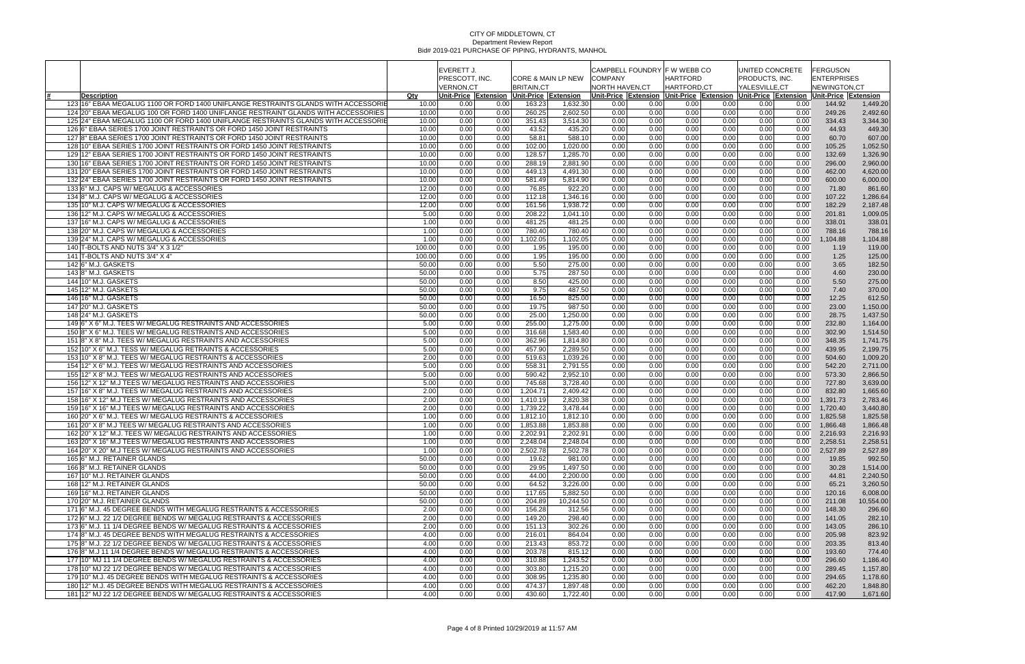| PRESCOTT, INC.<br>CORE & MAIN LP NEW<br>PRODUCTS, INC.<br><b>VERNON,CT</b><br>NORTH HAVEN,CT<br>HARTFORD,CT<br><b>BRITAIN.CT</b><br>YALESVILLE,CT<br>NEWINGTON.CT<br>Qty<br>Unit-Price Extension Unit-Price Extension Unit-Price Extension Unit-Price Extension<br><b>Description</b><br>Unit-Price  Extension  Unit-Price  Extension<br>123 16" EBAA MEGALUG 1100 OR FORD 1400 UNIFLANGE RESTRAINTS GLANDS WITH ACCESSORIE<br>1,449.20<br>10.00<br>0.00<br>0.00<br>163.23<br>1,632.30<br>0.00<br>0.00<br>0.00<br>0.00<br>0.00<br>0.00<br>144.92<br>124 20" EBAA MEGALUG 100 OR FORD 1400 UNIFLANGE RESTRAINT GLANDS WITH ACCESSORIES<br>260.25<br>$\overline{2,60}$ 2.50<br>0.00<br>0.00<br>0.00<br>249.26<br>10.00<br>0.00<br>0.00<br>0.00<br>0.00<br>0.00<br>2,492.60<br>351.43<br>3,514.30<br>0.00<br>0.00<br>0.00<br>0.00<br>0.00<br>334.43<br>125 24" EBAA MEGALUG 1100 OR FORD 1400 UNIFLANGE RESTRAINTS GLANDS WITH ACCESSORIE<br>10.00<br>0.00<br>0.00<br>0.00<br>3,344.30<br>126 6" EBAA SERIES 1700 JOINT RESTRAINTS OR FORD 1450 JOINT RESTRAINTS<br>10.00<br>0.00<br>43.52<br>435.20<br>0.00<br>0.00<br>0.00<br>0.00<br>0.00<br>44.93<br>449.30<br>0.00<br>0.00<br>127 8" EBAA SERIES 1700 JOINT RESTRAINTS OR FORD 1450 JOINT RESTRAINTS<br>58.81<br>588.10<br>0.00<br>0.00<br>10.00<br>0.00<br>0.00<br>0.00<br>0.00<br>0.00<br>0.00<br>60.70<br>607.00<br>128 10" EBAA SERIES 1700 JOINT RESTRAINTS OR FORD 1450 JOINT RESTRAINTS<br>0.00<br>0.00<br>0.00<br>0.00<br>10.00<br>0.00<br>0.00<br>102.00<br>1,020.00<br>0.00<br>0.00<br>105.25<br>1,052.50<br>129 12" EBAA SERIES 1700 JOINT RESTRAINTS OR FORD 1450 JOINT RESTRAINTS<br>0.00<br>0.00<br>0.00<br>10.00<br>0.00<br>0.00<br>128.57<br>1,285.70<br>0.00<br>0.00<br>0.00<br>132.69<br>1,326.90<br>130 16" EBAA SERIES 1700 JOINT RESTRAINTS OR FORD 1450 JOINT RESTRAINTS<br>10.00<br>0.00<br>288.19<br>2,881.90<br>0.00<br>0.00<br>0.00<br>0.00<br>0.00<br>0.00<br>0.00<br>296.00<br>2,960.00<br>131 20" EBAA SERIES 1700 JOINT RESTRAINTS OR FORD 1450 JOINT RESTRAINTS<br>449.13<br>4,491.30<br>0.00<br>0.00<br>0.00<br>0.00<br>0.00<br>0.00<br>10.00<br>0.00<br>0.00<br>462.00<br>4,620.00<br>0.00<br>132 24" EBAA SERIES 1700 JOINT RESTRAINTS OR FORD 1450 JOINT RESTRAINTS<br>0.00<br>581.49<br>5,814.90<br>0.00<br>0.00<br>0.00<br>0.00<br>0.00<br>10.00<br>0.00<br>600.00<br>6,000.00<br>133 6" M.J. CAPS W/ MEGALUG & ACCESSORIES<br>12.00<br>0.00<br>76.85<br>922.20<br>0.00<br>0.00<br>0.00<br>0.00<br>0.00<br>71.80<br>861.60<br>0.00<br>0.00<br>134 8" M.J. CAPS W/ MEGALUG & ACCESSORIES<br>12.00<br>0.00<br>0.00<br>112.18<br>1,346.16<br>0.00<br>0.00<br>0.00<br>0.00<br>0.00<br>0.00<br>107.22<br>1,286.64<br>135 10" M.J. CAPS W/ MEGALUG & ACCESSORIES<br>0.00<br>0.00<br>0.00<br>182.29<br>12.00<br>0.00<br>0.00<br>161.56<br>1,938.72<br>0.00<br>0.00<br>0.00<br>2,187.48<br>136 12" M.J. CAPS W/ MEGALUG & ACCESSORIES<br>5.00<br>208.22<br>0.00<br>0.00<br>0.00<br>0.00<br>0.00<br>0.00<br>0.00<br>1,041.10<br>0.00<br>201.81<br>1,009.05<br>137 16" M.J. CAPS W/ MEGALUG & ACCESSORIES<br>1.00<br>0.00<br>481.25<br>481.25<br>0.00<br>0.00<br>0.00<br>0.00<br>0.00<br>0.00<br>0.00<br>338.01<br>338.01<br>138 20" M.J. CAPS W/ MEGALUG & ACCESSORIES<br>1.00<br>780.40<br>0.00<br>0.00<br>0.00<br>0.00<br>0.00<br>788.16<br>788.16<br>0.00<br>0.00<br>780.40<br>0.00<br>139 24" M.J. CAPS W/ MEGALUG & ACCESSORIES<br>0.00<br>1.00<br>0.00<br>0.00<br>1,102.05<br>1,102.05<br>0.00<br>0.00<br>0.00<br>0.00<br>0.00<br>1,104.88<br>1,104.88<br>0.00<br>0.00<br>0.00<br>0.00<br>140 T-BOLTS AND NUTS 3/4" X 3 1/2"<br>100.00<br>0.00<br>1.95<br>195.00<br>0.00<br>0.00<br>0.00<br>119.00<br>1.19<br>141 T-BOLTS AND NUTS $3/4"$ X 4"<br>0.00<br>1.95<br>195.00<br>0.00<br>0.00<br>0.00<br>0.00<br>0.00<br>1.25<br>125.00<br>100.00<br>0.00<br>0.00<br>142 6" M.J. GASKETS<br>5.50<br>182.50<br>50.00<br>0.00<br>0.00<br>275.00<br>0.00<br>0.00<br>0.00<br>0.00<br>0.00<br>0.00<br>3.65<br>0.00<br>5.75<br>287.50<br>0.00<br>0.00<br>0.00<br>0.00<br>0.00<br>4.60<br>230.00<br>143 8" M.J. GASKETS<br>50.00<br>0.00<br>0.00<br>8.50<br>425.00<br>0.00<br>0.00<br>275.00<br>50.00<br>0.00<br>0.00<br>0.00<br>0.00<br>0.00<br>0.00<br>5.50<br>144 10" M.J. GASKETS<br>487.50<br>0.00<br>145 12" M.J. GASKETS<br>50.00<br>0.00<br>0.00<br>9.75<br>0.00<br>0.00<br>0.00<br>0.00<br>0.00<br>7.40<br>370.00<br>0.00<br>16.50<br>825.00<br>0.00<br>0.00<br>0.00<br>0.00<br>0.00<br>12.25<br>612.50<br>146 16" M.J. GASKETS<br>50.00<br>0.00<br>0.00<br>19.75<br>987.50<br>147 20" M.J. GASKETS<br>50.00<br>0.00<br>0.00<br>0.00<br>0.00<br>0.00<br>0.00<br>0.00<br>0.00<br>23.00<br>1,150.00<br>148 24" M.J. GASKETS<br>50.00<br>0.00<br>25.00<br>1,250.00<br>0.00<br>0.00<br>0.00<br>0.00<br>0.00<br>0.00<br>1,437.50<br>0.00<br>28.75<br>149 6" X 6" M.J. TEES W/ MEGALUG RESTRAINTS AND ACCESSORIES<br>0.00<br>255.00<br>0.00<br>0.00<br>0.00<br>0.00<br>5.00<br>0.00<br>1,275.00<br>0.00<br>0.00<br>232.80<br>1,164.00<br>316.68<br>0.00<br>0.00<br>0.00<br>0.00<br>1,514.50<br>150 8" X 6" M.J. TEES W/ MEGALUG RESTRAINTS AND ACCESSORIES<br>5.00<br>0.00<br>0.00<br>1,583.40<br>0.00<br>0.00<br>302.90<br>151 8" X 8" M.J. TEES W/ MEGALUG RESTRAINTS AND ACCESSORIES<br>5.00<br>362.96<br>1,814.80<br>0.00<br>0.00<br>0.00<br>0.00<br>1,741.75<br>0.00<br>0.00<br>0.00<br>0.00<br>348.35<br>152 10" X 6" M.J. TESS W/ MEGALUG RETRAINTS & ACCESSORIES<br>5.00<br>0.00<br>0.00<br>457.90<br>2,289.50<br>0.00<br>0.00<br>0.00<br>0.00<br>0.00<br>0.00<br>2,199.75<br>439.95<br>153 10" X 8" M.J. TEES W/ MEGALUG RESTRAINTS & ACCESSORIES<br>519.63<br>0.00<br>0.00<br>2.00<br>0.00<br>0.00<br>1,039.26<br>0.00<br>0.00<br>0.00<br>0.00<br>504.60<br>1,009.20<br>154 12" X 6" M.J. TEES W/ MEGALUG RESTRAINTS AND ACCESSORIES<br>5.00<br>558.31<br>0.00<br>0.00<br>0.00<br>0.00<br>0.00<br>2,791.55<br>0.00<br>0.00<br>0.00<br>542.20<br>2,711.00<br>155 12" X 8" M.J. TEES W/ MEGALUG RESTRAINTS AND ACCESSORIES<br>5.00<br>0.00<br>590.42<br>2,952.10<br>0.00<br>0.00<br>0.00<br>0.00<br>0.00<br>573.30<br>2,866.50<br>0.00<br>0.00<br>156 12" X 12" M.J TEES W/ MEGALUG RESTRAINTS AND ACCESSORIES<br>745.68<br>0.00<br>0.00<br>0.00<br>0.00<br>727.80<br>5.00<br>0.00<br>0.00<br>3,728.40<br>0.00<br>0.00<br>3,639.00<br>0.00<br>157 16" X 8" M.J. TEES W/ MEGALUG RESTRAINTS AND ACCESSORIES<br>2.00<br>0.00<br>1,204.71<br>2,409.42<br>0.00<br>0.00<br>0.00<br>0.00<br>0.00<br>832.80<br>0.00<br>1,665.60<br>158 16" X 12" M.J TEES W/ MEGALUG RESTRAINTS AND ACCESSORIES<br>2,820.38<br>2.00<br>1,410.19<br>0.00<br>0.00<br>0.00<br>0.00<br>0.00<br>1,391.73<br>2,783.46<br>0.00<br>0.00<br>0.00<br>159 16" X 16" M.J TEES W/ MEGALUG RESTRAINTS AND ACCESSORIES<br>2.00<br>1,739.22<br>$\overline{3,}478.44$<br>0.00<br>0.00<br>0.00<br>0.00<br>0.00<br>0.00<br>0.00<br>0.00<br>1,720.40<br>3,440.80<br>160 20" X 6" M.J. TEES W/ MEGALUG RESTRAINTS & ACCESSORIES<br>1,812.10<br>0.00<br>0.00<br>0.00<br>1.00<br>0.00<br>0.00<br>1,812.10<br>0.00<br>0.00<br>0.00<br>1,825.58<br>1,825.58<br>161 20" X 8" M.J TEES W/ MEGALUG RESTRAINTS AND ACCESSORIES<br>1,853.88<br>1.00<br>0.00<br>0.00<br>1,853.88<br>0.00<br>0.00<br>0.00<br>0.00<br>0.00<br>0.00<br>1,866.48<br>1,866.48<br>162 20" X 12" M.J. TEES W/ MEGALUG RESTRAINTS AND ACCESSORIES<br>1.00<br>0.00<br>0.00<br>2,202.91<br>2,202.91<br>0.00<br>0.00<br>0.00<br>0.00<br>0.00<br>0.00<br>2,216.93<br>2,216.93<br>163 20" X 16" M.J TEES W/ MEGALUG RESTRAINTS AND ACCESSORIES<br>1.00<br>0.00<br>0.00<br>2,248.04<br>2,248.04<br>0.00<br>0.00<br>0.00<br>0.00<br>0.00<br>0.00<br>2,258.51<br>2,258.51<br>164 20" X 20" M.J TEES W/ MEGALUG RESTRAINTS AND ACCESSORIES<br>2,502.78<br>0.00<br>1.00<br>0.00<br>0.00<br>2,502.78<br>0.00<br>0.00<br>0.00<br>0.00<br>0.00<br>2,527.89<br>2,527.89<br>0.00<br>0.00<br>992.50<br>165 6" M.J. RETAINER GLANDS<br>50.00<br>0.00<br>19.62<br>981.00<br>0.00<br>0.00<br>0.00<br>19.85<br>0.00<br>0.00<br>1668" M.J. RETAINER GLANDS<br>1,497.50<br>0.00<br>0.00<br>1,514.00<br>50.00<br>0.00<br>0.00<br>29.95<br>0.00<br>0.00<br>0.00<br>0.00<br>30.28<br>167 10" M.J. RETAINER GLANDS<br>50.00<br>0.00<br>0.00<br>44.00<br>2,200.00<br>0.00<br>0.00<br>0.00<br>0.00<br>0.00<br>0.00<br>44.81<br>2,240.50<br>0.00<br>3,260.50<br>168 12" M.J. RETAINER GLANDS<br>50.00<br>0.00<br>64.52<br>3,226.00<br>0.00<br>0.00<br>0.00<br>0.00<br>0.00<br>65.21<br>0.00<br>$\overline{5,882.50}$<br>6,008.00<br>169 16" M.J. RETAINER GLANDS<br>117.65<br>0.00<br>0.00<br>0.00<br>0.00<br>120.16<br>50.00<br>0.00<br>0.00<br>0.00<br>0.00<br>170 20" M.J. RETAINER GLANDS<br>10,244.50<br>0.00<br>0.00<br>0.00<br>10,554.00<br>50.00<br>0.00<br>0.00<br>204.89<br>0.00<br>0.00<br>0.00<br>211.08<br>171 6" M.J. 45 DEGREE BENDS WITH MEGALUG RESTRAINTS & ACCESSORIES<br>2.00<br>0.00<br>156.28<br>312.56<br>0.00<br>0.00<br>0.00<br>0.00<br>0.00<br>148.30<br>296.60<br>0.00<br>0.00<br>282.10<br>172 6" M.J. 22 1/2 DEGREE BENDS W/ MEGALUG RESTRAINTS & ACCESSORIES<br>2.00<br>149.20<br>298.40<br>0.00<br>0.00<br>0.00<br>0.00<br>0.00<br>141.05<br>0.00<br>0.00<br>0.00<br>173 6" M.J. 11 1/4 DEGREE BENDS W/ MEGALUG RESTRAINTS & ACCESSORIES<br>2.00<br>302.26<br>0.00<br>0.00<br>0.00<br>0.00<br>0.00<br>0.00<br>151.13<br>0.00<br>0.00<br>143.05<br>286.10<br>174 8" M.J. 45 DEGREE BENDS WITH MEGALUG RESTRAINTS & ACCESSORIES<br>0.00<br>823.92<br>4.00<br>0.00<br>0.00<br>216.01<br>864.04<br>0.00<br>0.00<br>0.00<br>0.00<br>0.00<br>205.98<br>853.72<br>175 8" M.J. 22 1/2 DEGREE BENDS W/ MEGALUG RESTRAINTS & ACCESSORIES<br>4.00<br>0.00<br>0.00<br>213.43<br>0.00<br>0.00<br>0.00<br>0.00<br>0.00<br>0.00<br>203.35<br>813.40<br>176 8" M.J 11 1/4 DEGREE BENDS W/ MEGALUG RESTRAINTS & ACCESSORIES<br>0.00<br>0.00<br>4.00<br>0.00<br>203.78<br>815.12<br>0.00<br>0.00<br>0.00<br>0.00<br>193.60<br>774.40<br>0.00<br>177 10" MJ 11 1/4 DEGREE BENDS W/ MEGALUG RESTRAINTS & ACCESSORIES<br>1,243.52<br>0.00<br>0.00<br>0.00<br>0.00<br>4.00<br>0.00<br>0.00<br>310.88<br>0.00<br>0.00<br>296.60<br>1,186.40<br>178 10" MJ 22 1/2 DEGREE BENDS W/ MEGALUG RESTRAINTS & ACCESSORIES<br>1,215.20<br>0.00<br>1,157.80<br>4.00<br>0.00<br>0.00<br>303.80<br>0.00<br>0.00<br>0.00<br>0.00<br>0.00<br>289.45<br>179 10" M.J. 45 DEGREE BENDS WITH MEGALUG RESTRAINTS & ACCESSORIES<br>4.00<br>308.95<br>1,235.80<br>0.00<br>0.00<br>0.00<br>0.00<br>0.00<br>294.65<br>1,178.60<br>0.00<br>0.00<br>0.00<br>180 12" M.J. 45 DEGREE BENDS WITH MEGALUG RESTRAINTS & ACCESSORIES<br>474.37<br>4.00<br>1,897.48<br>0.00<br>0.00<br>0.00<br>0.00<br>0.00<br>462.20<br>1,848.80<br>0.00<br>0.00<br>0.00<br>181   12" MJ 22 1/2 DEGREE BENDS W/ MEGALUG RESTRAINTS & ACCESSORIES<br>4.00<br>0.00<br>0.00<br>430.60<br>1,722.40<br>0.00<br>0.00<br>0.00<br>0.00<br>0.00<br>0.00<br>417.90<br>1,671.60 |  | EVERETT J. |  |  |  |                | CAMPBELL FOUNDRY F W WEBB CO | UNITED CONCRETE | <b>FERGUSON</b><br><b>ENTERPRISES</b> |  |  |
|-------------------------------------------------------------------------------------------------------------------------------------------------------------------------------------------------------------------------------------------------------------------------------------------------------------------------------------------------------------------------------------------------------------------------------------------------------------------------------------------------------------------------------------------------------------------------------------------------------------------------------------------------------------------------------------------------------------------------------------------------------------------------------------------------------------------------------------------------------------------------------------------------------------------------------------------------------------------------------------------------------------------------------------------------------------------------------------------------------------------------------------------------------------------------------------------------------------------------------------------------------------------------------------------------------------------------------------------------------------------------------------------------------------------------------------------------------------------------------------------------------------------------------------------------------------------------------------------------------------------------------------------------------------------------------------------------------------------------------------------------------------------------------------------------------------------------------------------------------------------------------------------------------------------------------------------------------------------------------------------------------------------------------------------------------------------------------------------------------------------------------------------------------------------------------------------------------------------------------------------------------------------------------------------------------------------------------------------------------------------------------------------------------------------------------------------------------------------------------------------------------------------------------------------------------------------------------------------------------------------------------------------------------------------------------------------------------------------------------------------------------------------------------------------------------------------------------------------------------------------------------------------------------------------------------------------------------------------------------------------------------------------------------------------------------------------------------------------------------------------------------------------------------------------------------------------------------------------------------------------------------------------------------------------------------------------------------------------------------------------------------------------------------------------------------------------------------------------------------------------------------------------------------------------------------------------------------------------------------------------------------------------------------------------------------------------------------------------------------------------------------------------------------------------------------------------------------------------------------------------------------------------------------------------------------------------------------------------------------------------------------------------------------------------------------------------------------------------------------------------------------------------------------------------------------------------------------------------------------------------------------------------------------------------------------------------------------------------------------------------------------------------------------------------------------------------------------------------------------------------------------------------------------------------------------------------------------------------------------------------------------------------------------------------------------------------------------------------------------------------------------------------------------------------------------------------------------------------------------------------------------------------------------------------------------------------------------------------------------------------------------------------------------------------------------------------------------------------------------------------------------------------------------------------------------------------------------------------------------------------------------------------------------------------------------------------------------------------------------------------------------------------------------------------------------------------------------------------------------------------------------------------------------------------------------------------------------------------------------------------------------------------------------------------------------------------------------------------------------------------------------------------------------------------------------------------------------------------------------------------------------------------------------------------------------------------------------------------------------------------------------------------------------------------------------------------------------------------------------------------------------------------------------------------------------------------------------------------------------------------------------------------------------------------------------------------------------------------------------------------------------------------------------------------------------------------------------------------------------------------------------------------------------------------------------------------------------------------------------------------------------------------------------------------------------------------------------------------------------------------------------------------------------------------------------------------------------------------------------------------------------------------------------------------------------------------------------------------------------------------------------------------------------------------------------------------------------------------------------------------------------------------------------------------------------------------------------------------------------------------------------------------------------------------------------------------------------------------------------------------------------------------------------------------------------------------------------------------------------------------------------------------------------------------------------------------------------------------------------------------------------------------------------------------------------------------------------------------------------------------------------------------------------------------------------------------------------------------------------------------------------------------------------------------------------------------------------------------------------------------------------------------------------------------------------------------------------------------------------------------------------------------------------------------------------------------------------------------------------------------------------------------------------------------------------------------------------------------------------------------------------------------------------------------------------------------------------------------------------------------------------------------------------------------------------------------------------------------------------------------------------------------------------------------------------------------------------------------------------------------------------------------------------------------------------------------------------------------------------------------------------------------------------------------------------------------------------------------------------------------------------------------------------------------------------------------------------------------------------------------------------------------------------------------------------------------------------------------------------------------------------------------------------------------------------------------------------------------------------------------------------------------------------------------------------------------------------------------------------------------------------------------------------------------------------------------------------------------------------------------------------------------------------------------------------------------------------------------------------------------------------------------------------------------------------------------------------------------------------------------------------------------------------------------------------------------------------------------------------------------------------------------------------------------------------------------------------------------------------------------------------------------------------------------------------------------------------------------------------------------------------------------------------------------------------------------------------------------------------------------------------------------------------------------------------------------------------------------------------------------------------------------------------------------------------------------------------------------------------------------------------------------------------------------------------------------------------------------------------------------------------------------------------------------------------------------------------------------------------------------------------------------------------|--|------------|--|--|--|----------------|------------------------------|-----------------|---------------------------------------|--|--|
|                                                                                                                                                                                                                                                                                                                                                                                                                                                                                                                                                                                                                                                                                                                                                                                                                                                                                                                                                                                                                                                                                                                                                                                                                                                                                                                                                                                                                                                                                                                                                                                                                                                                                                                                                                                                                                                                                                                                                                                                                                                                                                                                                                                                                                                                                                                                                                                                                                                                                                                                                                                                                                                                                                                                                                                                                                                                                                                                                                                                                                                                                                                                                                                                                                                                                                                                                                                                                                                                                                                                                                                                                                                                                                                                                                                                                                                                                                                                                                                                                                                                                                                                                                                                                                                                                                                                                                                                                                                                                                                                                                                                                                                                                                                                                                                                                                                                                                                                                                                                                                                                                                                                                                                                                                                                                                                                                                                                                                                                                                                                                                                                                                                                                                                                                                                                                                                                                                                                                                                                                                                                                                                                                                                                                                                                                                                                                                                                                                                                                                                                                                                                                                                                                                                                                                                                                                                                                                                                                                                                                                                                                                                                                                                                                                                                                                                                                                                                                                                                                                                                                                                                                                                                                                                                                                                                                                                                                                                                                                                                                                                                                                                                                                                                                                                                                                                                                                                                                                                                                                                                                                                                                                                                                                                                                                                                                                                                                                                                                                                                                                                                                                                                                                                                                                                                                                                                                                                                                                                                                                                                                                                                                                                                                                                                                                                                                                                                                                                                                                                                                                                                                                                                                                                                                                                                                                                                                                                                                                                                                                                                                                                                                                                                                                                                                                                                                                                                                                       |  |            |  |  |  | <b>COMPANY</b> | HARTFORD                     |                 |                                       |  |  |
|                                                                                                                                                                                                                                                                                                                                                                                                                                                                                                                                                                                                                                                                                                                                                                                                                                                                                                                                                                                                                                                                                                                                                                                                                                                                                                                                                                                                                                                                                                                                                                                                                                                                                                                                                                                                                                                                                                                                                                                                                                                                                                                                                                                                                                                                                                                                                                                                                                                                                                                                                                                                                                                                                                                                                                                                                                                                                                                                                                                                                                                                                                                                                                                                                                                                                                                                                                                                                                                                                                                                                                                                                                                                                                                                                                                                                                                                                                                                                                                                                                                                                                                                                                                                                                                                                                                                                                                                                                                                                                                                                                                                                                                                                                                                                                                                                                                                                                                                                                                                                                                                                                                                                                                                                                                                                                                                                                                                                                                                                                                                                                                                                                                                                                                                                                                                                                                                                                                                                                                                                                                                                                                                                                                                                                                                                                                                                                                                                                                                                                                                                                                                                                                                                                                                                                                                                                                                                                                                                                                                                                                                                                                                                                                                                                                                                                                                                                                                                                                                                                                                                                                                                                                                                                                                                                                                                                                                                                                                                                                                                                                                                                                                                                                                                                                                                                                                                                                                                                                                                                                                                                                                                                                                                                                                                                                                                                                                                                                                                                                                                                                                                                                                                                                                                                                                                                                                                                                                                                                                                                                                                                                                                                                                                                                                                                                                                                                                                                                                                                                                                                                                                                                                                                                                                                                                                                                                                                                                                                                                                                                                                                                                                                                                                                                                                                                                                                                                                                       |  |            |  |  |  |                |                              |                 |                                       |  |  |
|                                                                                                                                                                                                                                                                                                                                                                                                                                                                                                                                                                                                                                                                                                                                                                                                                                                                                                                                                                                                                                                                                                                                                                                                                                                                                                                                                                                                                                                                                                                                                                                                                                                                                                                                                                                                                                                                                                                                                                                                                                                                                                                                                                                                                                                                                                                                                                                                                                                                                                                                                                                                                                                                                                                                                                                                                                                                                                                                                                                                                                                                                                                                                                                                                                                                                                                                                                                                                                                                                                                                                                                                                                                                                                                                                                                                                                                                                                                                                                                                                                                                                                                                                                                                                                                                                                                                                                                                                                                                                                                                                                                                                                                                                                                                                                                                                                                                                                                                                                                                                                                                                                                                                                                                                                                                                                                                                                                                                                                                                                                                                                                                                                                                                                                                                                                                                                                                                                                                                                                                                                                                                                                                                                                                                                                                                                                                                                                                                                                                                                                                                                                                                                                                                                                                                                                                                                                                                                                                                                                                                                                                                                                                                                                                                                                                                                                                                                                                                                                                                                                                                                                                                                                                                                                                                                                                                                                                                                                                                                                                                                                                                                                                                                                                                                                                                                                                                                                                                                                                                                                                                                                                                                                                                                                                                                                                                                                                                                                                                                                                                                                                                                                                                                                                                                                                                                                                                                                                                                                                                                                                                                                                                                                                                                                                                                                                                                                                                                                                                                                                                                                                                                                                                                                                                                                                                                                                                                                                                                                                                                                                                                                                                                                                                                                                                                                                                                                                                                       |  |            |  |  |  |                |                              |                 |                                       |  |  |
|                                                                                                                                                                                                                                                                                                                                                                                                                                                                                                                                                                                                                                                                                                                                                                                                                                                                                                                                                                                                                                                                                                                                                                                                                                                                                                                                                                                                                                                                                                                                                                                                                                                                                                                                                                                                                                                                                                                                                                                                                                                                                                                                                                                                                                                                                                                                                                                                                                                                                                                                                                                                                                                                                                                                                                                                                                                                                                                                                                                                                                                                                                                                                                                                                                                                                                                                                                                                                                                                                                                                                                                                                                                                                                                                                                                                                                                                                                                                                                                                                                                                                                                                                                                                                                                                                                                                                                                                                                                                                                                                                                                                                                                                                                                                                                                                                                                                                                                                                                                                                                                                                                                                                                                                                                                                                                                                                                                                                                                                                                                                                                                                                                                                                                                                                                                                                                                                                                                                                                                                                                                                                                                                                                                                                                                                                                                                                                                                                                                                                                                                                                                                                                                                                                                                                                                                                                                                                                                                                                                                                                                                                                                                                                                                                                                                                                                                                                                                                                                                                                                                                                                                                                                                                                                                                                                                                                                                                                                                                                                                                                                                                                                                                                                                                                                                                                                                                                                                                                                                                                                                                                                                                                                                                                                                                                                                                                                                                                                                                                                                                                                                                                                                                                                                                                                                                                                                                                                                                                                                                                                                                                                                                                                                                                                                                                                                                                                                                                                                                                                                                                                                                                                                                                                                                                                                                                                                                                                                                                                                                                                                                                                                                                                                                                                                                                                                                                                                                                       |  |            |  |  |  |                |                              |                 |                                       |  |  |
|                                                                                                                                                                                                                                                                                                                                                                                                                                                                                                                                                                                                                                                                                                                                                                                                                                                                                                                                                                                                                                                                                                                                                                                                                                                                                                                                                                                                                                                                                                                                                                                                                                                                                                                                                                                                                                                                                                                                                                                                                                                                                                                                                                                                                                                                                                                                                                                                                                                                                                                                                                                                                                                                                                                                                                                                                                                                                                                                                                                                                                                                                                                                                                                                                                                                                                                                                                                                                                                                                                                                                                                                                                                                                                                                                                                                                                                                                                                                                                                                                                                                                                                                                                                                                                                                                                                                                                                                                                                                                                                                                                                                                                                                                                                                                                                                                                                                                                                                                                                                                                                                                                                                                                                                                                                                                                                                                                                                                                                                                                                                                                                                                                                                                                                                                                                                                                                                                                                                                                                                                                                                                                                                                                                                                                                                                                                                                                                                                                                                                                                                                                                                                                                                                                                                                                                                                                                                                                                                                                                                                                                                                                                                                                                                                                                                                                                                                                                                                                                                                                                                                                                                                                                                                                                                                                                                                                                                                                                                                                                                                                                                                                                                                                                                                                                                                                                                                                                                                                                                                                                                                                                                                                                                                                                                                                                                                                                                                                                                                                                                                                                                                                                                                                                                                                                                                                                                                                                                                                                                                                                                                                                                                                                                                                                                                                                                                                                                                                                                                                                                                                                                                                                                                                                                                                                                                                                                                                                                                                                                                                                                                                                                                                                                                                                                                                                                                                                                                                       |  |            |  |  |  |                |                              |                 |                                       |  |  |
|                                                                                                                                                                                                                                                                                                                                                                                                                                                                                                                                                                                                                                                                                                                                                                                                                                                                                                                                                                                                                                                                                                                                                                                                                                                                                                                                                                                                                                                                                                                                                                                                                                                                                                                                                                                                                                                                                                                                                                                                                                                                                                                                                                                                                                                                                                                                                                                                                                                                                                                                                                                                                                                                                                                                                                                                                                                                                                                                                                                                                                                                                                                                                                                                                                                                                                                                                                                                                                                                                                                                                                                                                                                                                                                                                                                                                                                                                                                                                                                                                                                                                                                                                                                                                                                                                                                                                                                                                                                                                                                                                                                                                                                                                                                                                                                                                                                                                                                                                                                                                                                                                                                                                                                                                                                                                                                                                                                                                                                                                                                                                                                                                                                                                                                                                                                                                                                                                                                                                                                                                                                                                                                                                                                                                                                                                                                                                                                                                                                                                                                                                                                                                                                                                                                                                                                                                                                                                                                                                                                                                                                                                                                                                                                                                                                                                                                                                                                                                                                                                                                                                                                                                                                                                                                                                                                                                                                                                                                                                                                                                                                                                                                                                                                                                                                                                                                                                                                                                                                                                                                                                                                                                                                                                                                                                                                                                                                                                                                                                                                                                                                                                                                                                                                                                                                                                                                                                                                                                                                                                                                                                                                                                                                                                                                                                                                                                                                                                                                                                                                                                                                                                                                                                                                                                                                                                                                                                                                                                                                                                                                                                                                                                                                                                                                                                                                                                                                                                                       |  |            |  |  |  |                |                              |                 |                                       |  |  |
|                                                                                                                                                                                                                                                                                                                                                                                                                                                                                                                                                                                                                                                                                                                                                                                                                                                                                                                                                                                                                                                                                                                                                                                                                                                                                                                                                                                                                                                                                                                                                                                                                                                                                                                                                                                                                                                                                                                                                                                                                                                                                                                                                                                                                                                                                                                                                                                                                                                                                                                                                                                                                                                                                                                                                                                                                                                                                                                                                                                                                                                                                                                                                                                                                                                                                                                                                                                                                                                                                                                                                                                                                                                                                                                                                                                                                                                                                                                                                                                                                                                                                                                                                                                                                                                                                                                                                                                                                                                                                                                                                                                                                                                                                                                                                                                                                                                                                                                                                                                                                                                                                                                                                                                                                                                                                                                                                                                                                                                                                                                                                                                                                                                                                                                                                                                                                                                                                                                                                                                                                                                                                                                                                                                                                                                                                                                                                                                                                                                                                                                                                                                                                                                                                                                                                                                                                                                                                                                                                                                                                                                                                                                                                                                                                                                                                                                                                                                                                                                                                                                                                                                                                                                                                                                                                                                                                                                                                                                                                                                                                                                                                                                                                                                                                                                                                                                                                                                                                                                                                                                                                                                                                                                                                                                                                                                                                                                                                                                                                                                                                                                                                                                                                                                                                                                                                                                                                                                                                                                                                                                                                                                                                                                                                                                                                                                                                                                                                                                                                                                                                                                                                                                                                                                                                                                                                                                                                                                                                                                                                                                                                                                                                                                                                                                                                                                                                                                                                                       |  |            |  |  |  |                |                              |                 |                                       |  |  |
|                                                                                                                                                                                                                                                                                                                                                                                                                                                                                                                                                                                                                                                                                                                                                                                                                                                                                                                                                                                                                                                                                                                                                                                                                                                                                                                                                                                                                                                                                                                                                                                                                                                                                                                                                                                                                                                                                                                                                                                                                                                                                                                                                                                                                                                                                                                                                                                                                                                                                                                                                                                                                                                                                                                                                                                                                                                                                                                                                                                                                                                                                                                                                                                                                                                                                                                                                                                                                                                                                                                                                                                                                                                                                                                                                                                                                                                                                                                                                                                                                                                                                                                                                                                                                                                                                                                                                                                                                                                                                                                                                                                                                                                                                                                                                                                                                                                                                                                                                                                                                                                                                                                                                                                                                                                                                                                                                                                                                                                                                                                                                                                                                                                                                                                                                                                                                                                                                                                                                                                                                                                                                                                                                                                                                                                                                                                                                                                                                                                                                                                                                                                                                                                                                                                                                                                                                                                                                                                                                                                                                                                                                                                                                                                                                                                                                                                                                                                                                                                                                                                                                                                                                                                                                                                                                                                                                                                                                                                                                                                                                                                                                                                                                                                                                                                                                                                                                                                                                                                                                                                                                                                                                                                                                                                                                                                                                                                                                                                                                                                                                                                                                                                                                                                                                                                                                                                                                                                                                                                                                                                                                                                                                                                                                                                                                                                                                                                                                                                                                                                                                                                                                                                                                                                                                                                                                                                                                                                                                                                                                                                                                                                                                                                                                                                                                                                                                                                                                                       |  |            |  |  |  |                |                              |                 |                                       |  |  |
|                                                                                                                                                                                                                                                                                                                                                                                                                                                                                                                                                                                                                                                                                                                                                                                                                                                                                                                                                                                                                                                                                                                                                                                                                                                                                                                                                                                                                                                                                                                                                                                                                                                                                                                                                                                                                                                                                                                                                                                                                                                                                                                                                                                                                                                                                                                                                                                                                                                                                                                                                                                                                                                                                                                                                                                                                                                                                                                                                                                                                                                                                                                                                                                                                                                                                                                                                                                                                                                                                                                                                                                                                                                                                                                                                                                                                                                                                                                                                                                                                                                                                                                                                                                                                                                                                                                                                                                                                                                                                                                                                                                                                                                                                                                                                                                                                                                                                                                                                                                                                                                                                                                                                                                                                                                                                                                                                                                                                                                                                                                                                                                                                                                                                                                                                                                                                                                                                                                                                                                                                                                                                                                                                                                                                                                                                                                                                                                                                                                                                                                                                                                                                                                                                                                                                                                                                                                                                                                                                                                                                                                                                                                                                                                                                                                                                                                                                                                                                                                                                                                                                                                                                                                                                                                                                                                                                                                                                                                                                                                                                                                                                                                                                                                                                                                                                                                                                                                                                                                                                                                                                                                                                                                                                                                                                                                                                                                                                                                                                                                                                                                                                                                                                                                                                                                                                                                                                                                                                                                                                                                                                                                                                                                                                                                                                                                                                                                                                                                                                                                                                                                                                                                                                                                                                                                                                                                                                                                                                                                                                                                                                                                                                                                                                                                                                                                                                                                                                                       |  |            |  |  |  |                |                              |                 |                                       |  |  |
|                                                                                                                                                                                                                                                                                                                                                                                                                                                                                                                                                                                                                                                                                                                                                                                                                                                                                                                                                                                                                                                                                                                                                                                                                                                                                                                                                                                                                                                                                                                                                                                                                                                                                                                                                                                                                                                                                                                                                                                                                                                                                                                                                                                                                                                                                                                                                                                                                                                                                                                                                                                                                                                                                                                                                                                                                                                                                                                                                                                                                                                                                                                                                                                                                                                                                                                                                                                                                                                                                                                                                                                                                                                                                                                                                                                                                                                                                                                                                                                                                                                                                                                                                                                                                                                                                                                                                                                                                                                                                                                                                                                                                                                                                                                                                                                                                                                                                                                                                                                                                                                                                                                                                                                                                                                                                                                                                                                                                                                                                                                                                                                                                                                                                                                                                                                                                                                                                                                                                                                                                                                                                                                                                                                                                                                                                                                                                                                                                                                                                                                                                                                                                                                                                                                                                                                                                                                                                                                                                                                                                                                                                                                                                                                                                                                                                                                                                                                                                                                                                                                                                                                                                                                                                                                                                                                                                                                                                                                                                                                                                                                                                                                                                                                                                                                                                                                                                                                                                                                                                                                                                                                                                                                                                                                                                                                                                                                                                                                                                                                                                                                                                                                                                                                                                                                                                                                                                                                                                                                                                                                                                                                                                                                                                                                                                                                                                                                                                                                                                                                                                                                                                                                                                                                                                                                                                                                                                                                                                                                                                                                                                                                                                                                                                                                                                                                                                                                                                                       |  |            |  |  |  |                |                              |                 |                                       |  |  |
|                                                                                                                                                                                                                                                                                                                                                                                                                                                                                                                                                                                                                                                                                                                                                                                                                                                                                                                                                                                                                                                                                                                                                                                                                                                                                                                                                                                                                                                                                                                                                                                                                                                                                                                                                                                                                                                                                                                                                                                                                                                                                                                                                                                                                                                                                                                                                                                                                                                                                                                                                                                                                                                                                                                                                                                                                                                                                                                                                                                                                                                                                                                                                                                                                                                                                                                                                                                                                                                                                                                                                                                                                                                                                                                                                                                                                                                                                                                                                                                                                                                                                                                                                                                                                                                                                                                                                                                                                                                                                                                                                                                                                                                                                                                                                                                                                                                                                                                                                                                                                                                                                                                                                                                                                                                                                                                                                                                                                                                                                                                                                                                                                                                                                                                                                                                                                                                                                                                                                                                                                                                                                                                                                                                                                                                                                                                                                                                                                                                                                                                                                                                                                                                                                                                                                                                                                                                                                                                                                                                                                                                                                                                                                                                                                                                                                                                                                                                                                                                                                                                                                                                                                                                                                                                                                                                                                                                                                                                                                                                                                                                                                                                                                                                                                                                                                                                                                                                                                                                                                                                                                                                                                                                                                                                                                                                                                                                                                                                                                                                                                                                                                                                                                                                                                                                                                                                                                                                                                                                                                                                                                                                                                                                                                                                                                                                                                                                                                                                                                                                                                                                                                                                                                                                                                                                                                                                                                                                                                                                                                                                                                                                                                                                                                                                                                                                                                                                                                                       |  |            |  |  |  |                |                              |                 |                                       |  |  |
|                                                                                                                                                                                                                                                                                                                                                                                                                                                                                                                                                                                                                                                                                                                                                                                                                                                                                                                                                                                                                                                                                                                                                                                                                                                                                                                                                                                                                                                                                                                                                                                                                                                                                                                                                                                                                                                                                                                                                                                                                                                                                                                                                                                                                                                                                                                                                                                                                                                                                                                                                                                                                                                                                                                                                                                                                                                                                                                                                                                                                                                                                                                                                                                                                                                                                                                                                                                                                                                                                                                                                                                                                                                                                                                                                                                                                                                                                                                                                                                                                                                                                                                                                                                                                                                                                                                                                                                                                                                                                                                                                                                                                                                                                                                                                                                                                                                                                                                                                                                                                                                                                                                                                                                                                                                                                                                                                                                                                                                                                                                                                                                                                                                                                                                                                                                                                                                                                                                                                                                                                                                                                                                                                                                                                                                                                                                                                                                                                                                                                                                                                                                                                                                                                                                                                                                                                                                                                                                                                                                                                                                                                                                                                                                                                                                                                                                                                                                                                                                                                                                                                                                                                                                                                                                                                                                                                                                                                                                                                                                                                                                                                                                                                                                                                                                                                                                                                                                                                                                                                                                                                                                                                                                                                                                                                                                                                                                                                                                                                                                                                                                                                                                                                                                                                                                                                                                                                                                                                                                                                                                                                                                                                                                                                                                                                                                                                                                                                                                                                                                                                                                                                                                                                                                                                                                                                                                                                                                                                                                                                                                                                                                                                                                                                                                                                                                                                                                                                                       |  |            |  |  |  |                |                              |                 |                                       |  |  |
|                                                                                                                                                                                                                                                                                                                                                                                                                                                                                                                                                                                                                                                                                                                                                                                                                                                                                                                                                                                                                                                                                                                                                                                                                                                                                                                                                                                                                                                                                                                                                                                                                                                                                                                                                                                                                                                                                                                                                                                                                                                                                                                                                                                                                                                                                                                                                                                                                                                                                                                                                                                                                                                                                                                                                                                                                                                                                                                                                                                                                                                                                                                                                                                                                                                                                                                                                                                                                                                                                                                                                                                                                                                                                                                                                                                                                                                                                                                                                                                                                                                                                                                                                                                                                                                                                                                                                                                                                                                                                                                                                                                                                                                                                                                                                                                                                                                                                                                                                                                                                                                                                                                                                                                                                                                                                                                                                                                                                                                                                                                                                                                                                                                                                                                                                                                                                                                                                                                                                                                                                                                                                                                                                                                                                                                                                                                                                                                                                                                                                                                                                                                                                                                                                                                                                                                                                                                                                                                                                                                                                                                                                                                                                                                                                                                                                                                                                                                                                                                                                                                                                                                                                                                                                                                                                                                                                                                                                                                                                                                                                                                                                                                                                                                                                                                                                                                                                                                                                                                                                                                                                                                                                                                                                                                                                                                                                                                                                                                                                                                                                                                                                                                                                                                                                                                                                                                                                                                                                                                                                                                                                                                                                                                                                                                                                                                                                                                                                                                                                                                                                                                                                                                                                                                                                                                                                                                                                                                                                                                                                                                                                                                                                                                                                                                                                                                                                                                                                                       |  |            |  |  |  |                |                              |                 |                                       |  |  |
|                                                                                                                                                                                                                                                                                                                                                                                                                                                                                                                                                                                                                                                                                                                                                                                                                                                                                                                                                                                                                                                                                                                                                                                                                                                                                                                                                                                                                                                                                                                                                                                                                                                                                                                                                                                                                                                                                                                                                                                                                                                                                                                                                                                                                                                                                                                                                                                                                                                                                                                                                                                                                                                                                                                                                                                                                                                                                                                                                                                                                                                                                                                                                                                                                                                                                                                                                                                                                                                                                                                                                                                                                                                                                                                                                                                                                                                                                                                                                                                                                                                                                                                                                                                                                                                                                                                                                                                                                                                                                                                                                                                                                                                                                                                                                                                                                                                                                                                                                                                                                                                                                                                                                                                                                                                                                                                                                                                                                                                                                                                                                                                                                                                                                                                                                                                                                                                                                                                                                                                                                                                                                                                                                                                                                                                                                                                                                                                                                                                                                                                                                                                                                                                                                                                                                                                                                                                                                                                                                                                                                                                                                                                                                                                                                                                                                                                                                                                                                                                                                                                                                                                                                                                                                                                                                                                                                                                                                                                                                                                                                                                                                                                                                                                                                                                                                                                                                                                                                                                                                                                                                                                                                                                                                                                                                                                                                                                                                                                                                                                                                                                                                                                                                                                                                                                                                                                                                                                                                                                                                                                                                                                                                                                                                                                                                                                                                                                                                                                                                                                                                                                                                                                                                                                                                                                                                                                                                                                                                                                                                                                                                                                                                                                                                                                                                                                                                                                                                                       |  |            |  |  |  |                |                              |                 |                                       |  |  |
|                                                                                                                                                                                                                                                                                                                                                                                                                                                                                                                                                                                                                                                                                                                                                                                                                                                                                                                                                                                                                                                                                                                                                                                                                                                                                                                                                                                                                                                                                                                                                                                                                                                                                                                                                                                                                                                                                                                                                                                                                                                                                                                                                                                                                                                                                                                                                                                                                                                                                                                                                                                                                                                                                                                                                                                                                                                                                                                                                                                                                                                                                                                                                                                                                                                                                                                                                                                                                                                                                                                                                                                                                                                                                                                                                                                                                                                                                                                                                                                                                                                                                                                                                                                                                                                                                                                                                                                                                                                                                                                                                                                                                                                                                                                                                                                                                                                                                                                                                                                                                                                                                                                                                                                                                                                                                                                                                                                                                                                                                                                                                                                                                                                                                                                                                                                                                                                                                                                                                                                                                                                                                                                                                                                                                                                                                                                                                                                                                                                                                                                                                                                                                                                                                                                                                                                                                                                                                                                                                                                                                                                                                                                                                                                                                                                                                                                                                                                                                                                                                                                                                                                                                                                                                                                                                                                                                                                                                                                                                                                                                                                                                                                                                                                                                                                                                                                                                                                                                                                                                                                                                                                                                                                                                                                                                                                                                                                                                                                                                                                                                                                                                                                                                                                                                                                                                                                                                                                                                                                                                                                                                                                                                                                                                                                                                                                                                                                                                                                                                                                                                                                                                                                                                                                                                                                                                                                                                                                                                                                                                                                                                                                                                                                                                                                                                                                                                                                                                                       |  |            |  |  |  |                |                              |                 |                                       |  |  |
|                                                                                                                                                                                                                                                                                                                                                                                                                                                                                                                                                                                                                                                                                                                                                                                                                                                                                                                                                                                                                                                                                                                                                                                                                                                                                                                                                                                                                                                                                                                                                                                                                                                                                                                                                                                                                                                                                                                                                                                                                                                                                                                                                                                                                                                                                                                                                                                                                                                                                                                                                                                                                                                                                                                                                                                                                                                                                                                                                                                                                                                                                                                                                                                                                                                                                                                                                                                                                                                                                                                                                                                                                                                                                                                                                                                                                                                                                                                                                                                                                                                                                                                                                                                                                                                                                                                                                                                                                                                                                                                                                                                                                                                                                                                                                                                                                                                                                                                                                                                                                                                                                                                                                                                                                                                                                                                                                                                                                                                                                                                                                                                                                                                                                                                                                                                                                                                                                                                                                                                                                                                                                                                                                                                                                                                                                                                                                                                                                                                                                                                                                                                                                                                                                                                                                                                                                                                                                                                                                                                                                                                                                                                                                                                                                                                                                                                                                                                                                                                                                                                                                                                                                                                                                                                                                                                                                                                                                                                                                                                                                                                                                                                                                                                                                                                                                                                                                                                                                                                                                                                                                                                                                                                                                                                                                                                                                                                                                                                                                                                                                                                                                                                                                                                                                                                                                                                                                                                                                                                                                                                                                                                                                                                                                                                                                                                                                                                                                                                                                                                                                                                                                                                                                                                                                                                                                                                                                                                                                                                                                                                                                                                                                                                                                                                                                                                                                                                                                                       |  |            |  |  |  |                |                              |                 |                                       |  |  |
|                                                                                                                                                                                                                                                                                                                                                                                                                                                                                                                                                                                                                                                                                                                                                                                                                                                                                                                                                                                                                                                                                                                                                                                                                                                                                                                                                                                                                                                                                                                                                                                                                                                                                                                                                                                                                                                                                                                                                                                                                                                                                                                                                                                                                                                                                                                                                                                                                                                                                                                                                                                                                                                                                                                                                                                                                                                                                                                                                                                                                                                                                                                                                                                                                                                                                                                                                                                                                                                                                                                                                                                                                                                                                                                                                                                                                                                                                                                                                                                                                                                                                                                                                                                                                                                                                                                                                                                                                                                                                                                                                                                                                                                                                                                                                                                                                                                                                                                                                                                                                                                                                                                                                                                                                                                                                                                                                                                                                                                                                                                                                                                                                                                                                                                                                                                                                                                                                                                                                                                                                                                                                                                                                                                                                                                                                                                                                                                                                                                                                                                                                                                                                                                                                                                                                                                                                                                                                                                                                                                                                                                                                                                                                                                                                                                                                                                                                                                                                                                                                                                                                                                                                                                                                                                                                                                                                                                                                                                                                                                                                                                                                                                                                                                                                                                                                                                                                                                                                                                                                                                                                                                                                                                                                                                                                                                                                                                                                                                                                                                                                                                                                                                                                                                                                                                                                                                                                                                                                                                                                                                                                                                                                                                                                                                                                                                                                                                                                                                                                                                                                                                                                                                                                                                                                                                                                                                                                                                                                                                                                                                                                                                                                                                                                                                                                                                                                                                                                                       |  |            |  |  |  |                |                              |                 |                                       |  |  |
|                                                                                                                                                                                                                                                                                                                                                                                                                                                                                                                                                                                                                                                                                                                                                                                                                                                                                                                                                                                                                                                                                                                                                                                                                                                                                                                                                                                                                                                                                                                                                                                                                                                                                                                                                                                                                                                                                                                                                                                                                                                                                                                                                                                                                                                                                                                                                                                                                                                                                                                                                                                                                                                                                                                                                                                                                                                                                                                                                                                                                                                                                                                                                                                                                                                                                                                                                                                                                                                                                                                                                                                                                                                                                                                                                                                                                                                                                                                                                                                                                                                                                                                                                                                                                                                                                                                                                                                                                                                                                                                                                                                                                                                                                                                                                                                                                                                                                                                                                                                                                                                                                                                                                                                                                                                                                                                                                                                                                                                                                                                                                                                                                                                                                                                                                                                                                                                                                                                                                                                                                                                                                                                                                                                                                                                                                                                                                                                                                                                                                                                                                                                                                                                                                                                                                                                                                                                                                                                                                                                                                                                                                                                                                                                                                                                                                                                                                                                                                                                                                                                                                                                                                                                                                                                                                                                                                                                                                                                                                                                                                                                                                                                                                                                                                                                                                                                                                                                                                                                                                                                                                                                                                                                                                                                                                                                                                                                                                                                                                                                                                                                                                                                                                                                                                                                                                                                                                                                                                                                                                                                                                                                                                                                                                                                                                                                                                                                                                                                                                                                                                                                                                                                                                                                                                                                                                                                                                                                                                                                                                                                                                                                                                                                                                                                                                                                                                                                                                                       |  |            |  |  |  |                |                              |                 |                                       |  |  |
|                                                                                                                                                                                                                                                                                                                                                                                                                                                                                                                                                                                                                                                                                                                                                                                                                                                                                                                                                                                                                                                                                                                                                                                                                                                                                                                                                                                                                                                                                                                                                                                                                                                                                                                                                                                                                                                                                                                                                                                                                                                                                                                                                                                                                                                                                                                                                                                                                                                                                                                                                                                                                                                                                                                                                                                                                                                                                                                                                                                                                                                                                                                                                                                                                                                                                                                                                                                                                                                                                                                                                                                                                                                                                                                                                                                                                                                                                                                                                                                                                                                                                                                                                                                                                                                                                                                                                                                                                                                                                                                                                                                                                                                                                                                                                                                                                                                                                                                                                                                                                                                                                                                                                                                                                                                                                                                                                                                                                                                                                                                                                                                                                                                                                                                                                                                                                                                                                                                                                                                                                                                                                                                                                                                                                                                                                                                                                                                                                                                                                                                                                                                                                                                                                                                                                                                                                                                                                                                                                                                                                                                                                                                                                                                                                                                                                                                                                                                                                                                                                                                                                                                                                                                                                                                                                                                                                                                                                                                                                                                                                                                                                                                                                                                                                                                                                                                                                                                                                                                                                                                                                                                                                                                                                                                                                                                                                                                                                                                                                                                                                                                                                                                                                                                                                                                                                                                                                                                                                                                                                                                                                                                                                                                                                                                                                                                                                                                                                                                                                                                                                                                                                                                                                                                                                                                                                                                                                                                                                                                                                                                                                                                                                                                                                                                                                                                                                                                                                                       |  |            |  |  |  |                |                              |                 |                                       |  |  |
|                                                                                                                                                                                                                                                                                                                                                                                                                                                                                                                                                                                                                                                                                                                                                                                                                                                                                                                                                                                                                                                                                                                                                                                                                                                                                                                                                                                                                                                                                                                                                                                                                                                                                                                                                                                                                                                                                                                                                                                                                                                                                                                                                                                                                                                                                                                                                                                                                                                                                                                                                                                                                                                                                                                                                                                                                                                                                                                                                                                                                                                                                                                                                                                                                                                                                                                                                                                                                                                                                                                                                                                                                                                                                                                                                                                                                                                                                                                                                                                                                                                                                                                                                                                                                                                                                                                                                                                                                                                                                                                                                                                                                                                                                                                                                                                                                                                                                                                                                                                                                                                                                                                                                                                                                                                                                                                                                                                                                                                                                                                                                                                                                                                                                                                                                                                                                                                                                                                                                                                                                                                                                                                                                                                                                                                                                                                                                                                                                                                                                                                                                                                                                                                                                                                                                                                                                                                                                                                                                                                                                                                                                                                                                                                                                                                                                                                                                                                                                                                                                                                                                                                                                                                                                                                                                                                                                                                                                                                                                                                                                                                                                                                                                                                                                                                                                                                                                                                                                                                                                                                                                                                                                                                                                                                                                                                                                                                                                                                                                                                                                                                                                                                                                                                                                                                                                                                                                                                                                                                                                                                                                                                                                                                                                                                                                                                                                                                                                                                                                                                                                                                                                                                                                                                                                                                                                                                                                                                                                                                                                                                                                                                                                                                                                                                                                                                                                                                                                                       |  |            |  |  |  |                |                              |                 |                                       |  |  |
|                                                                                                                                                                                                                                                                                                                                                                                                                                                                                                                                                                                                                                                                                                                                                                                                                                                                                                                                                                                                                                                                                                                                                                                                                                                                                                                                                                                                                                                                                                                                                                                                                                                                                                                                                                                                                                                                                                                                                                                                                                                                                                                                                                                                                                                                                                                                                                                                                                                                                                                                                                                                                                                                                                                                                                                                                                                                                                                                                                                                                                                                                                                                                                                                                                                                                                                                                                                                                                                                                                                                                                                                                                                                                                                                                                                                                                                                                                                                                                                                                                                                                                                                                                                                                                                                                                                                                                                                                                                                                                                                                                                                                                                                                                                                                                                                                                                                                                                                                                                                                                                                                                                                                                                                                                                                                                                                                                                                                                                                                                                                                                                                                                                                                                                                                                                                                                                                                                                                                                                                                                                                                                                                                                                                                                                                                                                                                                                                                                                                                                                                                                                                                                                                                                                                                                                                                                                                                                                                                                                                                                                                                                                                                                                                                                                                                                                                                                                                                                                                                                                                                                                                                                                                                                                                                                                                                                                                                                                                                                                                                                                                                                                                                                                                                                                                                                                                                                                                                                                                                                                                                                                                                                                                                                                                                                                                                                                                                                                                                                                                                                                                                                                                                                                                                                                                                                                                                                                                                                                                                                                                                                                                                                                                                                                                                                                                                                                                                                                                                                                                                                                                                                                                                                                                                                                                                                                                                                                                                                                                                                                                                                                                                                                                                                                                                                                                                                                                                                       |  |            |  |  |  |                |                              |                 |                                       |  |  |
|                                                                                                                                                                                                                                                                                                                                                                                                                                                                                                                                                                                                                                                                                                                                                                                                                                                                                                                                                                                                                                                                                                                                                                                                                                                                                                                                                                                                                                                                                                                                                                                                                                                                                                                                                                                                                                                                                                                                                                                                                                                                                                                                                                                                                                                                                                                                                                                                                                                                                                                                                                                                                                                                                                                                                                                                                                                                                                                                                                                                                                                                                                                                                                                                                                                                                                                                                                                                                                                                                                                                                                                                                                                                                                                                                                                                                                                                                                                                                                                                                                                                                                                                                                                                                                                                                                                                                                                                                                                                                                                                                                                                                                                                                                                                                                                                                                                                                                                                                                                                                                                                                                                                                                                                                                                                                                                                                                                                                                                                                                                                                                                                                                                                                                                                                                                                                                                                                                                                                                                                                                                                                                                                                                                                                                                                                                                                                                                                                                                                                                                                                                                                                                                                                                                                                                                                                                                                                                                                                                                                                                                                                                                                                                                                                                                                                                                                                                                                                                                                                                                                                                                                                                                                                                                                                                                                                                                                                                                                                                                                                                                                                                                                                                                                                                                                                                                                                                                                                                                                                                                                                                                                                                                                                                                                                                                                                                                                                                                                                                                                                                                                                                                                                                                                                                                                                                                                                                                                                                                                                                                                                                                                                                                                                                                                                                                                                                                                                                                                                                                                                                                                                                                                                                                                                                                                                                                                                                                                                                                                                                                                                                                                                                                                                                                                                                                                                                                                                                       |  |            |  |  |  |                |                              |                 |                                       |  |  |
|                                                                                                                                                                                                                                                                                                                                                                                                                                                                                                                                                                                                                                                                                                                                                                                                                                                                                                                                                                                                                                                                                                                                                                                                                                                                                                                                                                                                                                                                                                                                                                                                                                                                                                                                                                                                                                                                                                                                                                                                                                                                                                                                                                                                                                                                                                                                                                                                                                                                                                                                                                                                                                                                                                                                                                                                                                                                                                                                                                                                                                                                                                                                                                                                                                                                                                                                                                                                                                                                                                                                                                                                                                                                                                                                                                                                                                                                                                                                                                                                                                                                                                                                                                                                                                                                                                                                                                                                                                                                                                                                                                                                                                                                                                                                                                                                                                                                                                                                                                                                                                                                                                                                                                                                                                                                                                                                                                                                                                                                                                                                                                                                                                                                                                                                                                                                                                                                                                                                                                                                                                                                                                                                                                                                                                                                                                                                                                                                                                                                                                                                                                                                                                                                                                                                                                                                                                                                                                                                                                                                                                                                                                                                                                                                                                                                                                                                                                                                                                                                                                                                                                                                                                                                                                                                                                                                                                                                                                                                                                                                                                                                                                                                                                                                                                                                                                                                                                                                                                                                                                                                                                                                                                                                                                                                                                                                                                                                                                                                                                                                                                                                                                                                                                                                                                                                                                                                                                                                                                                                                                                                                                                                                                                                                                                                                                                                                                                                                                                                                                                                                                                                                                                                                                                                                                                                                                                                                                                                                                                                                                                                                                                                                                                                                                                                                                                                                                                                                                       |  |            |  |  |  |                |                              |                 |                                       |  |  |
|                                                                                                                                                                                                                                                                                                                                                                                                                                                                                                                                                                                                                                                                                                                                                                                                                                                                                                                                                                                                                                                                                                                                                                                                                                                                                                                                                                                                                                                                                                                                                                                                                                                                                                                                                                                                                                                                                                                                                                                                                                                                                                                                                                                                                                                                                                                                                                                                                                                                                                                                                                                                                                                                                                                                                                                                                                                                                                                                                                                                                                                                                                                                                                                                                                                                                                                                                                                                                                                                                                                                                                                                                                                                                                                                                                                                                                                                                                                                                                                                                                                                                                                                                                                                                                                                                                                                                                                                                                                                                                                                                                                                                                                                                                                                                                                                                                                                                                                                                                                                                                                                                                                                                                                                                                                                                                                                                                                                                                                                                                                                                                                                                                                                                                                                                                                                                                                                                                                                                                                                                                                                                                                                                                                                                                                                                                                                                                                                                                                                                                                                                                                                                                                                                                                                                                                                                                                                                                                                                                                                                                                                                                                                                                                                                                                                                                                                                                                                                                                                                                                                                                                                                                                                                                                                                                                                                                                                                                                                                                                                                                                                                                                                                                                                                                                                                                                                                                                                                                                                                                                                                                                                                                                                                                                                                                                                                                                                                                                                                                                                                                                                                                                                                                                                                                                                                                                                                                                                                                                                                                                                                                                                                                                                                                                                                                                                                                                                                                                                                                                                                                                                                                                                                                                                                                                                                                                                                                                                                                                                                                                                                                                                                                                                                                                                                                                                                                                                                                       |  |            |  |  |  |                |                              |                 |                                       |  |  |
|                                                                                                                                                                                                                                                                                                                                                                                                                                                                                                                                                                                                                                                                                                                                                                                                                                                                                                                                                                                                                                                                                                                                                                                                                                                                                                                                                                                                                                                                                                                                                                                                                                                                                                                                                                                                                                                                                                                                                                                                                                                                                                                                                                                                                                                                                                                                                                                                                                                                                                                                                                                                                                                                                                                                                                                                                                                                                                                                                                                                                                                                                                                                                                                                                                                                                                                                                                                                                                                                                                                                                                                                                                                                                                                                                                                                                                                                                                                                                                                                                                                                                                                                                                                                                                                                                                                                                                                                                                                                                                                                                                                                                                                                                                                                                                                                                                                                                                                                                                                                                                                                                                                                                                                                                                                                                                                                                                                                                                                                                                                                                                                                                                                                                                                                                                                                                                                                                                                                                                                                                                                                                                                                                                                                                                                                                                                                                                                                                                                                                                                                                                                                                                                                                                                                                                                                                                                                                                                                                                                                                                                                                                                                                                                                                                                                                                                                                                                                                                                                                                                                                                                                                                                                                                                                                                                                                                                                                                                                                                                                                                                                                                                                                                                                                                                                                                                                                                                                                                                                                                                                                                                                                                                                                                                                                                                                                                                                                                                                                                                                                                                                                                                                                                                                                                                                                                                                                                                                                                                                                                                                                                                                                                                                                                                                                                                                                                                                                                                                                                                                                                                                                                                                                                                                                                                                                                                                                                                                                                                                                                                                                                                                                                                                                                                                                                                                                                                                                                       |  |            |  |  |  |                |                              |                 |                                       |  |  |
|                                                                                                                                                                                                                                                                                                                                                                                                                                                                                                                                                                                                                                                                                                                                                                                                                                                                                                                                                                                                                                                                                                                                                                                                                                                                                                                                                                                                                                                                                                                                                                                                                                                                                                                                                                                                                                                                                                                                                                                                                                                                                                                                                                                                                                                                                                                                                                                                                                                                                                                                                                                                                                                                                                                                                                                                                                                                                                                                                                                                                                                                                                                                                                                                                                                                                                                                                                                                                                                                                                                                                                                                                                                                                                                                                                                                                                                                                                                                                                                                                                                                                                                                                                                                                                                                                                                                                                                                                                                                                                                                                                                                                                                                                                                                                                                                                                                                                                                                                                                                                                                                                                                                                                                                                                                                                                                                                                                                                                                                                                                                                                                                                                                                                                                                                                                                                                                                                                                                                                                                                                                                                                                                                                                                                                                                                                                                                                                                                                                                                                                                                                                                                                                                                                                                                                                                                                                                                                                                                                                                                                                                                                                                                                                                                                                                                                                                                                                                                                                                                                                                                                                                                                                                                                                                                                                                                                                                                                                                                                                                                                                                                                                                                                                                                                                                                                                                                                                                                                                                                                                                                                                                                                                                                                                                                                                                                                                                                                                                                                                                                                                                                                                                                                                                                                                                                                                                                                                                                                                                                                                                                                                                                                                                                                                                                                                                                                                                                                                                                                                                                                                                                                                                                                                                                                                                                                                                                                                                                                                                                                                                                                                                                                                                                                                                                                                                                                                                                                       |  |            |  |  |  |                |                              |                 |                                       |  |  |
|                                                                                                                                                                                                                                                                                                                                                                                                                                                                                                                                                                                                                                                                                                                                                                                                                                                                                                                                                                                                                                                                                                                                                                                                                                                                                                                                                                                                                                                                                                                                                                                                                                                                                                                                                                                                                                                                                                                                                                                                                                                                                                                                                                                                                                                                                                                                                                                                                                                                                                                                                                                                                                                                                                                                                                                                                                                                                                                                                                                                                                                                                                                                                                                                                                                                                                                                                                                                                                                                                                                                                                                                                                                                                                                                                                                                                                                                                                                                                                                                                                                                                                                                                                                                                                                                                                                                                                                                                                                                                                                                                                                                                                                                                                                                                                                                                                                                                                                                                                                                                                                                                                                                                                                                                                                                                                                                                                                                                                                                                                                                                                                                                                                                                                                                                                                                                                                                                                                                                                                                                                                                                                                                                                                                                                                                                                                                                                                                                                                                                                                                                                                                                                                                                                                                                                                                                                                                                                                                                                                                                                                                                                                                                                                                                                                                                                                                                                                                                                                                                                                                                                                                                                                                                                                                                                                                                                                                                                                                                                                                                                                                                                                                                                                                                                                                                                                                                                                                                                                                                                                                                                                                                                                                                                                                                                                                                                                                                                                                                                                                                                                                                                                                                                                                                                                                                                                                                                                                                                                                                                                                                                                                                                                                                                                                                                                                                                                                                                                                                                                                                                                                                                                                                                                                                                                                                                                                                                                                                                                                                                                                                                                                                                                                                                                                                                                                                                                                                                       |  |            |  |  |  |                |                              |                 |                                       |  |  |
|                                                                                                                                                                                                                                                                                                                                                                                                                                                                                                                                                                                                                                                                                                                                                                                                                                                                                                                                                                                                                                                                                                                                                                                                                                                                                                                                                                                                                                                                                                                                                                                                                                                                                                                                                                                                                                                                                                                                                                                                                                                                                                                                                                                                                                                                                                                                                                                                                                                                                                                                                                                                                                                                                                                                                                                                                                                                                                                                                                                                                                                                                                                                                                                                                                                                                                                                                                                                                                                                                                                                                                                                                                                                                                                                                                                                                                                                                                                                                                                                                                                                                                                                                                                                                                                                                                                                                                                                                                                                                                                                                                                                                                                                                                                                                                                                                                                                                                                                                                                                                                                                                                                                                                                                                                                                                                                                                                                                                                                                                                                                                                                                                                                                                                                                                                                                                                                                                                                                                                                                                                                                                                                                                                                                                                                                                                                                                                                                                                                                                                                                                                                                                                                                                                                                                                                                                                                                                                                                                                                                                                                                                                                                                                                                                                                                                                                                                                                                                                                                                                                                                                                                                                                                                                                                                                                                                                                                                                                                                                                                                                                                                                                                                                                                                                                                                                                                                                                                                                                                                                                                                                                                                                                                                                                                                                                                                                                                                                                                                                                                                                                                                                                                                                                                                                                                                                                                                                                                                                                                                                                                                                                                                                                                                                                                                                                                                                                                                                                                                                                                                                                                                                                                                                                                                                                                                                                                                                                                                                                                                                                                                                                                                                                                                                                                                                                                                                                                                                       |  |            |  |  |  |                |                              |                 |                                       |  |  |
|                                                                                                                                                                                                                                                                                                                                                                                                                                                                                                                                                                                                                                                                                                                                                                                                                                                                                                                                                                                                                                                                                                                                                                                                                                                                                                                                                                                                                                                                                                                                                                                                                                                                                                                                                                                                                                                                                                                                                                                                                                                                                                                                                                                                                                                                                                                                                                                                                                                                                                                                                                                                                                                                                                                                                                                                                                                                                                                                                                                                                                                                                                                                                                                                                                                                                                                                                                                                                                                                                                                                                                                                                                                                                                                                                                                                                                                                                                                                                                                                                                                                                                                                                                                                                                                                                                                                                                                                                                                                                                                                                                                                                                                                                                                                                                                                                                                                                                                                                                                                                                                                                                                                                                                                                                                                                                                                                                                                                                                                                                                                                                                                                                                                                                                                                                                                                                                                                                                                                                                                                                                                                                                                                                                                                                                                                                                                                                                                                                                                                                                                                                                                                                                                                                                                                                                                                                                                                                                                                                                                                                                                                                                                                                                                                                                                                                                                                                                                                                                                                                                                                                                                                                                                                                                                                                                                                                                                                                                                                                                                                                                                                                                                                                                                                                                                                                                                                                                                                                                                                                                                                                                                                                                                                                                                                                                                                                                                                                                                                                                                                                                                                                                                                                                                                                                                                                                                                                                                                                                                                                                                                                                                                                                                                                                                                                                                                                                                                                                                                                                                                                                                                                                                                                                                                                                                                                                                                                                                                                                                                                                                                                                                                                                                                                                                                                                                                                                                                                       |  |            |  |  |  |                |                              |                 |                                       |  |  |
|                                                                                                                                                                                                                                                                                                                                                                                                                                                                                                                                                                                                                                                                                                                                                                                                                                                                                                                                                                                                                                                                                                                                                                                                                                                                                                                                                                                                                                                                                                                                                                                                                                                                                                                                                                                                                                                                                                                                                                                                                                                                                                                                                                                                                                                                                                                                                                                                                                                                                                                                                                                                                                                                                                                                                                                                                                                                                                                                                                                                                                                                                                                                                                                                                                                                                                                                                                                                                                                                                                                                                                                                                                                                                                                                                                                                                                                                                                                                                                                                                                                                                                                                                                                                                                                                                                                                                                                                                                                                                                                                                                                                                                                                                                                                                                                                                                                                                                                                                                                                                                                                                                                                                                                                                                                                                                                                                                                                                                                                                                                                                                                                                                                                                                                                                                                                                                                                                                                                                                                                                                                                                                                                                                                                                                                                                                                                                                                                                                                                                                                                                                                                                                                                                                                                                                                                                                                                                                                                                                                                                                                                                                                                                                                                                                                                                                                                                                                                                                                                                                                                                                                                                                                                                                                                                                                                                                                                                                                                                                                                                                                                                                                                                                                                                                                                                                                                                                                                                                                                                                                                                                                                                                                                                                                                                                                                                                                                                                                                                                                                                                                                                                                                                                                                                                                                                                                                                                                                                                                                                                                                                                                                                                                                                                                                                                                                                                                                                                                                                                                                                                                                                                                                                                                                                                                                                                                                                                                                                                                                                                                                                                                                                                                                                                                                                                                                                                                                                                       |  |            |  |  |  |                |                              |                 |                                       |  |  |
|                                                                                                                                                                                                                                                                                                                                                                                                                                                                                                                                                                                                                                                                                                                                                                                                                                                                                                                                                                                                                                                                                                                                                                                                                                                                                                                                                                                                                                                                                                                                                                                                                                                                                                                                                                                                                                                                                                                                                                                                                                                                                                                                                                                                                                                                                                                                                                                                                                                                                                                                                                                                                                                                                                                                                                                                                                                                                                                                                                                                                                                                                                                                                                                                                                                                                                                                                                                                                                                                                                                                                                                                                                                                                                                                                                                                                                                                                                                                                                                                                                                                                                                                                                                                                                                                                                                                                                                                                                                                                                                                                                                                                                                                                                                                                                                                                                                                                                                                                                                                                                                                                                                                                                                                                                                                                                                                                                                                                                                                                                                                                                                                                                                                                                                                                                                                                                                                                                                                                                                                                                                                                                                                                                                                                                                                                                                                                                                                                                                                                                                                                                                                                                                                                                                                                                                                                                                                                                                                                                                                                                                                                                                                                                                                                                                                                                                                                                                                                                                                                                                                                                                                                                                                                                                                                                                                                                                                                                                                                                                                                                                                                                                                                                                                                                                                                                                                                                                                                                                                                                                                                                                                                                                                                                                                                                                                                                                                                                                                                                                                                                                                                                                                                                                                                                                                                                                                                                                                                                                                                                                                                                                                                                                                                                                                                                                                                                                                                                                                                                                                                                                                                                                                                                                                                                                                                                                                                                                                                                                                                                                                                                                                                                                                                                                                                                                                                                                                                                       |  |            |  |  |  |                |                              |                 |                                       |  |  |
|                                                                                                                                                                                                                                                                                                                                                                                                                                                                                                                                                                                                                                                                                                                                                                                                                                                                                                                                                                                                                                                                                                                                                                                                                                                                                                                                                                                                                                                                                                                                                                                                                                                                                                                                                                                                                                                                                                                                                                                                                                                                                                                                                                                                                                                                                                                                                                                                                                                                                                                                                                                                                                                                                                                                                                                                                                                                                                                                                                                                                                                                                                                                                                                                                                                                                                                                                                                                                                                                                                                                                                                                                                                                                                                                                                                                                                                                                                                                                                                                                                                                                                                                                                                                                                                                                                                                                                                                                                                                                                                                                                                                                                                                                                                                                                                                                                                                                                                                                                                                                                                                                                                                                                                                                                                                                                                                                                                                                                                                                                                                                                                                                                                                                                                                                                                                                                                                                                                                                                                                                                                                                                                                                                                                                                                                                                                                                                                                                                                                                                                                                                                                                                                                                                                                                                                                                                                                                                                                                                                                                                                                                                                                                                                                                                                                                                                                                                                                                                                                                                                                                                                                                                                                                                                                                                                                                                                                                                                                                                                                                                                                                                                                                                                                                                                                                                                                                                                                                                                                                                                                                                                                                                                                                                                                                                                                                                                                                                                                                                                                                                                                                                                                                                                                                                                                                                                                                                                                                                                                                                                                                                                                                                                                                                                                                                                                                                                                                                                                                                                                                                                                                                                                                                                                                                                                                                                                                                                                                                                                                                                                                                                                                                                                                                                                                                                                                                                                                                       |  |            |  |  |  |                |                              |                 |                                       |  |  |
|                                                                                                                                                                                                                                                                                                                                                                                                                                                                                                                                                                                                                                                                                                                                                                                                                                                                                                                                                                                                                                                                                                                                                                                                                                                                                                                                                                                                                                                                                                                                                                                                                                                                                                                                                                                                                                                                                                                                                                                                                                                                                                                                                                                                                                                                                                                                                                                                                                                                                                                                                                                                                                                                                                                                                                                                                                                                                                                                                                                                                                                                                                                                                                                                                                                                                                                                                                                                                                                                                                                                                                                                                                                                                                                                                                                                                                                                                                                                                                                                                                                                                                                                                                                                                                                                                                                                                                                                                                                                                                                                                                                                                                                                                                                                                                                                                                                                                                                                                                                                                                                                                                                                                                                                                                                                                                                                                                                                                                                                                                                                                                                                                                                                                                                                                                                                                                                                                                                                                                                                                                                                                                                                                                                                                                                                                                                                                                                                                                                                                                                                                                                                                                                                                                                                                                                                                                                                                                                                                                                                                                                                                                                                                                                                                                                                                                                                                                                                                                                                                                                                                                                                                                                                                                                                                                                                                                                                                                                                                                                                                                                                                                                                                                                                                                                                                                                                                                                                                                                                                                                                                                                                                                                                                                                                                                                                                                                                                                                                                                                                                                                                                                                                                                                                                                                                                                                                                                                                                                                                                                                                                                                                                                                                                                                                                                                                                                                                                                                                                                                                                                                                                                                                                                                                                                                                                                                                                                                                                                                                                                                                                                                                                                                                                                                                                                                                                                                                                                       |  |            |  |  |  |                |                              |                 |                                       |  |  |
|                                                                                                                                                                                                                                                                                                                                                                                                                                                                                                                                                                                                                                                                                                                                                                                                                                                                                                                                                                                                                                                                                                                                                                                                                                                                                                                                                                                                                                                                                                                                                                                                                                                                                                                                                                                                                                                                                                                                                                                                                                                                                                                                                                                                                                                                                                                                                                                                                                                                                                                                                                                                                                                                                                                                                                                                                                                                                                                                                                                                                                                                                                                                                                                                                                                                                                                                                                                                                                                                                                                                                                                                                                                                                                                                                                                                                                                                                                                                                                                                                                                                                                                                                                                                                                                                                                                                                                                                                                                                                                                                                                                                                                                                                                                                                                                                                                                                                                                                                                                                                                                                                                                                                                                                                                                                                                                                                                                                                                                                                                                                                                                                                                                                                                                                                                                                                                                                                                                                                                                                                                                                                                                                                                                                                                                                                                                                                                                                                                                                                                                                                                                                                                                                                                                                                                                                                                                                                                                                                                                                                                                                                                                                                                                                                                                                                                                                                                                                                                                                                                                                                                                                                                                                                                                                                                                                                                                                                                                                                                                                                                                                                                                                                                                                                                                                                                                                                                                                                                                                                                                                                                                                                                                                                                                                                                                                                                                                                                                                                                                                                                                                                                                                                                                                                                                                                                                                                                                                                                                                                                                                                                                                                                                                                                                                                                                                                                                                                                                                                                                                                                                                                                                                                                                                                                                                                                                                                                                                                                                                                                                                                                                                                                                                                                                                                                                                                                                                                                       |  |            |  |  |  |                |                              |                 |                                       |  |  |
|                                                                                                                                                                                                                                                                                                                                                                                                                                                                                                                                                                                                                                                                                                                                                                                                                                                                                                                                                                                                                                                                                                                                                                                                                                                                                                                                                                                                                                                                                                                                                                                                                                                                                                                                                                                                                                                                                                                                                                                                                                                                                                                                                                                                                                                                                                                                                                                                                                                                                                                                                                                                                                                                                                                                                                                                                                                                                                                                                                                                                                                                                                                                                                                                                                                                                                                                                                                                                                                                                                                                                                                                                                                                                                                                                                                                                                                                                                                                                                                                                                                                                                                                                                                                                                                                                                                                                                                                                                                                                                                                                                                                                                                                                                                                                                                                                                                                                                                                                                                                                                                                                                                                                                                                                                                                                                                                                                                                                                                                                                                                                                                                                                                                                                                                                                                                                                                                                                                                                                                                                                                                                                                                                                                                                                                                                                                                                                                                                                                                                                                                                                                                                                                                                                                                                                                                                                                                                                                                                                                                                                                                                                                                                                                                                                                                                                                                                                                                                                                                                                                                                                                                                                                                                                                                                                                                                                                                                                                                                                                                                                                                                                                                                                                                                                                                                                                                                                                                                                                                                                                                                                                                                                                                                                                                                                                                                                                                                                                                                                                                                                                                                                                                                                                                                                                                                                                                                                                                                                                                                                                                                                                                                                                                                                                                                                                                                                                                                                                                                                                                                                                                                                                                                                                                                                                                                                                                                                                                                                                                                                                                                                                                                                                                                                                                                                                                                                                                                                       |  |            |  |  |  |                |                              |                 |                                       |  |  |
|                                                                                                                                                                                                                                                                                                                                                                                                                                                                                                                                                                                                                                                                                                                                                                                                                                                                                                                                                                                                                                                                                                                                                                                                                                                                                                                                                                                                                                                                                                                                                                                                                                                                                                                                                                                                                                                                                                                                                                                                                                                                                                                                                                                                                                                                                                                                                                                                                                                                                                                                                                                                                                                                                                                                                                                                                                                                                                                                                                                                                                                                                                                                                                                                                                                                                                                                                                                                                                                                                                                                                                                                                                                                                                                                                                                                                                                                                                                                                                                                                                                                                                                                                                                                                                                                                                                                                                                                                                                                                                                                                                                                                                                                                                                                                                                                                                                                                                                                                                                                                                                                                                                                                                                                                                                                                                                                                                                                                                                                                                                                                                                                                                                                                                                                                                                                                                                                                                                                                                                                                                                                                                                                                                                                                                                                                                                                                                                                                                                                                                                                                                                                                                                                                                                                                                                                                                                                                                                                                                                                                                                                                                                                                                                                                                                                                                                                                                                                                                                                                                                                                                                                                                                                                                                                                                                                                                                                                                                                                                                                                                                                                                                                                                                                                                                                                                                                                                                                                                                                                                                                                                                                                                                                                                                                                                                                                                                                                                                                                                                                                                                                                                                                                                                                                                                                                                                                                                                                                                                                                                                                                                                                                                                                                                                                                                                                                                                                                                                                                                                                                                                                                                                                                                                                                                                                                                                                                                                                                                                                                                                                                                                                                                                                                                                                                                                                                                                                                                       |  |            |  |  |  |                |                              |                 |                                       |  |  |
|                                                                                                                                                                                                                                                                                                                                                                                                                                                                                                                                                                                                                                                                                                                                                                                                                                                                                                                                                                                                                                                                                                                                                                                                                                                                                                                                                                                                                                                                                                                                                                                                                                                                                                                                                                                                                                                                                                                                                                                                                                                                                                                                                                                                                                                                                                                                                                                                                                                                                                                                                                                                                                                                                                                                                                                                                                                                                                                                                                                                                                                                                                                                                                                                                                                                                                                                                                                                                                                                                                                                                                                                                                                                                                                                                                                                                                                                                                                                                                                                                                                                                                                                                                                                                                                                                                                                                                                                                                                                                                                                                                                                                                                                                                                                                                                                                                                                                                                                                                                                                                                                                                                                                                                                                                                                                                                                                                                                                                                                                                                                                                                                                                                                                                                                                                                                                                                                                                                                                                                                                                                                                                                                                                                                                                                                                                                                                                                                                                                                                                                                                                                                                                                                                                                                                                                                                                                                                                                                                                                                                                                                                                                                                                                                                                                                                                                                                                                                                                                                                                                                                                                                                                                                                                                                                                                                                                                                                                                                                                                                                                                                                                                                                                                                                                                                                                                                                                                                                                                                                                                                                                                                                                                                                                                                                                                                                                                                                                                                                                                                                                                                                                                                                                                                                                                                                                                                                                                                                                                                                                                                                                                                                                                                                                                                                                                                                                                                                                                                                                                                                                                                                                                                                                                                                                                                                                                                                                                                                                                                                                                                                                                                                                                                                                                                                                                                                                                                                                       |  |            |  |  |  |                |                              |                 |                                       |  |  |
|                                                                                                                                                                                                                                                                                                                                                                                                                                                                                                                                                                                                                                                                                                                                                                                                                                                                                                                                                                                                                                                                                                                                                                                                                                                                                                                                                                                                                                                                                                                                                                                                                                                                                                                                                                                                                                                                                                                                                                                                                                                                                                                                                                                                                                                                                                                                                                                                                                                                                                                                                                                                                                                                                                                                                                                                                                                                                                                                                                                                                                                                                                                                                                                                                                                                                                                                                                                                                                                                                                                                                                                                                                                                                                                                                                                                                                                                                                                                                                                                                                                                                                                                                                                                                                                                                                                                                                                                                                                                                                                                                                                                                                                                                                                                                                                                                                                                                                                                                                                                                                                                                                                                                                                                                                                                                                                                                                                                                                                                                                                                                                                                                                                                                                                                                                                                                                                                                                                                                                                                                                                                                                                                                                                                                                                                                                                                                                                                                                                                                                                                                                                                                                                                                                                                                                                                                                                                                                                                                                                                                                                                                                                                                                                                                                                                                                                                                                                                                                                                                                                                                                                                                                                                                                                                                                                                                                                                                                                                                                                                                                                                                                                                                                                                                                                                                                                                                                                                                                                                                                                                                                                                                                                                                                                                                                                                                                                                                                                                                                                                                                                                                                                                                                                                                                                                                                                                                                                                                                                                                                                                                                                                                                                                                                                                                                                                                                                                                                                                                                                                                                                                                                                                                                                                                                                                                                                                                                                                                                                                                                                                                                                                                                                                                                                                                                                                                                                                                                       |  |            |  |  |  |                |                              |                 |                                       |  |  |
|                                                                                                                                                                                                                                                                                                                                                                                                                                                                                                                                                                                                                                                                                                                                                                                                                                                                                                                                                                                                                                                                                                                                                                                                                                                                                                                                                                                                                                                                                                                                                                                                                                                                                                                                                                                                                                                                                                                                                                                                                                                                                                                                                                                                                                                                                                                                                                                                                                                                                                                                                                                                                                                                                                                                                                                                                                                                                                                                                                                                                                                                                                                                                                                                                                                                                                                                                                                                                                                                                                                                                                                                                                                                                                                                                                                                                                                                                                                                                                                                                                                                                                                                                                                                                                                                                                                                                                                                                                                                                                                                                                                                                                                                                                                                                                                                                                                                                                                                                                                                                                                                                                                                                                                                                                                                                                                                                                                                                                                                                                                                                                                                                                                                                                                                                                                                                                                                                                                                                                                                                                                                                                                                                                                                                                                                                                                                                                                                                                                                                                                                                                                                                                                                                                                                                                                                                                                                                                                                                                                                                                                                                                                                                                                                                                                                                                                                                                                                                                                                                                                                                                                                                                                                                                                                                                                                                                                                                                                                                                                                                                                                                                                                                                                                                                                                                                                                                                                                                                                                                                                                                                                                                                                                                                                                                                                                                                                                                                                                                                                                                                                                                                                                                                                                                                                                                                                                                                                                                                                                                                                                                                                                                                                                                                                                                                                                                                                                                                                                                                                                                                                                                                                                                                                                                                                                                                                                                                                                                                                                                                                                                                                                                                                                                                                                                                                                                                                                                                       |  |            |  |  |  |                |                              |                 |                                       |  |  |
|                                                                                                                                                                                                                                                                                                                                                                                                                                                                                                                                                                                                                                                                                                                                                                                                                                                                                                                                                                                                                                                                                                                                                                                                                                                                                                                                                                                                                                                                                                                                                                                                                                                                                                                                                                                                                                                                                                                                                                                                                                                                                                                                                                                                                                                                                                                                                                                                                                                                                                                                                                                                                                                                                                                                                                                                                                                                                                                                                                                                                                                                                                                                                                                                                                                                                                                                                                                                                                                                                                                                                                                                                                                                                                                                                                                                                                                                                                                                                                                                                                                                                                                                                                                                                                                                                                                                                                                                                                                                                                                                                                                                                                                                                                                                                                                                                                                                                                                                                                                                                                                                                                                                                                                                                                                                                                                                                                                                                                                                                                                                                                                                                                                                                                                                                                                                                                                                                                                                                                                                                                                                                                                                                                                                                                                                                                                                                                                                                                                                                                                                                                                                                                                                                                                                                                                                                                                                                                                                                                                                                                                                                                                                                                                                                                                                                                                                                                                                                                                                                                                                                                                                                                                                                                                                                                                                                                                                                                                                                                                                                                                                                                                                                                                                                                                                                                                                                                                                                                                                                                                                                                                                                                                                                                                                                                                                                                                                                                                                                                                                                                                                                                                                                                                                                                                                                                                                                                                                                                                                                                                                                                                                                                                                                                                                                                                                                                                                                                                                                                                                                                                                                                                                                                                                                                                                                                                                                                                                                                                                                                                                                                                                                                                                                                                                                                                                                                                                                                       |  |            |  |  |  |                |                              |                 |                                       |  |  |
|                                                                                                                                                                                                                                                                                                                                                                                                                                                                                                                                                                                                                                                                                                                                                                                                                                                                                                                                                                                                                                                                                                                                                                                                                                                                                                                                                                                                                                                                                                                                                                                                                                                                                                                                                                                                                                                                                                                                                                                                                                                                                                                                                                                                                                                                                                                                                                                                                                                                                                                                                                                                                                                                                                                                                                                                                                                                                                                                                                                                                                                                                                                                                                                                                                                                                                                                                                                                                                                                                                                                                                                                                                                                                                                                                                                                                                                                                                                                                                                                                                                                                                                                                                                                                                                                                                                                                                                                                                                                                                                                                                                                                                                                                                                                                                                                                                                                                                                                                                                                                                                                                                                                                                                                                                                                                                                                                                                                                                                                                                                                                                                                                                                                                                                                                                                                                                                                                                                                                                                                                                                                                                                                                                                                                                                                                                                                                                                                                                                                                                                                                                                                                                                                                                                                                                                                                                                                                                                                                                                                                                                                                                                                                                                                                                                                                                                                                                                                                                                                                                                                                                                                                                                                                                                                                                                                                                                                                                                                                                                                                                                                                                                                                                                                                                                                                                                                                                                                                                                                                                                                                                                                                                                                                                                                                                                                                                                                                                                                                                                                                                                                                                                                                                                                                                                                                                                                                                                                                                                                                                                                                                                                                                                                                                                                                                                                                                                                                                                                                                                                                                                                                                                                                                                                                                                                                                                                                                                                                                                                                                                                                                                                                                                                                                                                                                                                                                                                                                       |  |            |  |  |  |                |                              |                 |                                       |  |  |
|                                                                                                                                                                                                                                                                                                                                                                                                                                                                                                                                                                                                                                                                                                                                                                                                                                                                                                                                                                                                                                                                                                                                                                                                                                                                                                                                                                                                                                                                                                                                                                                                                                                                                                                                                                                                                                                                                                                                                                                                                                                                                                                                                                                                                                                                                                                                                                                                                                                                                                                                                                                                                                                                                                                                                                                                                                                                                                                                                                                                                                                                                                                                                                                                                                                                                                                                                                                                                                                                                                                                                                                                                                                                                                                                                                                                                                                                                                                                                                                                                                                                                                                                                                                                                                                                                                                                                                                                                                                                                                                                                                                                                                                                                                                                                                                                                                                                                                                                                                                                                                                                                                                                                                                                                                                                                                                                                                                                                                                                                                                                                                                                                                                                                                                                                                                                                                                                                                                                                                                                                                                                                                                                                                                                                                                                                                                                                                                                                                                                                                                                                                                                                                                                                                                                                                                                                                                                                                                                                                                                                                                                                                                                                                                                                                                                                                                                                                                                                                                                                                                                                                                                                                                                                                                                                                                                                                                                                                                                                                                                                                                                                                                                                                                                                                                                                                                                                                                                                                                                                                                                                                                                                                                                                                                                                                                                                                                                                                                                                                                                                                                                                                                                                                                                                                                                                                                                                                                                                                                                                                                                                                                                                                                                                                                                                                                                                                                                                                                                                                                                                                                                                                                                                                                                                                                                                                                                                                                                                                                                                                                                                                                                                                                                                                                                                                                                                                                                                                       |  |            |  |  |  |                |                              |                 |                                       |  |  |
|                                                                                                                                                                                                                                                                                                                                                                                                                                                                                                                                                                                                                                                                                                                                                                                                                                                                                                                                                                                                                                                                                                                                                                                                                                                                                                                                                                                                                                                                                                                                                                                                                                                                                                                                                                                                                                                                                                                                                                                                                                                                                                                                                                                                                                                                                                                                                                                                                                                                                                                                                                                                                                                                                                                                                                                                                                                                                                                                                                                                                                                                                                                                                                                                                                                                                                                                                                                                                                                                                                                                                                                                                                                                                                                                                                                                                                                                                                                                                                                                                                                                                                                                                                                                                                                                                                                                                                                                                                                                                                                                                                                                                                                                                                                                                                                                                                                                                                                                                                                                                                                                                                                                                                                                                                                                                                                                                                                                                                                                                                                                                                                                                                                                                                                                                                                                                                                                                                                                                                                                                                                                                                                                                                                                                                                                                                                                                                                                                                                                                                                                                                                                                                                                                                                                                                                                                                                                                                                                                                                                                                                                                                                                                                                                                                                                                                                                                                                                                                                                                                                                                                                                                                                                                                                                                                                                                                                                                                                                                                                                                                                                                                                                                                                                                                                                                                                                                                                                                                                                                                                                                                                                                                                                                                                                                                                                                                                                                                                                                                                                                                                                                                                                                                                                                                                                                                                                                                                                                                                                                                                                                                                                                                                                                                                                                                                                                                                                                                                                                                                                                                                                                                                                                                                                                                                                                                                                                                                                                                                                                                                                                                                                                                                                                                                                                                                                                                                                                                       |  |            |  |  |  |                |                              |                 |                                       |  |  |
|                                                                                                                                                                                                                                                                                                                                                                                                                                                                                                                                                                                                                                                                                                                                                                                                                                                                                                                                                                                                                                                                                                                                                                                                                                                                                                                                                                                                                                                                                                                                                                                                                                                                                                                                                                                                                                                                                                                                                                                                                                                                                                                                                                                                                                                                                                                                                                                                                                                                                                                                                                                                                                                                                                                                                                                                                                                                                                                                                                                                                                                                                                                                                                                                                                                                                                                                                                                                                                                                                                                                                                                                                                                                                                                                                                                                                                                                                                                                                                                                                                                                                                                                                                                                                                                                                                                                                                                                                                                                                                                                                                                                                                                                                                                                                                                                                                                                                                                                                                                                                                                                                                                                                                                                                                                                                                                                                                                                                                                                                                                                                                                                                                                                                                                                                                                                                                                                                                                                                                                                                                                                                                                                                                                                                                                                                                                                                                                                                                                                                                                                                                                                                                                                                                                                                                                                                                                                                                                                                                                                                                                                                                                                                                                                                                                                                                                                                                                                                                                                                                                                                                                                                                                                                                                                                                                                                                                                                                                                                                                                                                                                                                                                                                                                                                                                                                                                                                                                                                                                                                                                                                                                                                                                                                                                                                                                                                                                                                                                                                                                                                                                                                                                                                                                                                                                                                                                                                                                                                                                                                                                                                                                                                                                                                                                                                                                                                                                                                                                                                                                                                                                                                                                                                                                                                                                                                                                                                                                                                                                                                                                                                                                                                                                                                                                                                                                                                                                                                       |  |            |  |  |  |                |                              |                 |                                       |  |  |
|                                                                                                                                                                                                                                                                                                                                                                                                                                                                                                                                                                                                                                                                                                                                                                                                                                                                                                                                                                                                                                                                                                                                                                                                                                                                                                                                                                                                                                                                                                                                                                                                                                                                                                                                                                                                                                                                                                                                                                                                                                                                                                                                                                                                                                                                                                                                                                                                                                                                                                                                                                                                                                                                                                                                                                                                                                                                                                                                                                                                                                                                                                                                                                                                                                                                                                                                                                                                                                                                                                                                                                                                                                                                                                                                                                                                                                                                                                                                                                                                                                                                                                                                                                                                                                                                                                                                                                                                                                                                                                                                                                                                                                                                                                                                                                                                                                                                                                                                                                                                                                                                                                                                                                                                                                                                                                                                                                                                                                                                                                                                                                                                                                                                                                                                                                                                                                                                                                                                                                                                                                                                                                                                                                                                                                                                                                                                                                                                                                                                                                                                                                                                                                                                                                                                                                                                                                                                                                                                                                                                                                                                                                                                                                                                                                                                                                                                                                                                                                                                                                                                                                                                                                                                                                                                                                                                                                                                                                                                                                                                                                                                                                                                                                                                                                                                                                                                                                                                                                                                                                                                                                                                                                                                                                                                                                                                                                                                                                                                                                                                                                                                                                                                                                                                                                                                                                                                                                                                                                                                                                                                                                                                                                                                                                                                                                                                                                                                                                                                                                                                                                                                                                                                                                                                                                                                                                                                                                                                                                                                                                                                                                                                                                                                                                                                                                                                                                                                                                       |  |            |  |  |  |                |                              |                 |                                       |  |  |
|                                                                                                                                                                                                                                                                                                                                                                                                                                                                                                                                                                                                                                                                                                                                                                                                                                                                                                                                                                                                                                                                                                                                                                                                                                                                                                                                                                                                                                                                                                                                                                                                                                                                                                                                                                                                                                                                                                                                                                                                                                                                                                                                                                                                                                                                                                                                                                                                                                                                                                                                                                                                                                                                                                                                                                                                                                                                                                                                                                                                                                                                                                                                                                                                                                                                                                                                                                                                                                                                                                                                                                                                                                                                                                                                                                                                                                                                                                                                                                                                                                                                                                                                                                                                                                                                                                                                                                                                                                                                                                                                                                                                                                                                                                                                                                                                                                                                                                                                                                                                                                                                                                                                                                                                                                                                                                                                                                                                                                                                                                                                                                                                                                                                                                                                                                                                                                                                                                                                                                                                                                                                                                                                                                                                                                                                                                                                                                                                                                                                                                                                                                                                                                                                                                                                                                                                                                                                                                                                                                                                                                                                                                                                                                                                                                                                                                                                                                                                                                                                                                                                                                                                                                                                                                                                                                                                                                                                                                                                                                                                                                                                                                                                                                                                                                                                                                                                                                                                                                                                                                                                                                                                                                                                                                                                                                                                                                                                                                                                                                                                                                                                                                                                                                                                                                                                                                                                                                                                                                                                                                                                                                                                                                                                                                                                                                                                                                                                                                                                                                                                                                                                                                                                                                                                                                                                                                                                                                                                                                                                                                                                                                                                                                                                                                                                                                                                                                                                                                       |  |            |  |  |  |                |                              |                 |                                       |  |  |
|                                                                                                                                                                                                                                                                                                                                                                                                                                                                                                                                                                                                                                                                                                                                                                                                                                                                                                                                                                                                                                                                                                                                                                                                                                                                                                                                                                                                                                                                                                                                                                                                                                                                                                                                                                                                                                                                                                                                                                                                                                                                                                                                                                                                                                                                                                                                                                                                                                                                                                                                                                                                                                                                                                                                                                                                                                                                                                                                                                                                                                                                                                                                                                                                                                                                                                                                                                                                                                                                                                                                                                                                                                                                                                                                                                                                                                                                                                                                                                                                                                                                                                                                                                                                                                                                                                                                                                                                                                                                                                                                                                                                                                                                                                                                                                                                                                                                                                                                                                                                                                                                                                                                                                                                                                                                                                                                                                                                                                                                                                                                                                                                                                                                                                                                                                                                                                                                                                                                                                                                                                                                                                                                                                                                                                                                                                                                                                                                                                                                                                                                                                                                                                                                                                                                                                                                                                                                                                                                                                                                                                                                                                                                                                                                                                                                                                                                                                                                                                                                                                                                                                                                                                                                                                                                                                                                                                                                                                                                                                                                                                                                                                                                                                                                                                                                                                                                                                                                                                                                                                                                                                                                                                                                                                                                                                                                                                                                                                                                                                                                                                                                                                                                                                                                                                                                                                                                                                                                                                                                                                                                                                                                                                                                                                                                                                                                                                                                                                                                                                                                                                                                                                                                                                                                                                                                                                                                                                                                                                                                                                                                                                                                                                                                                                                                                                                                                                                                                                       |  |            |  |  |  |                |                              |                 |                                       |  |  |
|                                                                                                                                                                                                                                                                                                                                                                                                                                                                                                                                                                                                                                                                                                                                                                                                                                                                                                                                                                                                                                                                                                                                                                                                                                                                                                                                                                                                                                                                                                                                                                                                                                                                                                                                                                                                                                                                                                                                                                                                                                                                                                                                                                                                                                                                                                                                                                                                                                                                                                                                                                                                                                                                                                                                                                                                                                                                                                                                                                                                                                                                                                                                                                                                                                                                                                                                                                                                                                                                                                                                                                                                                                                                                                                                                                                                                                                                                                                                                                                                                                                                                                                                                                                                                                                                                                                                                                                                                                                                                                                                                                                                                                                                                                                                                                                                                                                                                                                                                                                                                                                                                                                                                                                                                                                                                                                                                                                                                                                                                                                                                                                                                                                                                                                                                                                                                                                                                                                                                                                                                                                                                                                                                                                                                                                                                                                                                                                                                                                                                                                                                                                                                                                                                                                                                                                                                                                                                                                                                                                                                                                                                                                                                                                                                                                                                                                                                                                                                                                                                                                                                                                                                                                                                                                                                                                                                                                                                                                                                                                                                                                                                                                                                                                                                                                                                                                                                                                                                                                                                                                                                                                                                                                                                                                                                                                                                                                                                                                                                                                                                                                                                                                                                                                                                                                                                                                                                                                                                                                                                                                                                                                                                                                                                                                                                                                                                                                                                                                                                                                                                                                                                                                                                                                                                                                                                                                                                                                                                                                                                                                                                                                                                                                                                                                                                                                                                                                                                                       |  |            |  |  |  |                |                              |                 |                                       |  |  |
|                                                                                                                                                                                                                                                                                                                                                                                                                                                                                                                                                                                                                                                                                                                                                                                                                                                                                                                                                                                                                                                                                                                                                                                                                                                                                                                                                                                                                                                                                                                                                                                                                                                                                                                                                                                                                                                                                                                                                                                                                                                                                                                                                                                                                                                                                                                                                                                                                                                                                                                                                                                                                                                                                                                                                                                                                                                                                                                                                                                                                                                                                                                                                                                                                                                                                                                                                                                                                                                                                                                                                                                                                                                                                                                                                                                                                                                                                                                                                                                                                                                                                                                                                                                                                                                                                                                                                                                                                                                                                                                                                                                                                                                                                                                                                                                                                                                                                                                                                                                                                                                                                                                                                                                                                                                                                                                                                                                                                                                                                                                                                                                                                                                                                                                                                                                                                                                                                                                                                                                                                                                                                                                                                                                                                                                                                                                                                                                                                                                                                                                                                                                                                                                                                                                                                                                                                                                                                                                                                                                                                                                                                                                                                                                                                                                                                                                                                                                                                                                                                                                                                                                                                                                                                                                                                                                                                                                                                                                                                                                                                                                                                                                                                                                                                                                                                                                                                                                                                                                                                                                                                                                                                                                                                                                                                                                                                                                                                                                                                                                                                                                                                                                                                                                                                                                                                                                                                                                                                                                                                                                                                                                                                                                                                                                                                                                                                                                                                                                                                                                                                                                                                                                                                                                                                                                                                                                                                                                                                                                                                                                                                                                                                                                                                                                                                                                                                                                                                                       |  |            |  |  |  |                |                              |                 |                                       |  |  |
|                                                                                                                                                                                                                                                                                                                                                                                                                                                                                                                                                                                                                                                                                                                                                                                                                                                                                                                                                                                                                                                                                                                                                                                                                                                                                                                                                                                                                                                                                                                                                                                                                                                                                                                                                                                                                                                                                                                                                                                                                                                                                                                                                                                                                                                                                                                                                                                                                                                                                                                                                                                                                                                                                                                                                                                                                                                                                                                                                                                                                                                                                                                                                                                                                                                                                                                                                                                                                                                                                                                                                                                                                                                                                                                                                                                                                                                                                                                                                                                                                                                                                                                                                                                                                                                                                                                                                                                                                                                                                                                                                                                                                                                                                                                                                                                                                                                                                                                                                                                                                                                                                                                                                                                                                                                                                                                                                                                                                                                                                                                                                                                                                                                                                                                                                                                                                                                                                                                                                                                                                                                                                                                                                                                                                                                                                                                                                                                                                                                                                                                                                                                                                                                                                                                                                                                                                                                                                                                                                                                                                                                                                                                                                                                                                                                                                                                                                                                                                                                                                                                                                                                                                                                                                                                                                                                                                                                                                                                                                                                                                                                                                                                                                                                                                                                                                                                                                                                                                                                                                                                                                                                                                                                                                                                                                                                                                                                                                                                                                                                                                                                                                                                                                                                                                                                                                                                                                                                                                                                                                                                                                                                                                                                                                                                                                                                                                                                                                                                                                                                                                                                                                                                                                                                                                                                                                                                                                                                                                                                                                                                                                                                                                                                                                                                                                                                                                                                                                                       |  |            |  |  |  |                |                              |                 |                                       |  |  |
|                                                                                                                                                                                                                                                                                                                                                                                                                                                                                                                                                                                                                                                                                                                                                                                                                                                                                                                                                                                                                                                                                                                                                                                                                                                                                                                                                                                                                                                                                                                                                                                                                                                                                                                                                                                                                                                                                                                                                                                                                                                                                                                                                                                                                                                                                                                                                                                                                                                                                                                                                                                                                                                                                                                                                                                                                                                                                                                                                                                                                                                                                                                                                                                                                                                                                                                                                                                                                                                                                                                                                                                                                                                                                                                                                                                                                                                                                                                                                                                                                                                                                                                                                                                                                                                                                                                                                                                                                                                                                                                                                                                                                                                                                                                                                                                                                                                                                                                                                                                                                                                                                                                                                                                                                                                                                                                                                                                                                                                                                                                                                                                                                                                                                                                                                                                                                                                                                                                                                                                                                                                                                                                                                                                                                                                                                                                                                                                                                                                                                                                                                                                                                                                                                                                                                                                                                                                                                                                                                                                                                                                                                                                                                                                                                                                                                                                                                                                                                                                                                                                                                                                                                                                                                                                                                                                                                                                                                                                                                                                                                                                                                                                                                                                                                                                                                                                                                                                                                                                                                                                                                                                                                                                                                                                                                                                                                                                                                                                                                                                                                                                                                                                                                                                                                                                                                                                                                                                                                                                                                                                                                                                                                                                                                                                                                                                                                                                                                                                                                                                                                                                                                                                                                                                                                                                                                                                                                                                                                                                                                                                                                                                                                                                                                                                                                                                                                                                                                                       |  |            |  |  |  |                |                              |                 |                                       |  |  |
|                                                                                                                                                                                                                                                                                                                                                                                                                                                                                                                                                                                                                                                                                                                                                                                                                                                                                                                                                                                                                                                                                                                                                                                                                                                                                                                                                                                                                                                                                                                                                                                                                                                                                                                                                                                                                                                                                                                                                                                                                                                                                                                                                                                                                                                                                                                                                                                                                                                                                                                                                                                                                                                                                                                                                                                                                                                                                                                                                                                                                                                                                                                                                                                                                                                                                                                                                                                                                                                                                                                                                                                                                                                                                                                                                                                                                                                                                                                                                                                                                                                                                                                                                                                                                                                                                                                                                                                                                                                                                                                                                                                                                                                                                                                                                                                                                                                                                                                                                                                                                                                                                                                                                                                                                                                                                                                                                                                                                                                                                                                                                                                                                                                                                                                                                                                                                                                                                                                                                                                                                                                                                                                                                                                                                                                                                                                                                                                                                                                                                                                                                                                                                                                                                                                                                                                                                                                                                                                                                                                                                                                                                                                                                                                                                                                                                                                                                                                                                                                                                                                                                                                                                                                                                                                                                                                                                                                                                                                                                                                                                                                                                                                                                                                                                                                                                                                                                                                                                                                                                                                                                                                                                                                                                                                                                                                                                                                                                                                                                                                                                                                                                                                                                                                                                                                                                                                                                                                                                                                                                                                                                                                                                                                                                                                                                                                                                                                                                                                                                                                                                                                                                                                                                                                                                                                                                                                                                                                                                                                                                                                                                                                                                                                                                                                                                                                                                                                                                                       |  |            |  |  |  |                |                              |                 |                                       |  |  |
|                                                                                                                                                                                                                                                                                                                                                                                                                                                                                                                                                                                                                                                                                                                                                                                                                                                                                                                                                                                                                                                                                                                                                                                                                                                                                                                                                                                                                                                                                                                                                                                                                                                                                                                                                                                                                                                                                                                                                                                                                                                                                                                                                                                                                                                                                                                                                                                                                                                                                                                                                                                                                                                                                                                                                                                                                                                                                                                                                                                                                                                                                                                                                                                                                                                                                                                                                                                                                                                                                                                                                                                                                                                                                                                                                                                                                                                                                                                                                                                                                                                                                                                                                                                                                                                                                                                                                                                                                                                                                                                                                                                                                                                                                                                                                                                                                                                                                                                                                                                                                                                                                                                                                                                                                                                                                                                                                                                                                                                                                                                                                                                                                                                                                                                                                                                                                                                                                                                                                                                                                                                                                                                                                                                                                                                                                                                                                                                                                                                                                                                                                                                                                                                                                                                                                                                                                                                                                                                                                                                                                                                                                                                                                                                                                                                                                                                                                                                                                                                                                                                                                                                                                                                                                                                                                                                                                                                                                                                                                                                                                                                                                                                                                                                                                                                                                                                                                                                                                                                                                                                                                                                                                                                                                                                                                                                                                                                                                                                                                                                                                                                                                                                                                                                                                                                                                                                                                                                                                                                                                                                                                                                                                                                                                                                                                                                                                                                                                                                                                                                                                                                                                                                                                                                                                                                                                                                                                                                                                                                                                                                                                                                                                                                                                                                                                                                                                                                                                                       |  |            |  |  |  |                |                              |                 |                                       |  |  |
|                                                                                                                                                                                                                                                                                                                                                                                                                                                                                                                                                                                                                                                                                                                                                                                                                                                                                                                                                                                                                                                                                                                                                                                                                                                                                                                                                                                                                                                                                                                                                                                                                                                                                                                                                                                                                                                                                                                                                                                                                                                                                                                                                                                                                                                                                                                                                                                                                                                                                                                                                                                                                                                                                                                                                                                                                                                                                                                                                                                                                                                                                                                                                                                                                                                                                                                                                                                                                                                                                                                                                                                                                                                                                                                                                                                                                                                                                                                                                                                                                                                                                                                                                                                                                                                                                                                                                                                                                                                                                                                                                                                                                                                                                                                                                                                                                                                                                                                                                                                                                                                                                                                                                                                                                                                                                                                                                                                                                                                                                                                                                                                                                                                                                                                                                                                                                                                                                                                                                                                                                                                                                                                                                                                                                                                                                                                                                                                                                                                                                                                                                                                                                                                                                                                                                                                                                                                                                                                                                                                                                                                                                                                                                                                                                                                                                                                                                                                                                                                                                                                                                                                                                                                                                                                                                                                                                                                                                                                                                                                                                                                                                                                                                                                                                                                                                                                                                                                                                                                                                                                                                                                                                                                                                                                                                                                                                                                                                                                                                                                                                                                                                                                                                                                                                                                                                                                                                                                                                                                                                                                                                                                                                                                                                                                                                                                                                                                                                                                                                                                                                                                                                                                                                                                                                                                                                                                                                                                                                                                                                                                                                                                                                                                                                                                                                                                                                                                                                                       |  |            |  |  |  |                |                              |                 |                                       |  |  |
|                                                                                                                                                                                                                                                                                                                                                                                                                                                                                                                                                                                                                                                                                                                                                                                                                                                                                                                                                                                                                                                                                                                                                                                                                                                                                                                                                                                                                                                                                                                                                                                                                                                                                                                                                                                                                                                                                                                                                                                                                                                                                                                                                                                                                                                                                                                                                                                                                                                                                                                                                                                                                                                                                                                                                                                                                                                                                                                                                                                                                                                                                                                                                                                                                                                                                                                                                                                                                                                                                                                                                                                                                                                                                                                                                                                                                                                                                                                                                                                                                                                                                                                                                                                                                                                                                                                                                                                                                                                                                                                                                                                                                                                                                                                                                                                                                                                                                                                                                                                                                                                                                                                                                                                                                                                                                                                                                                                                                                                                                                                                                                                                                                                                                                                                                                                                                                                                                                                                                                                                                                                                                                                                                                                                                                                                                                                                                                                                                                                                                                                                                                                                                                                                                                                                                                                                                                                                                                                                                                                                                                                                                                                                                                                                                                                                                                                                                                                                                                                                                                                                                                                                                                                                                                                                                                                                                                                                                                                                                                                                                                                                                                                                                                                                                                                                                                                                                                                                                                                                                                                                                                                                                                                                                                                                                                                                                                                                                                                                                                                                                                                                                                                                                                                                                                                                                                                                                                                                                                                                                                                                                                                                                                                                                                                                                                                                                                                                                                                                                                                                                                                                                                                                                                                                                                                                                                                                                                                                                                                                                                                                                                                                                                                                                                                                                                                                                                                                                                       |  |            |  |  |  |                |                              |                 |                                       |  |  |
|                                                                                                                                                                                                                                                                                                                                                                                                                                                                                                                                                                                                                                                                                                                                                                                                                                                                                                                                                                                                                                                                                                                                                                                                                                                                                                                                                                                                                                                                                                                                                                                                                                                                                                                                                                                                                                                                                                                                                                                                                                                                                                                                                                                                                                                                                                                                                                                                                                                                                                                                                                                                                                                                                                                                                                                                                                                                                                                                                                                                                                                                                                                                                                                                                                                                                                                                                                                                                                                                                                                                                                                                                                                                                                                                                                                                                                                                                                                                                                                                                                                                                                                                                                                                                                                                                                                                                                                                                                                                                                                                                                                                                                                                                                                                                                                                                                                                                                                                                                                                                                                                                                                                                                                                                                                                                                                                                                                                                                                                                                                                                                                                                                                                                                                                                                                                                                                                                                                                                                                                                                                                                                                                                                                                                                                                                                                                                                                                                                                                                                                                                                                                                                                                                                                                                                                                                                                                                                                                                                                                                                                                                                                                                                                                                                                                                                                                                                                                                                                                                                                                                                                                                                                                                                                                                                                                                                                                                                                                                                                                                                                                                                                                                                                                                                                                                                                                                                                                                                                                                                                                                                                                                                                                                                                                                                                                                                                                                                                                                                                                                                                                                                                                                                                                                                                                                                                                                                                                                                                                                                                                                                                                                                                                                                                                                                                                                                                                                                                                                                                                                                                                                                                                                                                                                                                                                                                                                                                                                                                                                                                                                                                                                                                                                                                                                                                                                                                                                                       |  |            |  |  |  |                |                              |                 |                                       |  |  |
|                                                                                                                                                                                                                                                                                                                                                                                                                                                                                                                                                                                                                                                                                                                                                                                                                                                                                                                                                                                                                                                                                                                                                                                                                                                                                                                                                                                                                                                                                                                                                                                                                                                                                                                                                                                                                                                                                                                                                                                                                                                                                                                                                                                                                                                                                                                                                                                                                                                                                                                                                                                                                                                                                                                                                                                                                                                                                                                                                                                                                                                                                                                                                                                                                                                                                                                                                                                                                                                                                                                                                                                                                                                                                                                                                                                                                                                                                                                                                                                                                                                                                                                                                                                                                                                                                                                                                                                                                                                                                                                                                                                                                                                                                                                                                                                                                                                                                                                                                                                                                                                                                                                                                                                                                                                                                                                                                                                                                                                                                                                                                                                                                                                                                                                                                                                                                                                                                                                                                                                                                                                                                                                                                                                                                                                                                                                                                                                                                                                                                                                                                                                                                                                                                                                                                                                                                                                                                                                                                                                                                                                                                                                                                                                                                                                                                                                                                                                                                                                                                                                                                                                                                                                                                                                                                                                                                                                                                                                                                                                                                                                                                                                                                                                                                                                                                                                                                                                                                                                                                                                                                                                                                                                                                                                                                                                                                                                                                                                                                                                                                                                                                                                                                                                                                                                                                                                                                                                                                                                                                                                                                                                                                                                                                                                                                                                                                                                                                                                                                                                                                                                                                                                                                                                                                                                                                                                                                                                                                                                                                                                                                                                                                                                                                                                                                                                                                                                                                                       |  |            |  |  |  |                |                              |                 |                                       |  |  |
|                                                                                                                                                                                                                                                                                                                                                                                                                                                                                                                                                                                                                                                                                                                                                                                                                                                                                                                                                                                                                                                                                                                                                                                                                                                                                                                                                                                                                                                                                                                                                                                                                                                                                                                                                                                                                                                                                                                                                                                                                                                                                                                                                                                                                                                                                                                                                                                                                                                                                                                                                                                                                                                                                                                                                                                                                                                                                                                                                                                                                                                                                                                                                                                                                                                                                                                                                                                                                                                                                                                                                                                                                                                                                                                                                                                                                                                                                                                                                                                                                                                                                                                                                                                                                                                                                                                                                                                                                                                                                                                                                                                                                                                                                                                                                                                                                                                                                                                                                                                                                                                                                                                                                                                                                                                                                                                                                                                                                                                                                                                                                                                                                                                                                                                                                                                                                                                                                                                                                                                                                                                                                                                                                                                                                                                                                                                                                                                                                                                                                                                                                                                                                                                                                                                                                                                                                                                                                                                                                                                                                                                                                                                                                                                                                                                                                                                                                                                                                                                                                                                                                                                                                                                                                                                                                                                                                                                                                                                                                                                                                                                                                                                                                                                                                                                                                                                                                                                                                                                                                                                                                                                                                                                                                                                                                                                                                                                                                                                                                                                                                                                                                                                                                                                                                                                                                                                                                                                                                                                                                                                                                                                                                                                                                                                                                                                                                                                                                                                                                                                                                                                                                                                                                                                                                                                                                                                                                                                                                                                                                                                                                                                                                                                                                                                                                                                                                                                                                                       |  |            |  |  |  |                |                              |                 |                                       |  |  |
|                                                                                                                                                                                                                                                                                                                                                                                                                                                                                                                                                                                                                                                                                                                                                                                                                                                                                                                                                                                                                                                                                                                                                                                                                                                                                                                                                                                                                                                                                                                                                                                                                                                                                                                                                                                                                                                                                                                                                                                                                                                                                                                                                                                                                                                                                                                                                                                                                                                                                                                                                                                                                                                                                                                                                                                                                                                                                                                                                                                                                                                                                                                                                                                                                                                                                                                                                                                                                                                                                                                                                                                                                                                                                                                                                                                                                                                                                                                                                                                                                                                                                                                                                                                                                                                                                                                                                                                                                                                                                                                                                                                                                                                                                                                                                                                                                                                                                                                                                                                                                                                                                                                                                                                                                                                                                                                                                                                                                                                                                                                                                                                                                                                                                                                                                                                                                                                                                                                                                                                                                                                                                                                                                                                                                                                                                                                                                                                                                                                                                                                                                                                                                                                                                                                                                                                                                                                                                                                                                                                                                                                                                                                                                                                                                                                                                                                                                                                                                                                                                                                                                                                                                                                                                                                                                                                                                                                                                                                                                                                                                                                                                                                                                                                                                                                                                                                                                                                                                                                                                                                                                                                                                                                                                                                                                                                                                                                                                                                                                                                                                                                                                                                                                                                                                                                                                                                                                                                                                                                                                                                                                                                                                                                                                                                                                                                                                                                                                                                                                                                                                                                                                                                                                                                                                                                                                                                                                                                                                                                                                                                                                                                                                                                                                                                                                                                                                                                                                                       |  |            |  |  |  |                |                              |                 |                                       |  |  |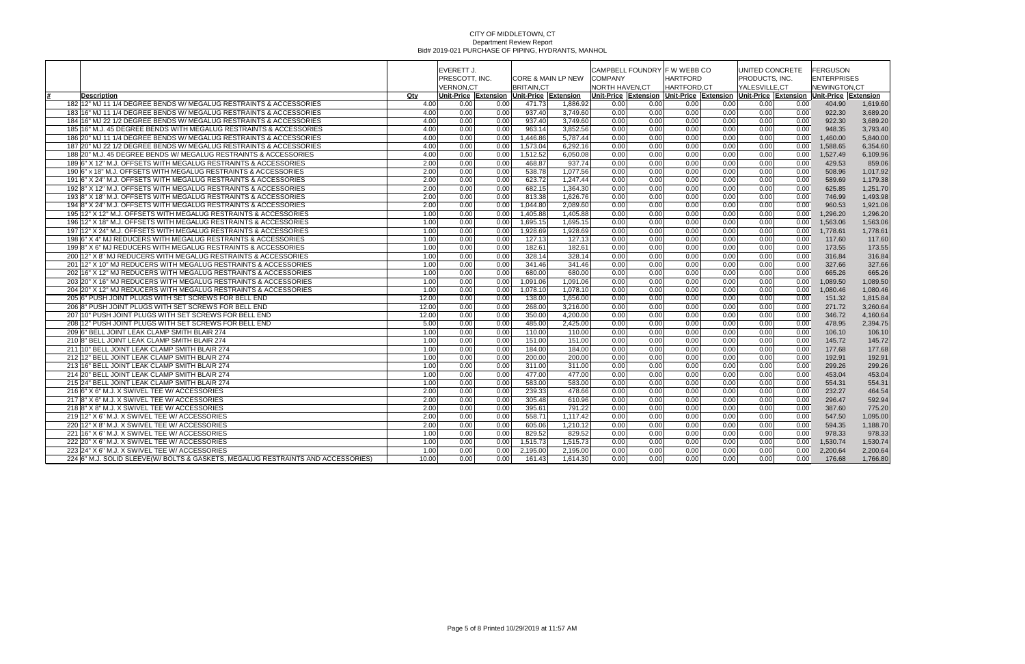|                                                                                  |       | <b>EVERETT J.</b>                  |                      |                      |                               |                                   |      | CAMPBELL FOUNDRY F W WEBB CO   |      | UNITED CONCRETE                                                                     |      | <b>FERGUSON</b>                    |          |
|----------------------------------------------------------------------------------|-------|------------------------------------|----------------------|----------------------|-------------------------------|-----------------------------------|------|--------------------------------|------|-------------------------------------------------------------------------------------|------|------------------------------------|----------|
|                                                                                  |       | PRESCOTT. INC.<br><b>VERNON.CT</b> |                      | <b>BRITAIN.CT</b>    | <b>CORE &amp; MAIN LP NEW</b> | <b>COMPANY</b><br>NORTH HAVEN, CT |      | <b>HARTFORD</b><br>HARTFORD,CT |      | PRODUCTS. INC.<br>YALESVILLE, CT                                                    |      | <b>ENTERPRISES</b><br>NEWINGTON,CT |          |
| <b>Description</b>                                                               | Qty   |                                    | Unit-Price Extension | Unit-Price Extension |                               |                                   |      |                                |      | Unit-Price Extension Unit-Price Extension Unit-Price Extension Unit-Price Extension |      |                                    |          |
| 182 12" MJ 11 1/4 DEGREE BENDS W/ MEGALUG RESTRAINTS & ACCESSORIES               | 4.00  | 0.00                               | 0.00                 | 471.73               | 1.886.92                      | 0.00                              | 0.00 | 0.00                           | 0.00 | 0.00                                                                                | 0.00 | 404.90                             | 1.619.60 |
| 183 16" MJ 11 1/4 DEGREE BENDS W/ MEGALUG RESTRAINTS & ACCESSORIES               | 4.00  | 0.00                               | 0.00                 | 937.40               | 3.749.60                      | 0.00                              | 0.00 | 0.00                           | 0.00 | 0.00                                                                                | 0.00 | 922.30                             | 3,689.20 |
| 184 16" MJ 22 1/2 DEGREE BENDS W/ MEGALUG RESTRAINTS & ACCESSORIES               | 4.00  | 0.00                               | 0.00                 | 937.40               | 3,749.60                      | 0.00                              | 0.00 | 0.00                           | 0.00 | 0.00                                                                                | 0.00 | 922.30                             | 3,689.20 |
| 185 16" M.J. 45 DEGREE BENDS WITH MEGALUG RESTRAINTS & ACCESSORIES               | 4.00  | 0.00                               | 0.00                 | 963.14               | 3,852.56                      | 0.00                              | 0.00 | 0.00                           | 0.00 | 0.00                                                                                | 0.00 | 948.35                             | 3,793.40 |
| 186 20" MJ 11 1/4 DEGREE BENDS W/ MEGALUG RESTRAINTS & ACCESSORIES               | 4.00  | 0.00                               | 0.00                 | 1,446.86             | 5,787.44                      | 0.00                              | 0.00 | 0.00                           | 0.00 | 0.00                                                                                | 0.00 | 1,460.00                           | 5,840.00 |
| 187 20" MJ 22 1/2 DEGREE BENDS W/ MEGALUG RESTRAINTS & ACCESSORIES               | 4.00  | 0.00                               | 0.00                 | 1,573.04             | 6,292.16                      | 0.00                              | 0.00 | 0.00                           | 0.00 | 0.00                                                                                | 0.00 | 1.588.65                           | 6,354.60 |
| 188 20" M.J. 45 DEGREE BENDS W/ MEGALUG RESTRAINTS & ACCESSORIES                 | 4.00  | 0.00                               | 0.00                 | 1,512.52             | 6,050.08                      | 0.00                              | 0.00 | 0.00                           | 0.00 | 0.00                                                                                | 0.00 | 1,527.49                           | 6,109.96 |
| 189 6" X 12" M.J. OFFSETS WITH MEGALUG RESTRAINTS & ACCESSORIES                  | 2.00  | 0.00                               | 0.00                 | 468.87               | 937.74                        | 0.00                              | 0.00 | 0.00                           | 0.00 | 0.00                                                                                | 0.00 | 429.53                             | 859.06   |
| 190 6" x 18" M.J. OFFSETS WITH MEGALUG RESTRAINTS & ACCESSORIES                  | 2.00  | 0.00                               | 0.00                 | 538.78               | 1,077.56                      | 0.00                              | 0.00 | 0.00                           | 0.00 | 0.00                                                                                | 0.00 | 508.96                             | 1,017.92 |
| 191 6" X 24" M.J. OFFSETS WITH MEGALUG RESTRAINTS & ACCESSORIES                  | 2.00  | 0.00                               | 0.00                 | 623.72               | 1,247.44                      | 0.00                              | 0.00 | 0.00                           | 0.00 | 0.00                                                                                | 0.00 | 589.69                             | 1,179.38 |
| 1928" X 12" M.J. OFFSETS WITH MEGALUG RESTRAINTS & ACCESSORIES                   | 2.00  | 0.00                               | 0.00                 | 682.15               | 1.364.30                      | 0.00                              | 0.00 | 0.00                           | 0.00 | 0.00                                                                                | 0.00 | 625.85                             | 1,251.70 |
| 193 8" X 18" M.J. OFFSETS WITH MEGALUG RESTRAINTS & ACCESSORIES                  | 2.00  | 0.00                               | 0.00                 | 813.38               | 1,626.76                      | 0.00                              | 0.00 | 0.00                           | 0.00 | 0.00                                                                                | 0.00 | 746.99                             | 1,493.98 |
| 1948" X 24" M.J. OFFSETS WITH MEGALUG RESTRAINTS & ACCESSORIES                   | 2.00  | 0.00                               | 0.00                 | 1.044.80             | 2.089.60                      | 0.00                              | 0.00 | 0.00                           | 0.00 | 0.00                                                                                | 0.00 | 960.53                             | 1,921.06 |
| 195 12" X 12" M.J. OFFSETS WITH MEGALUG RESTRAINTS & ACCESSORIES                 | 1.00  | 0.00                               | 0.00                 | 1,405.88             | 1,405.88                      | 0.00                              | 0.00 | 0.00                           | 0.00 | 0.00                                                                                | 0.00 | 1,296.20                           | 1,296.20 |
| 196 12" X 18" M.J. OFFSETS WITH MEGALUG RESTRAINTS & ACCESSORIES                 | 1.00  | 0.00                               | 0.00                 | 1,695.15             | 1,695.15                      | 0.00                              | 0.00 | 0.00                           | 0.00 | 0.00                                                                                | 0.00 | 1,563.06                           | 1,563.06 |
| 197 12" X 24" M.J. OFFSETS WITH MEGALUG RESTRAINTS & ACCESSORIES                 | 1.00  | 0.00                               | 0.00                 | 1.928.69             | 1.928.69                      | 0.00                              | 0.00 | 0.00                           | 0.00 | 0.00                                                                                | 0.00 | 1.778.61                           | 1.778.61 |
| 198 6" X 4" MJ REDUCERS WITH MEGALUG RESTRAINTS & ACCESSORIES                    | 1.00  | 0.00                               | 0.00                 | 127.13               | 127.13                        | 0.00                              | 0.00 | 0.00                           | 0.00 | 0.00                                                                                | 0.00 | 117.60                             | 117.60   |
| 1998" X 6" MJ REDUCERS WITH MEGALUG RESTRAINTS & ACCESSORIES                     | 1.00  | 0.00                               | 0.00                 | 182.61               | 182.61                        | 0.00                              | 0.00 | 0.00                           | 0.00 | 0.00                                                                                | 0.00 | 173.55                             | 173.55   |
| 200 12" X 8" MJ REDUCERS WITH MEGALUG RESTRAINTS & ACCESSORIES                   | 1.00  | 0.00                               | 0.00                 | 328.14               | 328.14                        | 0.00                              | 0.00 | 0.00                           | 0.00 | 0.00                                                                                | 0.00 | 316.84                             | 316.84   |
| 201 12" X 10" MJ REDUCERS WITH MEGALUG RESTRAINTS & ACCESSORIES                  | 1.00  | 0.00                               | 0.00                 | 341.46               | 341.46                        | 0.00                              | 0.00 | 0.00                           | 0.00 | 0.00                                                                                | 0.00 | 327.66                             | 327.66   |
| 202 16" X 12" MJ REDUCERS WITH MEGALUG RESTRAINTS & ACCESSORIES                  | 1.00  | 0.00                               | 0.00                 | 680.00               | 680.00                        | 0.00                              | 0.00 | 0.00                           | 0.00 | 0.00                                                                                | 0.00 | 665.26                             | 665.26   |
| 203 20" X 16" MJ REDUCERS WITH MEGALUG RESTRAINTS & ACCESSORIES                  | 1.00  | 0.00                               | 0.00                 | 1,091.06             | 1,091.06                      | 0.00                              | 0.00 | 0.00                           | 0.00 | 0.00                                                                                | 0.00 | 1,089.50                           | 1,089.50 |
| 204 20" X 12" MJ REDUCERS WITH MEGALUG RESTRAINTS & ACCESSORIES                  | 1.00  | 0.00                               | 0.00                 | 1,078.10             | 1,078.10                      | 0.00                              | 0.00 | 0.00                           | 0.00 | 0.00                                                                                | 0.00 | 1,080.46                           | 1,080.46 |
| 205 6" PUSH JOINT PLUGS WITH SET SCREWS FOR BELL END                             | 12.00 | 0.00                               | 0.00                 | 138.00               | 1,656.00                      | 0.00                              | 0.00 | 0.00                           | 0.00 | 0.00                                                                                | 0.00 | 151.32                             | 1,815.84 |
| 206 8" PUSH JOINT PLUGS WITH SET SCREWS FOR BELL END                             | 12.00 | 0.00                               | 0.00                 | 268.00               | 3,216.00                      | 0.00                              | 0.00 | 0.00                           | 0.00 | 0.00                                                                                | 0.00 | 271.72                             | 3,260.64 |
| 207 10" PUSH JOINT PLUGS WITH SET SCREWS FOR BELL END                            | 12.00 | 0.00                               | 0.00                 | 350.00               | 4.200.00                      | 0.00                              | 0.00 | 0.00                           | 0.00 | 0.00                                                                                | 0.00 | 346.72                             | 4,160.64 |
| 208 12" PUSH JOINT PLUGS WITH SET SCREWS FOR BELL END                            | 5.00  | 0.00                               | 0.00                 | 485.00               | 2.425.00                      | 0.00                              | 0.00 | 0.00                           | 0.00 | 0.00                                                                                | 0.00 | 478.95                             | 2.394.75 |
| 209 6" BELL JOINT LEAK CLAMP SMITH BLAIR 274                                     | 1.00  | 0.00                               | 0.00                 | 110.00               | 110.00                        | 0.00                              | 0.00 | 0.00                           | 0.00 | 0.00                                                                                | 0.00 | 106.10                             | 106.10   |
| 210 8" BELL JOINT LEAK CLAMP SMITH BLAIR 274                                     | 1.00  | 0.00                               | 0.00                 | 151.00               | 151.00                        | 0.00                              | 0.00 | 0.00                           | 0.00 | 0.00                                                                                | 0.00 | 145.72                             | 145.72   |
| 211 10" BELL JOINT LEAK CLAMP SMITH BLAIR 274                                    | 1.00  | 0.00                               | 0.00                 | 184.00               | 184.00                        | 0.00                              | 0.00 | 0.00                           | 0.00 | 0.00                                                                                | 0.00 | 177.68                             | 177.68   |
| 212 12" BELL JOINT LEAK CLAMP SMITH BLAIR 274                                    | 1.00  | 0.00                               | 0.00                 | 200.00               | 200.00                        | 0.00                              | 0.00 | 0.00                           | 0.00 | 0.00                                                                                | 0.00 | 192.91                             | 192.91   |
| 213 16" BELL JOINT LEAK CLAMP SMITH BLAIR 274                                    | 1.00  | 0.00                               | 0.00                 | 311.00               | 311.00                        | 0.00                              | 0.00 | 0.00                           | 0.00 | 0.00                                                                                | 0.00 | 299.26                             | 299.26   |
| 214 20" BELL JOINT LEAK CLAMP SMITH BLAIR 274                                    | 1.00  | 0.00                               | 0.00                 | 477.00               | 477.00                        | 0.00                              | 0.00 | 0.00                           | 0.00 | 0.00                                                                                | 0.00 | 453.04                             | 453.04   |
| 215 24" BELL JOINT LEAK CLAMP SMITH BLAIR 274                                    | 1.00  | 0.00                               | 0.00                 | 583.00               | 583.00                        | 0.00                              | 0.00 | 0.00                           | 0.00 | 0.00                                                                                | 0.00 | 554.31                             | 554.31   |
| 216 6" X 6" M.J. X SWIVEL TEE W/ ACCESSORIES                                     | 2.00  | 0.00                               | 0.00                 | 239.33               | 478.66                        | 0.00                              | 0.00 | 0.00                           | 0.00 | 0.00                                                                                | 0.00 | 232.27                             | 464.54   |
| 217 8" X 6" M.J. X SWIVEL TEE W/ ACCESSORIES                                     | 2.00  | 0.00                               | 0.00                 | 305.48               | 610.96                        | 0.00                              | 0.00 | 0.00                           | 0.00 | 0.00                                                                                | 0.00 | 296.47                             | 592.94   |
| 218 8" X 8" M.J. X SWIVEL TEE W/ ACCESSORIES                                     | 2.00  | 0.00                               | 0.00                 | 395.61               | 791.22                        | 0.00                              | 0.00 | 0.00                           | 0.00 | 0.00                                                                                | 0.00 | 387.60                             | 775.20   |
| 219 12" X 6" M.J. X SWIVEL TEE W/ ACCESSORIES                                    | 2.00  | 0.00                               | 0.00                 | 558.71               | 1,117.42                      | 0.00                              | 0.00 | 0.00                           | 0.00 | 0.00                                                                                | 0.00 | 547.50                             | 1,095.00 |
| 220 12" X 8" M.J. X SWIVEL TEE W/ ACCESSORIES                                    | 2.00  | 0.00                               | 0.00                 | 605.06               | 1,210.12                      | 0.00                              | 0.00 | 0.00                           | 0.00 | 0.00                                                                                | 0.00 | 594.35                             | 1,188.70 |
| 221 16" X 6" M.J. X SWIVEL TEE W/ ACCESSORIES                                    | 1.00  | 0.00                               | 0.00                 | 829.52               | 829.52                        | 0.00                              | 0.00 | 0.00                           | 0.00 | 0.00                                                                                | 0.00 | 978.33                             | 978.33   |
| 222 20" X 6" M.J. X SWIVEL TEE W/ ACCESSORIES                                    | 1.00  | 0.00                               | 0.00                 | 1,515.73             | 1,515.73                      | 0.00                              | 0.00 | 0.00                           | 0.00 | 0.00                                                                                | 0.00 | 1,530.74                           | 1,530.74 |
| 223 24" X 6" M.J. X SWIVEL TEE W/ ACCESSORIES                                    | 1.00  | 0.00                               | 0.00                 | 2,195.00             | 2,195.00                      | 0.00                              | 0.00 | 0.00                           | 0.00 | 0.00                                                                                | 0.00 | 2,200.64                           | 2,200.64 |
| 224 6" M.J. SOLID SLEEVE(W/ BOLTS & GASKETS, MEGALUG RESTRAINTS AND ACCESSORIES) | 10.00 | 0.00                               | 0.00                 | 161.43               | 1,614.30                      | 0.00                              | 0.00 | 0.00                           | 0.00 | 0.00                                                                                | 0.00 | 176.68                             | 1,766.80 |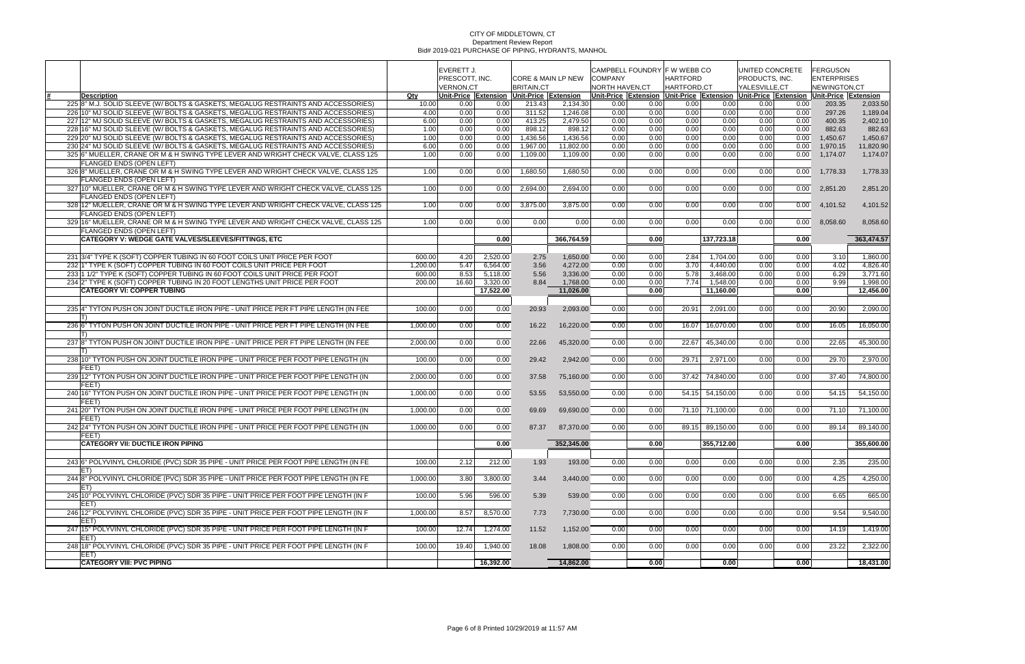|                                                                                                         |                    | EVERETT J.       |                      |                                |                    |                       | CAMPBELL FOUNDRY F W WEBB CO |                 |                 |                | UNITED CONCRETE   | <b>FERGUSON</b>                                                                               |                      |
|---------------------------------------------------------------------------------------------------------|--------------------|------------------|----------------------|--------------------------------|--------------------|-----------------------|------------------------------|-----------------|-----------------|----------------|-------------------|-----------------------------------------------------------------------------------------------|----------------------|
|                                                                                                         |                    | PRESCOTT, INC.   |                      |                                | CORE & MAIN LP NEW | <b>COMPANY</b>        |                              | <b>HARTFORD</b> |                 | PRODUCTS, INC. |                   | <b>ENTERPRISES</b>                                                                            |                      |
|                                                                                                         |                    | <b>VERNON,CT</b> |                      | <b>BRITAIN,CT</b>              |                    | <b>NORTH HAVEN,CT</b> |                              | HARTFORD, CT    |                 | YALESVILLE,CT  |                   | NEWINGTON,CT                                                                                  |                      |
| <b>Description</b><br>225 8" M.J. SOLID SLEEVE (W/ BOLTS & GASKETS, MEGALUG RESTRAINTS AND ACCESSORIES) | Qty                |                  | Unit-Price Extension | Unit-Price Extension<br>213.43 | 2,134.30           |                       |                              |                 | 0.00            |                |                   | Unit-Price Extension Unit-Price Extension Unit-Price Extension Unit-Price Extension<br>203.35 | 2,033.50             |
| 226 10" MJ SOLID SLEEVE (W/ BOLTS & GASKETS, MEGALUG RESTRAINTS AND ACCESSORIES)                        | 10.00<br>4.00      | 0.00<br>0.00     | 0.00<br>0.00         | 311.52                         | 1,246.08           | 0.00<br>0.00          | 0.00<br>0.00                 | 0.00<br>0.00    | 0.00            | 0.00<br>0.00   | 0.00<br>0.00      | 297.26                                                                                        | 1,189.04             |
| 227 12" MJ SOLID SLEEVE (W/ BOLTS & GASKETS, MEGALUG RESTRAINTS AND ACCESSORIES)                        | 6.00               | 0.00             | 0.00                 | 413.25                         | 2,479.50           | 0.00                  | 0.00                         | 0.00            | 0.00            | 0.00           | 0.00              | 400.35                                                                                        | 2,402.10             |
| 228 16" MJ SOLID SLEEVE (W/ BOLTS & GASKETS, MEGALUG RESTRAINTS AND ACCESSORIES)                        | 1.00               | 0.00             | 0.00                 | 898.12                         | 898.12             | 0.00                  | 0.00                         | 0.00            | 0.00            | 0.00           | 0.00              | 882.63                                                                                        | 882.63               |
| 229 20" MJ SOLID SLEEVE (W/ BOLTS & GASKETS, MEGALUG RESTRAINTS AND ACCESSORIES)                        | 1.00               | 0.00             | 0.00                 | 1,436.56                       | 1,436.56           | 0.00                  | 0.00                         | 0.00            | 0.00            | 0.00           | 0.00              | 1,450.67                                                                                      | 1,450.67             |
| 230 24" MJ SOLID SLEEVE (W/ BOLTS & GASKETS, MEGALUG RESTRAINTS AND ACCESSORIES)                        | 6.00               | 0.00             | 0.00                 | 1,967.00                       | 11,802.00          | 0.00                  | 0.00                         | 0.00            | 0.00            | 0.00           | 0.00              | 1,970.15                                                                                      | 11,820.90            |
| 325 6" MUELLER, CRANE OR M & H SWING TYPE LEVER AND WRIGHT CHECK VALVE, CLASS 125                       | 1.00               | 0.00             | 0.00                 | 1,109.00                       | 1,109.00           | 0.00                  | 0.00                         | 0.00            | 0.00            | 0.00           | 0.00              | 1,174.07                                                                                      | 1,174.07             |
| FLANGED ENDS (OPEN LEFT)                                                                                |                    |                  |                      |                                |                    |                       |                              |                 |                 |                |                   |                                                                                               |                      |
| 326 8" MUELLER, CRANE OR M & H SWING TYPE LEVER AND WRIGHT CHECK VALVE, CLASS 125                       | 1.00               | 0.00             | 0.00                 | 1,680.50                       | 1.680.50           | 0.00                  | 0.00                         | 0.00            | 0.00            | 0.00           | 0.00              | 1,778.33                                                                                      | 1,778.33             |
| FLANGED ENDS (OPEN LEFT)                                                                                |                    |                  |                      |                                |                    |                       |                              |                 |                 |                |                   |                                                                                               |                      |
| 327 10" MUELLER, CRANE OR M & H SWING TYPE LEVER AND WRIGHT CHECK VALVE, CLASS 125                      | 1.00               | 0.00             | 0.00                 | 2,694.00                       | 2,694.00           | 0.00                  | 0.00                         | 0.00            | 0.00            | 0.00           | 0.00 <sub>1</sub> | 2,851.20                                                                                      | 2,851.20             |
| <b>FLANGED ENDS (OPEN LEFT)</b>                                                                         |                    |                  |                      |                                |                    |                       |                              |                 |                 |                |                   |                                                                                               |                      |
| 328 12" MUELLER, CRANE OR M & H SWING TYPE LEVER AND WRIGHT CHECK VALVE, CLASS 125                      | 1.00               | 0.00             | 0.00                 | 3,875.00                       | 3,875.00           | 0.00                  | 0.00                         | 0.00            | 0.00            | 0.00           | 0.00 <sub>1</sub> | 4,101.52                                                                                      | 4,101.52             |
| <b>FLANGED ENDS (OPEN LEFT)</b>                                                                         |                    |                  |                      |                                |                    |                       |                              |                 |                 |                |                   |                                                                                               |                      |
| 329 16" MUELLER, CRANE OR M & H SWING TYPE LEVER AND WRIGHT CHECK VALVE, CLASS 125                      | 1.00               | 0.00             | 0.00                 | 0.00                           | 0.00               | 0.00                  | 0.00                         | 0.00            | 0.00            | 0.00           | 0.00 <sub>1</sub> | 8,058.60                                                                                      | 8,058.60             |
| <b>FLANGED ENDS (OPEN LEFT)</b>                                                                         |                    |                  |                      |                                |                    |                       |                              |                 |                 |                |                   |                                                                                               |                      |
| <b>CATEGORY V: WEDGE GATE VALVES/SLEEVES/FITTINGS, ETC</b>                                              |                    |                  | 0.00                 |                                | 366,764.59         |                       | 0.00                         |                 | 137,723.18      |                | 0.00              |                                                                                               | 363,474.57           |
|                                                                                                         |                    |                  |                      |                                |                    |                       |                              |                 |                 |                |                   |                                                                                               |                      |
| 231 3/4" TYPE K (SOFT) COPPER TUBING IN 60 FOOT COILS UNIT PRICE PER FOOT                               |                    |                  |                      |                                |                    |                       |                              | 2.84            | 1,704.00        | 0.00           |                   |                                                                                               |                      |
| 232 1" TYPE K (SOFT) COPPER TUBING IN 60 FOOT COILS UNIT PRICE PER FOOT                                 | 600.00<br>1,200.00 | 4.20<br>5.47     | 2,520.00             | 2.75                           | 1,650.00           | 0.00<br>0.00          | 0.00                         | 3.70            | 4,440.00        |                | 0.00<br>0.00      | 3.10<br>4.02                                                                                  | 1,860.00<br>4,826.40 |
|                                                                                                         |                    |                  | 6,564.00             | 3.56                           | 4,272.00           |                       | 0.00                         |                 |                 | 0.00           |                   |                                                                                               |                      |
| 233 1 1/2" TYPE K (SOFT) COPPER TUBING IN 60 FOOT COILS UNIT PRICE PER FOOT                             | 600.00             | 8.53             | 5,118.00             | 5.56                           | 3,336.00           | 0.00                  | 0.00                         | 5.78            | 3,468.00        | 0.00           | 0.00              | 6.29                                                                                          | 3,771.60             |
| 234 2" TYPE K (SOFT) COPPER TUBING IN 20 FOOT LENGTHS UNIT PRICE PER FOOT                               | 200.00             | 16.60            | 3,320.00             | 8.84                           | 1,768.00           | 0.00                  | 0.00                         | 7.74            | 1,548.00        | 0.00           | 0.00              | 9.99                                                                                          | 1,998.00             |
| <b>CATEGORY VI: COPPER TUBING</b>                                                                       |                    |                  | 17,522.00            |                                | 11,026.00          |                       | 0.00                         |                 | 11,160.00       |                | 0.00              |                                                                                               | 12,456.00            |
|                                                                                                         |                    |                  |                      |                                |                    |                       |                              |                 |                 |                |                   |                                                                                               |                      |
| 235 4" TYTON PUSH ON JOINT DUCTILE IRON PIPE - UNIT PRICE PER FT PIPE LENGTH (IN FEE                    | 100.00             | 0.00             | 0.00                 | 20.93                          | 2,093.00           | 0.00                  | 0.00                         | 20.91           | 2,091.00        | 0.00           | 0.00              | 20.90                                                                                         | 2,090.00             |
| IT)                                                                                                     |                    |                  |                      |                                |                    |                       |                              |                 |                 |                |                   |                                                                                               |                      |
| 236 6" TYTON PUSH ON JOINT DUCTILE IRON PIPE - UNIT PRICE PER FT PIPE LENGTH (IN FEE                    | 1,000.00           | 0.00             | 0.00                 | 16.22                          | 16,220.00          | 0.00                  | 0.00                         | 16.07           | 16,070.00       | 0.00           | 0.00              | 16.05                                                                                         | 16,050.00            |
| IT)                                                                                                     |                    |                  |                      |                                |                    |                       |                              |                 |                 |                |                   |                                                                                               |                      |
| 237 8" TYTON PUSH ON JOINT DUCTILE IRON PIPE - UNIT PRICE PER FT PIPE LENGTH (IN FEE                    | 2,000.00           | 0.00             | 0.00                 | 22.66                          | 45,320.00          | 0.00                  | 0.00                         | 22.67           | 45,340.00       | 0.00           | 0.00              | 22.65                                                                                         | 45,300.00            |
|                                                                                                         |                    |                  |                      |                                |                    |                       |                              |                 |                 |                |                   |                                                                                               |                      |
| 238 10" TYTON PUSH ON JOINT DUCTILE IRON PIPE - UNIT PRICE PER FOOT PIPE LENGTH (IN                     | 100.00             | 0.00             | 0.00                 | 29.42                          | 2,942.00           | 0.00                  | 0.00                         | 29.71           | 2,971.00        | 0.00           | 0.00              | 29.70                                                                                         | 2,970.00             |
| <b>FEET</b><br>239 12" TYTON PUSH ON JOINT DUCTILE IRON PIPE - UNIT PRICE PER FOOT PIPE LENGTH (IN      | 2,000.00           | 0.00             |                      |                                |                    |                       | 0.00                         | 37.42           | 74,840.00       | 0.00           | 0.00              |                                                                                               | 74,800.00            |
| FEET)                                                                                                   |                    |                  | 0.00                 | 37.58                          | 75,160.00          | 0.00                  |                              |                 |                 |                |                   | 37.40                                                                                         |                      |
| 240 16" TYTON PUSH ON JOINT DUCTILE IRON PIPE - UNIT PRICE PER FOOT PIPE LENGTH (IN                     | 1.000.00           | 0.00             | 0.00                 | 53.55                          | 53,550.00          | 0.00                  | 0.00                         |                 | 54.15 54,150.00 | 0.00           | 0.00              | 54.15                                                                                         | 54,150.00            |
| FEET)                                                                                                   |                    |                  |                      |                                |                    |                       |                              |                 |                 |                |                   |                                                                                               |                      |
| 241 20" TYTON PUSH ON JOINT DUCTILE IRON PIPE - UNIT PRICE PER FOOT PIPE LENGTH (IN                     | 1,000.00           | 0.00             | 0.00                 | 69.69                          | 69,690.00          | 0.00                  | 0.00                         |                 | 71.10 71,100.00 | 0.00           | 0.00              | 71.10                                                                                         | 71,100.00            |
| FEET)                                                                                                   |                    |                  |                      |                                |                    |                       |                              |                 |                 |                |                   |                                                                                               |                      |
| 242 24" TYTON PUSH ON JOINT DUCTILE IRON PIPE - UNIT PRICE PER FOOT PIPE LENGTH (IN                     | 1,000.00           | 0.00             | 0.00                 | 87.37                          | 87,370.00          | 0.00                  | 0.00                         |                 | 89.15 89,150.00 | 0.00           | 0.00              | 89.14                                                                                         | 89,140.00            |
| <b>FEET</b> )                                                                                           |                    |                  |                      |                                |                    |                       |                              |                 |                 |                |                   |                                                                                               |                      |
| <b>CATEGORY VII: DUCTILE IRON PIPING</b>                                                                |                    |                  | 0.00                 |                                | 352,345.00         |                       | 0.00                         |                 | 355,712.00      |                | $\overline{0.00}$ |                                                                                               | 355,600.00           |
|                                                                                                         |                    |                  |                      |                                |                    |                       |                              |                 |                 |                |                   |                                                                                               |                      |
| 243 6" POLYVINYL CHLORIDE (PVC) SDR 35 PIPE - UNIT PRICE PER FOOT PIPE LENGTH (IN FE                    | 100.00             | 2.12             | 212.00               | 1.93                           | 193.00             | 0.00                  | 0.00                         | 0.00            | 0.00            | 0.00           | 0.00              | 2.35                                                                                          | 235.00               |
| ET)                                                                                                     |                    |                  |                      |                                |                    |                       |                              |                 |                 |                |                   |                                                                                               |                      |
| 244 8" POLYVINYL CHLORIDE (PVC) SDR 35 PIPE - UNIT PRICE PER FOOT PIPE LENGTH (IN FE                    | 1,000.00           | 3.80             | 3,800.00             | 3.44                           | 3,440.00           | 0.00                  | 0.00                         | 0.00            | 0.00            | 0.00           | 0.00              | 4.25                                                                                          | 4,250.00             |
| IET)                                                                                                    |                    |                  |                      |                                |                    |                       |                              |                 |                 |                |                   |                                                                                               |                      |
| 245 10" POLYVINYL CHLORIDE (PVC) SDR 35 PIPE - UNIT PRICE PER FOOT PIPE LENGTH (IN F                    | 100.00             | 5.96             | 596.00               | 5.39                           | 539.00             | 0.00                  | 0.00                         | 0.00            | 0.00            | 0.00           | 0.00              | 6.65                                                                                          | 665.00               |
| EET)                                                                                                    |                    |                  |                      |                                |                    |                       |                              |                 |                 |                |                   |                                                                                               |                      |
| 246 12" POLYVINYL CHLORIDE (PVC) SDR 35 PIPE - UNIT PRICE PER FOOT PIPE LENGTH (IN F                    | 1,000.00           | 8.57             | 8,570.00             | 7.73                           | 7,730.00           | 0.00                  | 0.00                         | 0.00            | 0.00            | 0.00           | 0.00              | 9.54                                                                                          | 9,540.00             |
| EET)                                                                                                    |                    |                  |                      |                                |                    |                       |                              |                 |                 |                |                   |                                                                                               |                      |
| 247 15" POLYVINYL CHLORIDE (PVC) SDR 35 PIPE - UNIT PRICE PER FOOT PIPE LENGTH (IN F                    | 100.00             | 12.74            | 1,274.00             | 11.52                          | 1,152.00           | 0.00                  | 0.00                         | 0.00            | 0.00            | 0.00           | 0.00              | 14.19                                                                                         | 1,419.00             |
| EET)                                                                                                    |                    |                  |                      |                                |                    |                       |                              |                 |                 |                |                   |                                                                                               |                      |
| 248 18" POLYVINYL CHLORIDE (PVC) SDR 35 PIPE - UNIT PRICE PER FOOT PIPE LENGTH (IN F                    | 100.00             | 19.40            | 1,940.00             | 18.08                          | 1,808.00           | 0.00                  | 0.00                         | 0.00            | 0.00            | 0.00           | 0.00              | 23.22                                                                                         | 2,322.00             |
| EET)                                                                                                    |                    |                  |                      |                                |                    |                       |                              |                 |                 |                |                   |                                                                                               |                      |
| <b>CATEGORY VIII: PVC PIPING</b>                                                                        |                    |                  | 16,392.00            |                                | 14,862.00          |                       | 0.00                         |                 | 0.00            |                | 0.00              |                                                                                               | 18,431.00            |
|                                                                                                         |                    |                  |                      |                                |                    |                       |                              |                 |                 |                |                   |                                                                                               |                      |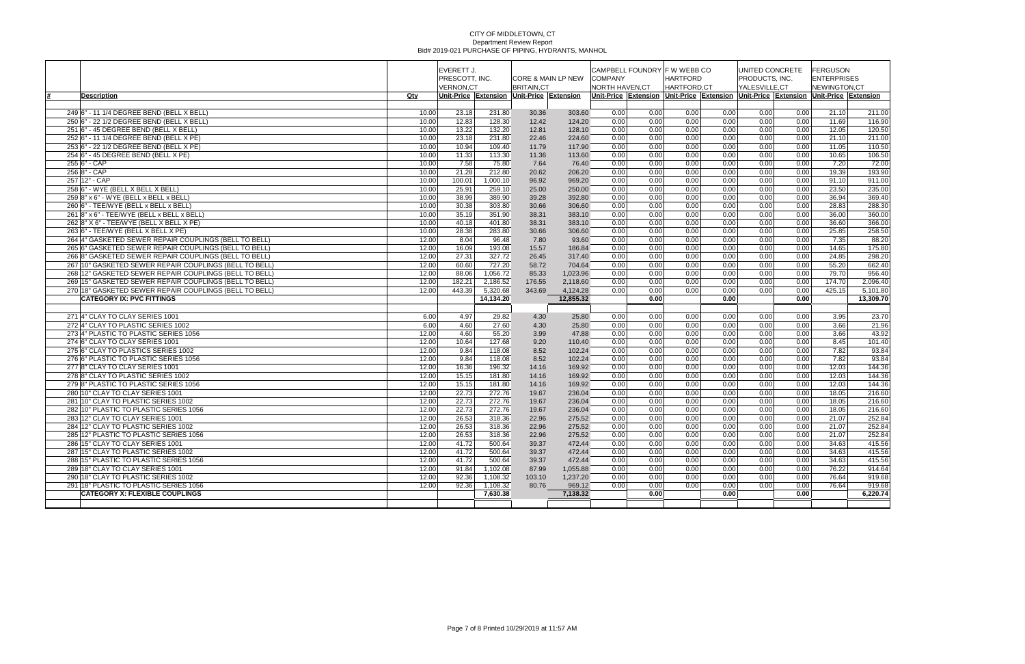|                                                        |       | <b>EVERETT J.</b> |           |                                           |                     | CAMPBELL FOUNDRY IF W WEBB CO |      |                                                                                     |      | UNITED CONCRETE |      | <b>IFERGUSON</b>   |           |
|--------------------------------------------------------|-------|-------------------|-----------|-------------------------------------------|---------------------|-------------------------------|------|-------------------------------------------------------------------------------------|------|-----------------|------|--------------------|-----------|
|                                                        |       | PRESCOTT, INC.    |           |                                           | ICORE & MAIN LP NEW | <b>COMPANY</b>                |      | <b>HARTFORD</b>                                                                     |      | PRODUCTS, INC.  |      | <b>ENTERPRISES</b> |           |
|                                                        |       | <b>VERNON,CT</b>  |           | <b>BRITAIN,CT</b>                         |                     | NORTH HAVEN, CT               |      | HARTFORD,CT                                                                         |      | YALESVILLE,CT   |      | NEWINGTON,CT       |           |
| Description                                            | Qty   |                   |           | Unit-Price Extension Unit-Price Extension |                     |                               |      | Unit-Price Extension Unit-Price Extension Unit-Price Extension Unit-Price Extension |      |                 |      |                    |           |
|                                                        |       |                   |           |                                           |                     |                               |      |                                                                                     |      |                 |      |                    |           |
| 249 6" - 11 1/4 DEGREE BEND (BELL X BELL)              | 10.00 | 23.18             | 231.80    | 30.36                                     | 303.60              | 0.00                          | 0.00 | 0.00                                                                                | 0.00 | 0.00            | 0.00 | 21.10              | 211.00    |
| 250 6" - 22 1/2 DEGREE BEND (BELL X BELL)              | 10.00 | 12.83             | 128.30    | 12.42                                     | 124.20              | 0.00                          | 0.00 | 0.00                                                                                | 0.00 | 0.00            | 0.00 | 11.69              | 116.90    |
| 251 6" - 45 DEGREE BEND (BELL X BELL)                  | 10.00 | 13.22             | 132.20    | 12.81                                     | 128.10              | 0.00                          | 0.00 | 0.00                                                                                | 0.00 | 0.00            | 0.00 | 12.05              | 120.50    |
| 252 6" - 11 1/4 DEGREE BEND (BELL X PE)                | 10.00 | 23.18             | 231.80    | 22.46                                     | 224.60              | 0.00                          | 0.00 | 0.00                                                                                | 0.00 | 0.00            | 0.00 | 21.10              | 211.00    |
| 253 6" - 22 1/2 DEGREE BEND (BELL X PE)                | 10.00 | 10.94             | 109.40    | 11.79                                     | 117.90              | 0.00                          | 0.00 | 0.00                                                                                | 0.00 | 0.00            | 0.00 | 11.05              | 110.50    |
| 254 6" - 45 DEGREE BEND (BELL X PE)                    | 10.00 | 11.33             | 113.30    | 11.36                                     | 113.60              | 0.00                          | 0.00 | 0.00                                                                                | 0.00 | 0.00            | 0.00 | 10.65              | 106.50    |
| $255 6" - CAP$                                         | 10.00 | 7.58              | 75.80     | 7.64                                      | 76.40               | 0.00                          | 0.00 | 0.00                                                                                | 0.00 | 0.00            | 0.00 | 7.20               | 72.00     |
| 256 8" - CAP                                           | 10.00 | 21.28             | 212.80    | 20.62                                     | 206.20              | 0.00                          | 0.00 | 0.00                                                                                | 0.00 | 0.00            | 0.00 | 19.39              | 193.90    |
| 257 12" - CAP                                          | 10.00 | 100.01            | 1,000.10  | 96.92                                     | 969.20              | 0.00                          | 0.00 | 0.00                                                                                | 0.00 | 0.00            | 0.00 | 91.10              | 911.00    |
| $258 6"$ - WYE (BELL X BELL X BELL)                    | 10.00 | 25.91             | 259.10    | 25.00                                     | 250.00              | 0.00                          | 0.00 | 0.00                                                                                | 0.00 | 0.00            | 0.00 | 23.50              | 235.00    |
| $259 8" \times 6" - WYE$ (BELL x BELL x BELL)          | 10.00 | 38.99             | 389.90    | 39.28                                     | 392.80              | 0.00                          | 0.00 | 0.00                                                                                | 0.00 | 0.00            | 0.00 | 36.94              | 369.40    |
| 260 6" - TEE/WYE (BELL x BELL x BELL)                  | 10.00 | 30.38             | 303.80    | 30.66                                     | 306.60              | 0.00                          | 0.00 | 0.00                                                                                | 0.00 | 0.00            | 0.00 | 28.83              | 288.30    |
| $261 8"$ x 6" - TEE/WYE (BELL x BELL x BELL)           | 10.00 | 35.19             | 351.90    | 38.31                                     | 383.10              | 0.00                          | 0.00 | 0.00                                                                                | 0.00 | 0.00            | 0.00 | 36.00              | 360.00    |
| 262 8" X 6" - TEE/WYE (BELL X BELL X PE)               | 10.00 | 40.18             | 401.80    | 38.31                                     | 383.10              | 0.00                          | 0.00 | 0.00                                                                                | 0.00 | 0.00            | 0.00 | 36.60              | 366.00    |
| 263 6" - TEE/WYE (BELL X BELL X PE)                    | 10.00 | 28.38             | 283.80    | 30.66                                     | 306.60              | 0.00                          | 0.00 | 0.00                                                                                | 0.00 | 0.00            | 0.00 | 25.85              | 258.50    |
| 264 4" GASKETED SEWER REPAIR COUPLINGS (BELL TO BELL)  | 12.00 | 8.04              | 96.48     | 7.80                                      | 93.60               | 0.00                          | 0.00 | 0.00                                                                                | 0.00 | 0.00            | 0.00 | 7.35               | 88.20     |
| 265 6" GASKETED SEWER REPAIR COUPLINGS (BELL TO BELL)  | 12.00 | 16.09             | 193.08    | 15.57                                     | 186.84              | 0.00                          | 0.00 | 0.00                                                                                | 0.00 | 0.00            | 0.00 | 14.65              | 175.80    |
| 266 8" GASKETED SEWER REPAIR COUPLINGS (BELL TO BELL)  | 12.00 | 27.31             | 327.72    | 26.45                                     | 317.40              | 0.00                          | 0.00 | 0.00                                                                                | 0.00 | 0.00            | 0.00 | 24.85              | 298.20    |
| 267 10" GASKETED SEWER REPAIR COUPLINGS (BELL TO BELL) | 12.00 | 60.60             | 727.20    | 58.72                                     | 704.64              | 0.00                          | 0.00 | 0.00                                                                                | 0.00 | 0.00            | 0.00 | 55.20              | 662.40    |
| 268 12" GASKETED SEWER REPAIR COUPLINGS (BELL TO BELL) | 12.00 | 88.06             | 1,056.72  | 85.33                                     | 1,023.96            | 0.00                          | 0.00 | 0.00                                                                                | 0.00 | 0.00            | 0.00 | 79.70              | 956.40    |
| 269 15" GASKETED SEWER REPAIR COUPLINGS (BELL TO BELL) | 12.00 | 182.21            | 2,186.52  | 176.55                                    | 2,118.60            | 0.00                          | 0.00 | 0.00                                                                                | 0.00 | 0.00            | 0.00 | 174.70             | 2,096.40  |
| 270 18" GASKETED SEWER REPAIR COUPLINGS (BELL TO BELL) | 12.00 | 443.39            | 5,320.68  | 343.69                                    | 4,124.28            | 0.00                          | 0.00 | 0.00                                                                                | 0.00 | 0.00            | 0.00 | 425.15             | 5,101.80  |
| <b>CATEGORY IX: PVC FITTINGS</b>                       |       |                   | 14,134.20 |                                           | 12,855.32           |                               | 0.00 |                                                                                     | 0.00 |                 | 0.00 |                    | 13,309.70 |
|                                                        |       |                   |           |                                           |                     |                               |      |                                                                                     |      |                 |      |                    |           |
| 271 4" CLAY TO CLAY SERIES 1001                        | 6.00  | 4.97              | 29.82     | 4.30                                      | 25.80               | 0.00                          | 0.00 | 0.00                                                                                | 0.00 | 0.00            | 0.00 | 3.95               | 23.70     |
| 272 4" CLAY TO PLASTIC SERIES 1002                     | 6.00  | 4.60              | 27.60     | 4.30                                      | 25.80               | 0.00                          | 0.00 | 0.00                                                                                | 0.00 | 0.00            | 0.00 | 3.66               | 21.96     |
| 2734" PLASTIC TO PLASTIC SERIES 1056                   | 12.00 | 4.60              | 55.20     | 3.99                                      | 47.88               | 0.00                          | 0.00 | 0.00                                                                                | 0.00 | 0.00            | 0.00 | 3.66               | 43.92     |
| 274 6" CLAY TO CLAY SERIES 1001                        | 12.00 | 10.64             | 127.68    | 9.20                                      | 110.40              | 0.00                          | 0.00 | 0.00                                                                                | 0.00 | 0.00            | 0.00 | 8.45               | 101.40    |
| 275 6" CLAY TO PLASTICS SERIES 1002                    | 12.00 | 9.84              | 118.08    | 8.52                                      | 102.24              | 0.00                          | 0.00 | 0.00                                                                                | 0.00 | 0.00            | 0.00 | 7.82               | 93.84     |
| 276 6" PLASTIC TO PLASTIC SERIES 1056                  | 12.00 | 9.84              | 118.08    | 8.52                                      | 102.24              | 0.00                          | 0.00 | 0.00                                                                                | 0.00 | 0.00            | 0.00 | 7.82               | 93.84     |
| 277 8" CLAY TO CLAY SERIES 1001                        | 12.00 | 16.36             | 196.32    | 14.16                                     | 169.92              | 0.00                          | 0.00 | 0.00                                                                                | 0.00 | 0.00            | 0.00 | 12.03              | 144.36    |
| 278 8" CLAY TO PLASTIC SERIES 1002                     | 12.00 | 15.15             | 181.80    | 14.16                                     | 169.92              | 0.00                          | 0.00 | 0.00                                                                                | 0.00 | 0.00            | 0.00 | 12.03              | 144.36    |
| 2798" PLASTIC TO PLASTIC SERIES 1056                   | 12.00 | 15.15             | 181.80    | 14.16                                     | 169.92              | 0.00                          | 0.00 | 0.00                                                                                | 0.00 | 0.00            | 0.00 | 12.03              | 144.36    |
| 280 10" CLAY TO CLAY SERIES 1001                       | 12.00 | 22.73             | 272.76    | 19.67                                     | 236.04              | 0.00                          | 0.00 | 0.00                                                                                | 0.00 | 0.00            | 0.00 | 18.05              | 216.60    |
| 281 10" CLAY TO PLASTIC SERIES 1002                    | 12.00 | 22.73             | 272.76    | 19.67                                     | 236.04              | 0.00                          | 0.00 | 0.00                                                                                | 0.00 | 0.00            | 0.00 | 18.05              | 216.60    |
| 282 10" PLASTIC TO PLASTIC SERIES 1056                 | 12.00 | 22.73             | 272.76    | 19.67                                     | 236.04              | 0.00                          | 0.00 | 0.00                                                                                | 0.00 | 0.00            | 0.00 | 18.05              | 216.60    |
| 283 12" CLAY TO CLAY SERIES 1001                       | 12.00 | 26.53             | 318.36    | 22.96                                     | 275.52              | 0.00                          | 0.00 | 0.00                                                                                | 0.00 | 0.00            | 0.00 | 21.07              | 252.84    |
| 284 12" CLAY TO PLASTIC SERIES 1002                    | 12.00 | 26.53             | 318.36    | 22.96                                     | 275.52              | 0.00                          | 0.00 | 0.00                                                                                | 0.00 | 0.00            | 0.00 | 21.07              | 252.84    |
| 285 12" PLASTIC TO PLASTIC SERIES 1056                 | 12.00 | 26.53             | 318.36    | 22.96                                     | 275.52              | 0.00                          | 0.00 | 0.00                                                                                | 0.00 | 0.00            | 0.00 | 21.07              | 252.84    |
| 286 15" CLAY TO CLAY SERIES 1001                       | 12.00 | 41.72             | 500.64    | 39.37                                     | 472.44              | 0.00                          | 0.00 | 0.00                                                                                | 0.00 | 0.00            | 0.00 | 34.63              | 415.56    |
| 287 15" CLAY TO PLASTIC SERIES 1002                    | 12.00 | 41.72             | 500.64    | 39.37                                     | 472.44              | 0.00                          | 0.00 | 0.00                                                                                | 0.00 | 0.00            | 0.00 | 34.63              | 415.56    |
| 288 15" PLASTIC TO PLASTIC SERIES 1056                 | 12.00 | 41.72             | 500.64    | 39.37                                     | 472.44              | 0.00                          | 0.00 | 0.00                                                                                | 0.00 | 0.00            | 0.00 | 34.63              | 415.56    |
| 289 18" CLAY TO CLAY SERIES 1001                       | 12.00 | 91.84             | 1,102.08  | 87.99                                     | 1,055.88            | 0.00                          | 0.00 | 0.00                                                                                | 0.00 | 0.00            | 0.00 | 76.22              | 914.64    |
| 290 18" CLAY TO PLASTIC SERIES 1002                    | 12.00 | 92.36             | 1,108.32  | 103.10                                    | 1,237.20            | 0.00                          | 0.00 | 0.00                                                                                | 0.00 | 0.00            | 0.00 | 76.64              | 919.68    |
| 291 18" PLASTIC TO PLASTIC SERIES 1056                 | 12.00 | 92.36             | 1,108.32  | 80.76                                     | 969.12              | 0.00                          | 0.00 | 0.00                                                                                | 0.00 | 0.00            | 0.00 | 76.64              | 919.68    |
| <b>CATEGORY X: FLEXIBLE COUPLINGS</b>                  |       |                   | 7,630.38  |                                           | 7,138.32            |                               | 0.00 |                                                                                     | 0.00 |                 | 0.00 |                    | 6,220.74  |
|                                                        |       |                   |           |                                           |                     |                               |      |                                                                                     |      |                 |      |                    |           |
|                                                        |       |                   |           |                                           |                     |                               |      |                                                                                     |      |                 |      |                    |           |